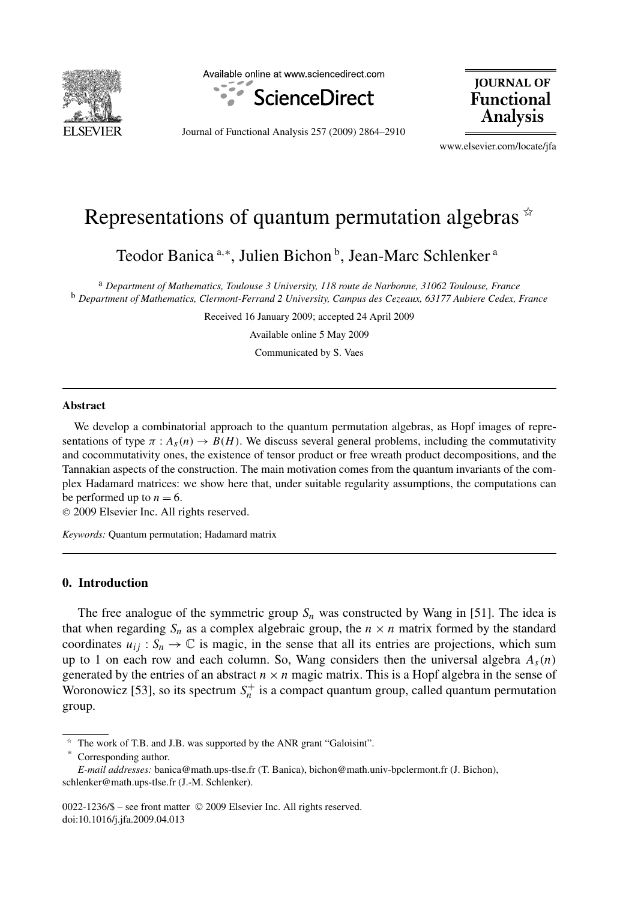

Available online at www.sciencedirect.com



**JOURNAL OF Functional Analysis** 

Journal of Functional Analysis 257 (2009) 2864–2910

www.elsevier.com/locate/jfa

# Representations of quantum permutation algebras  $\dot{\alpha}$

Teodor Banica <sup>a,∗</sup>, Julien Bichon <sup>b</sup>, Jean-Marc Schlenker<sup>a</sup>

<sup>a</sup> *Department of Mathematics, Toulouse 3 University, 118 route de Narbonne, 31062 Toulouse, France* <sup>b</sup> *Department of Mathematics, Clermont-Ferrand 2 University, Campus des Cezeaux, 63177 Aubiere Cedex, France*

Received 16 January 2009; accepted 24 April 2009

Available online 5 May 2009

Communicated by S. Vaes

#### **Abstract**

We develop a combinatorial approach to the quantum permutation algebras, as Hopf images of representations of type  $\pi$  :  $A_s(n) \to B(H)$ . We discuss several general problems, including the commutativity and cocommutativity ones, the existence of tensor product or free wreath product decompositions, and the Tannakian aspects of the construction. The main motivation comes from the quantum invariants of the complex Hadamard matrices: we show here that, under suitable regularity assumptions, the computations can be performed up to  $n = 6$ .

© 2009 Elsevier Inc. All rights reserved.

*Keywords:* Quantum permutation; Hadamard matrix

# **0. Introduction**

The free analogue of the symmetric group  $S_n$  was constructed by Wang in [51]. The idea is that when regarding  $S_n$  as a complex algebraic group, the  $n \times n$  matrix formed by the standard coordinates  $u_{ij}: S_n \to \mathbb{C}$  is magic, in the sense that all its entries are projections, which sum up to 1 on each row and each column. So, Wang considers then the universal algebra  $A_s(n)$ generated by the entries of an abstract  $n \times n$  magic matrix. This is a Hopf algebra in the sense of Woronowicz [53], so its spectrum  $S_n^+$  is a compact quantum group, called quantum permutation group.

Corresponding author.

The work of T.B. and J.B. was supported by the ANR grant "Galoisint".

*E-mail addresses:* banica@math.ups-tlse.fr (T. Banica), bichon@math.univ-bpclermont.fr (J. Bichon), schlenker@math.ups-tlse.fr (J.-M. Schlenker).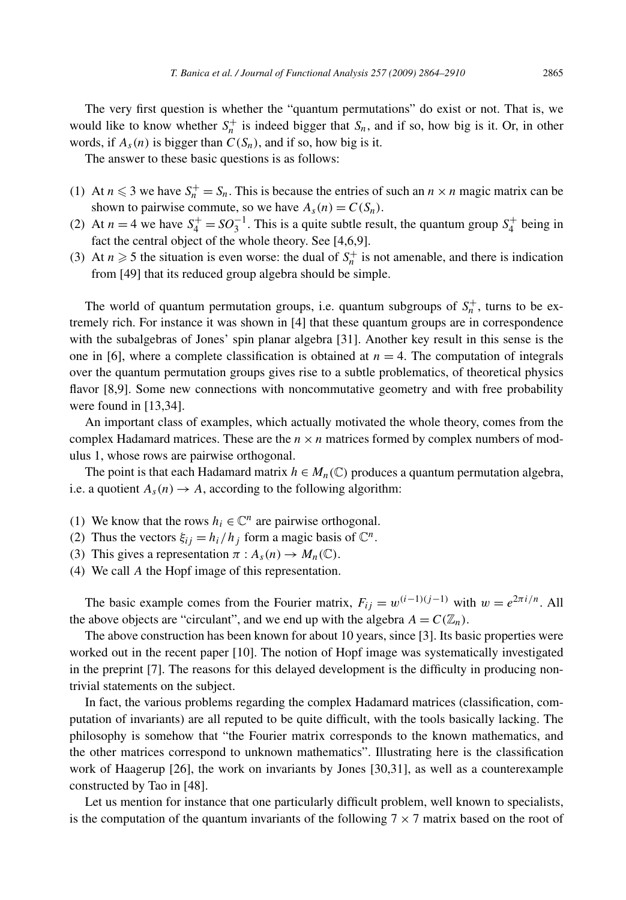The very first question is whether the "quantum permutations" do exist or not. That is, we would like to know whether  $S_n^+$  is indeed bigger that  $S_n$ , and if so, how big is it. Or, in other words, if  $A_s(n)$  is bigger than  $C(S_n)$ , and if so, how big is it.

The answer to these basic questions is as follows:

- (1) At  $n \leq 3$  we have  $S_n^+ = S_n$ . This is because the entries of such an  $n \times n$  magic matrix can be shown to pairwise commute, so we have  $A_s(n) = C(S_n)$ .
- (2) At  $n = 4$  we have  $S_4^+ = SO_3^{-1}$ . This is a quite subtle result, the quantum group  $S_4^+$  being in fact the central object of the whole theory. See [4,6,9].
- (3) At  $n \geq 5$  the situation is even worse: the dual of  $S_n^+$  is not amenable, and there is indication from [49] that its reduced group algebra should be simple.

The world of quantum permutation groups, i.e. quantum subgroups of  $S_n^+$ , turns to be extremely rich. For instance it was shown in [4] that these quantum groups are in correspondence with the subalgebras of Jones' spin planar algebra [31]. Another key result in this sense is the one in [6], where a complete classification is obtained at  $n = 4$ . The computation of integrals over the quantum permutation groups gives rise to a subtle problematics, of theoretical physics flavor [8,9]. Some new connections with noncommutative geometry and with free probability were found in [13,34].

An important class of examples, which actually motivated the whole theory, comes from the complex Hadamard matrices. These are the  $n \times n$  matrices formed by complex numbers of modulus 1, whose rows are pairwise orthogonal.

The point is that each Hadamard matrix  $h \in M_n(\mathbb{C})$  produces a quantum permutation algebra, i.e. a quotient  $A_s(n) \to A$ , according to the following algorithm:

- (1) We know that the rows  $h_i \in \mathbb{C}^n$  are pairwise orthogonal.
- (2) Thus the vectors  $\xi_{ij} = h_i/h_j$  form a magic basis of  $\mathbb{C}^n$ .
- (3) This gives a representation  $\pi$  :  $A_s(n) \to M_n(\mathbb{C})$ .
- (4) We call *A* the Hopf image of this representation.

The basic example comes from the Fourier matrix,  $F_{ii} = w^{(i-1)(j-1)}$  with  $w = e^{2\pi i/n}$ . All the above objects are "circulant", and we end up with the algebra  $A = C(\mathbb{Z}_n)$ .

The above construction has been known for about 10 years, since [3]. Its basic properties were worked out in the recent paper [10]. The notion of Hopf image was systematically investigated in the preprint [7]. The reasons for this delayed development is the difficulty in producing nontrivial statements on the subject.

In fact, the various problems regarding the complex Hadamard matrices (classification, computation of invariants) are all reputed to be quite difficult, with the tools basically lacking. The philosophy is somehow that "the Fourier matrix corresponds to the known mathematics, and the other matrices correspond to unknown mathematics". Illustrating here is the classification work of Haagerup [26], the work on invariants by Jones [30,31], as well as a counterexample constructed by Tao in [48].

Let us mention for instance that one particularly difficult problem, well known to specialists, is the computation of the quantum invariants of the following  $7 \times 7$  matrix based on the root of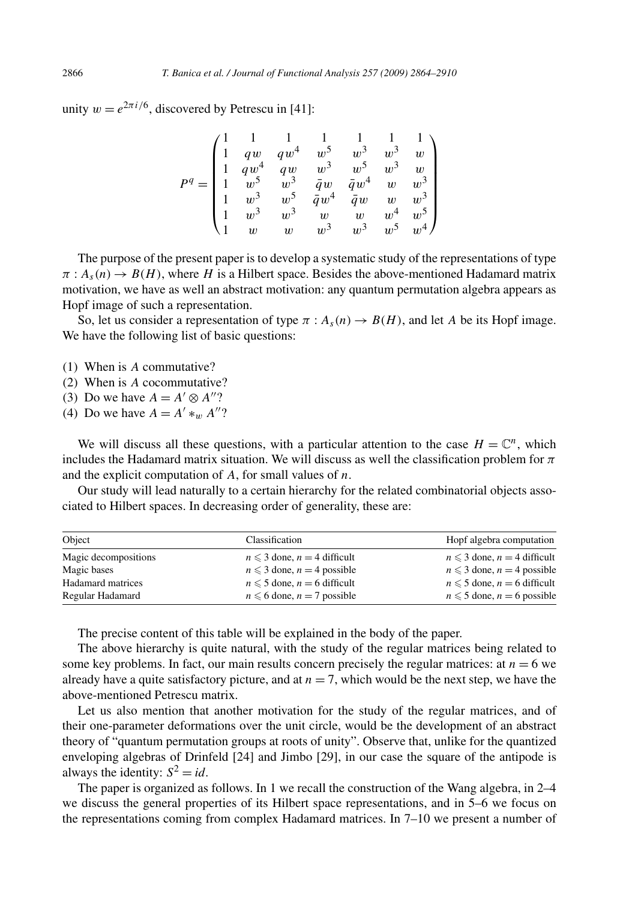unity  $w = e^{2\pi i/6}$ , discovered by Petrescu in [41]:

$$
P^q=\begin{pmatrix}1&1&1&1&1&1&1\\ 1&qw&qw^4&w^5&w^3&w^3&w^3\\ 1&qw^4&qw&w^3&w^5&w^5&w^3&w\\ 1&w^5&w^3&\bar{q}w&\bar{q}w^4&w&w^3\\ 1&w^3&w^5&\bar{q}w^4&\bar{q}w&w^3\\ 1&w^3&w^3&w&w^3&w^3&w^3&w^5w^4\end{pmatrix}
$$

The purpose of the present paper is to develop a systematic study of the representations of type  $\pi$ :  $A_s(n) \to B(H)$ , where *H* is a Hilbert space. Besides the above-mentioned Hadamard matrix motivation, we have as well an abstract motivation: any quantum permutation algebra appears as Hopf image of such a representation.

So, let us consider a representation of type  $\pi$  :  $A_s(n) \rightarrow B(H)$ , and let *A* be its Hopf image. We have the following list of basic questions:

- (1) When is *A* commutative?
- (2) When is *A* cocommutative?
- (3) Do we have  $A = A' \otimes A''$ ?
- (4) Do we have  $A = A' *_{w} A''$ ?

We will discuss all these questions, with a particular attention to the case  $H = \mathbb{C}^n$ , which includes the Hadamard matrix situation. We will discuss as well the classification problem for *π* and the explicit computation of *A*, for small values of *n*.

Our study will lead naturally to a certain hierarchy for the related combinatorial objects associated to Hilbert spaces. In decreasing order of generality, these are:

| Object               | Classification                     | Hopf algebra computation           |
|----------------------|------------------------------------|------------------------------------|
| Magic decompositions | $n \leq 3$ done, $n = 4$ difficult | $n \leq 3$ done, $n = 4$ difficult |
| Magic bases          | $n \leq 3$ done, $n = 4$ possible  | $n \leq 3$ done, $n = 4$ possible  |
| Hadamard matrices    | $n \leq 5$ done, $n = 6$ difficult | $n \leq 5$ done, $n = 6$ difficult |
| Regular Hadamard     | $n \leq 6$ done, $n = 7$ possible  | $n \leq 5$ done, $n = 6$ possible  |

The precise content of this table will be explained in the body of the paper.

The above hierarchy is quite natural, with the study of the regular matrices being related to some key problems. In fact, our main results concern precisely the regular matrices: at  $n = 6$  we already have a quite satisfactory picture, and at  $n = 7$ , which would be the next step, we have the above-mentioned Petrescu matrix.

Let us also mention that another motivation for the study of the regular matrices, and of their one-parameter deformations over the unit circle, would be the development of an abstract theory of "quantum permutation groups at roots of unity". Observe that, unlike for the quantized enveloping algebras of Drinfeld [24] and Jimbo [29], in our case the square of the antipode is always the identity:  $S^2 = id$ .

The paper is organized as follows. In 1 we recall the construction of the Wang algebra, in 2–4 we discuss the general properties of its Hilbert space representations, and in 5–6 we focus on the representations coming from complex Hadamard matrices. In 7–10 we present a number of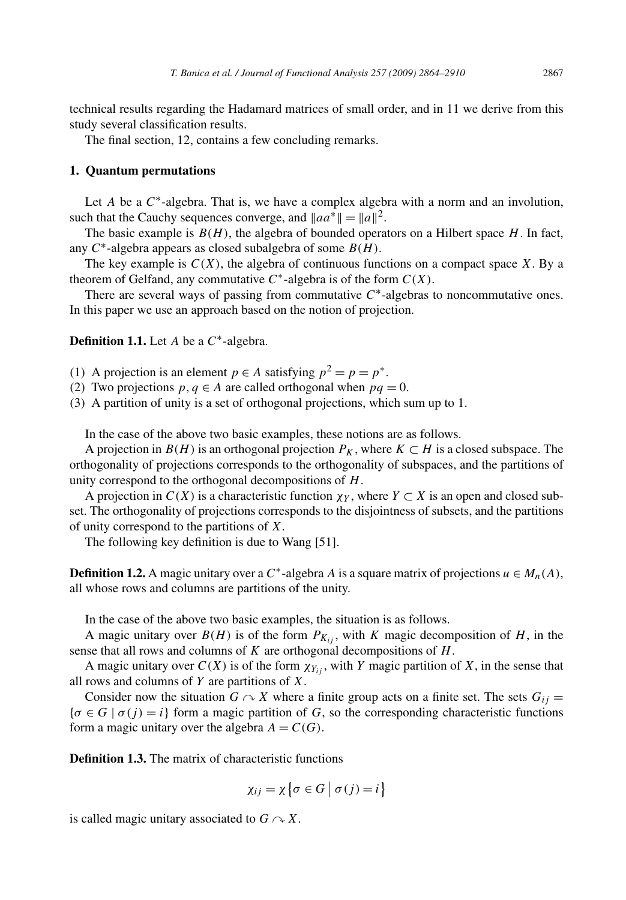technical results regarding the Hadamard matrices of small order, and in 11 we derive from this study several classification results.

The final section, 12, contains a few concluding remarks.

## **1. Quantum permutations**

Let *A* be a  $C^*$ -algebra. That is, we have a complex algebra with a norm and an involution, such that the Cauchy sequences converge, and  $\|aa^*\| = \|a\|^2$ .

The basic example is  $B(H)$ , the algebra of bounded operators on a Hilbert space  $H$ . In fact, any *C*∗-algebra appears as closed subalgebra of some *B(H )*.

The key example is  $C(X)$ , the algebra of continuous functions on a compact space X. By a theorem of Gelfand, any commutative  $C^*$ -algebra is of the form  $C(X)$ .

There are several ways of passing from commutative *C*∗-algebras to noncommutative ones. In this paper we use an approach based on the notion of projection.

**Definition 1.1.** Let *A* be a *C*∗-algebra.

(1) A projection is an element  $p \in A$  satisfying  $p^2 = p = p^*$ .

(2) Two projections  $p, q \in A$  are called orthogonal when  $pq = 0$ .

(3) A partition of unity is a set of orthogonal projections, which sum up to 1.

In the case of the above two basic examples, these notions are as follows.

A projection in  $B(H)$  is an orthogonal projection  $P_K$ , where  $K \subset H$  is a closed subspace. The orthogonality of projections corresponds to the orthogonality of subspaces, and the partitions of unity correspond to the orthogonal decompositions of *H*.

A projection in  $C(X)$  is a characteristic function  $\chi_Y$ , where  $Y \subset X$  is an open and closed subset. The orthogonality of projections corresponds to the disjointness of subsets, and the partitions of unity correspond to the partitions of *X*.

The following key definition is due to Wang [51].

**Definition 1.2.** A magic unitary over a *C*<sup>∗</sup>-algebra *A* is a square matrix of projections  $u \in M_n(A)$ , all whose rows and columns are partitions of the unity.

In the case of the above two basic examples, the situation is as follows.

A magic unitary over  $B(H)$  is of the form  $P_{K_{ij}}$ , with *K* magic decomposition of *H*, in the sense that all rows and columns of *K* are orthogonal decompositions of *H*.

A magic unitary over  $C(X)$  is of the form  $\chi_{Y_{ij}}$ , with *Y* magic partition of *X*, in the sense that all rows and columns of *Y* are partitions of *X*.

Consider now the situation  $G \cap X$  where a finite group acts on a finite set. The sets  $G_{ij} =$  ${\sigma \in G \mid \sigma(j) = i}$  form a magic partition of *G*, so the corresponding characteristic functions form a magic unitary over the algebra  $A = C(G)$ .

**Definition 1.3.** The matrix of characteristic functions

$$
\chi_{ij} = \chi \left\{ \sigma \in G \mid \sigma(j) = i \right\}
$$

is called magic unitary associated to  $G \cap X$ .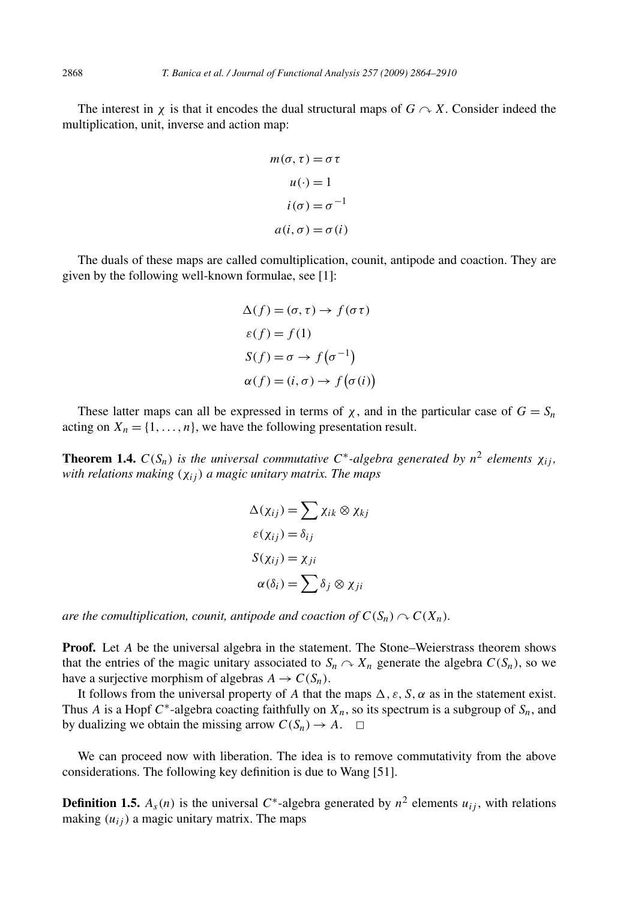The interest in  $\chi$  is that it encodes the dual structural maps of  $G \curvearrowright X$ . Consider indeed the multiplication, unit, inverse and action map:

$$
m(\sigma, \tau) = \sigma \tau
$$

$$
u(\cdot) = 1
$$

$$
i(\sigma) = \sigma^{-1}
$$

$$
a(i, \sigma) = \sigma(i)
$$

The duals of these maps are called comultiplication, counit, antipode and coaction. They are given by the following well-known formulae, see [1]:

$$
\Delta(f) = (\sigma, \tau) \rightarrow f(\sigma \tau)
$$
  
\n
$$
\varepsilon(f) = f(1)
$$
  
\n
$$
S(f) = \sigma \rightarrow f(\sigma^{-1})
$$
  
\n
$$
\alpha(f) = (i, \sigma) \rightarrow f(\sigma(i))
$$

These latter maps can all be expressed in terms of  $\chi$ , and in the particular case of  $G = S_n$ acting on  $X_n = \{1, \ldots, n\}$ , we have the following presentation result.

**Theorem 1.4.**  $C(S_n)$  *is the universal commutative*  $C^*$ -*algebra generated by*  $n^2$  *elements*  $\chi_i$ *; with relations making (χij ) a magic unitary matrix. The maps*

$$
\Delta(\chi_{ij}) = \sum \chi_{ik} \otimes \chi_{kj}
$$
  
\n
$$
\varepsilon(\chi_{ij}) = \delta_{ij}
$$
  
\n
$$
S(\chi_{ij}) = \chi_{ji}
$$
  
\n
$$
\alpha(\delta_i) = \sum \delta_j \otimes \chi_{ji}
$$

*are the comultiplication, counit, antipode and coaction of*  $C(S_n) \cap C(X_n)$ *.* 

**Proof.** Let *A* be the universal algebra in the statement. The Stone–Weierstrass theorem shows that the entries of the magic unitary associated to  $S_n \cap X_n$  generate the algebra  $C(S_n)$ , so we have a surjective morphism of algebras  $A \to C(S_n)$ .

It follows from the universal property of *A* that the maps  $\Delta$ ,  $\varepsilon$ ,  $S$ ,  $\alpha$  as in the statement exist. Thus *A* is a Hopf  $C^*$ -algebra coacting faithfully on  $X_n$ , so its spectrum is a subgroup of  $S_n$ , and by dualizing we obtain the missing arrow  $C(S_n) \to A$ .  $\Box$ 

We can proceed now with liberation. The idea is to remove commutativity from the above considerations. The following key definition is due to Wang [51].

**Definition 1.5.**  $A_s(n)$  is the universal  $C^*$ -algebra generated by  $n^2$  elements  $u_{ij}$ , with relations making  $(u_{ij})$  a magic unitary matrix. The maps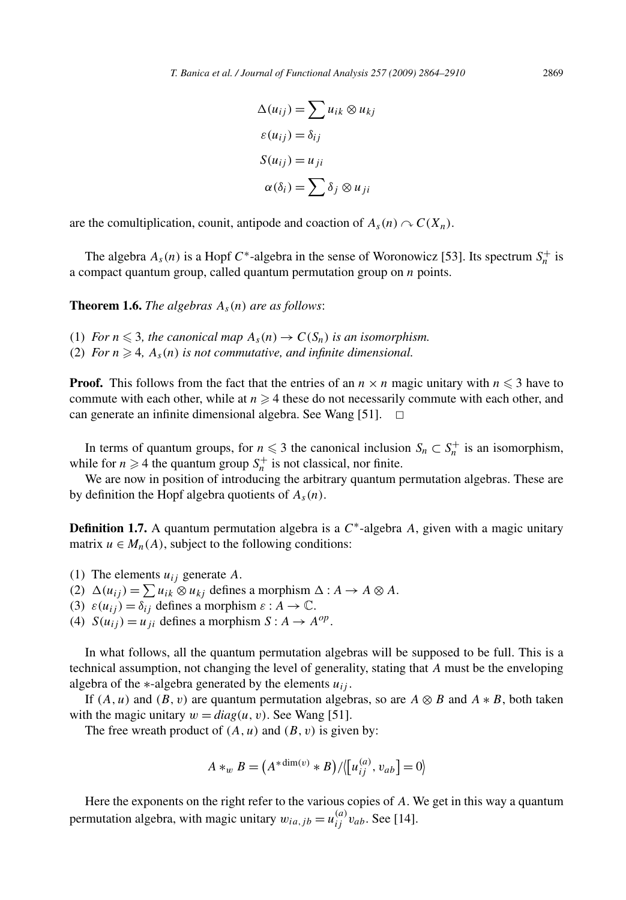$$
\Delta(u_{ij}) = \sum u_{ik} \otimes u_{kj}
$$
  
\n
$$
\varepsilon(u_{ij}) = \delta_{ij}
$$
  
\n
$$
S(u_{ij}) = u_{ji}
$$
  
\n
$$
\alpha(\delta_i) = \sum \delta_j \otimes u_{ji}
$$

are the comultiplication, counit, antipode and coaction of  $A_s(n) \sim C(X_n)$ .

The algebra  $A_s(n)$  is a Hopf  $C^*$ -algebra in the sense of Woronowicz [53]. Its spectrum  $S_n^+$  is a compact quantum group, called quantum permutation group on *n* points.

**Theorem 1.6.** *The algebras*  $A_s(n)$  *are as follows*:

- (1) *For*  $n \leq 3$ , the canonical map  $A_s(n) \to C(S_n)$  is an isomorphism.
- (2) *For*  $n \geq 4$ ,  $A_s(n)$  *is not commutative, and infinite dimensional.*

**Proof.** This follows from the fact that the entries of an  $n \times n$  magic unitary with  $n \leq 3$  have to commute with each other, while at  $n \geq 4$  these do not necessarily commute with each other, and can generate an infinite dimensional algebra. See Wang [51].  $\Box$ 

In terms of quantum groups, for  $n \leq 3$  the canonical inclusion  $S_n \subset S_n^+$  is an isomorphism, while for  $n \geq 4$  the quantum group  $S_n^+$  is not classical, nor finite.

We are now in position of introducing the arbitrary quantum permutation algebras. These are by definition the Hopf algebra quotients of *As(n)*.

**Definition 1.7.** A quantum permutation algebra is a  $C^*$ -algebra A, given with a magic unitary matrix  $u \in M_n(A)$ , subject to the following conditions:

- (1) The elements *uij* generate *A*.
- (2)  $\Delta(u_{ij}) = \sum u_{ik} \otimes u_{kj}$  defines a morphism  $\Delta : A \rightarrow A \otimes A$ .
- (3)  $\varepsilon(u_{ij}) = \delta_{ij}$  defines a morphism  $\varepsilon : A \to \mathbb{C}$ .
- (4)  $S(u_{ij}) = u_{ji}$  defines a morphism  $S: A \rightarrow A^{op}$ .

In what follows, all the quantum permutation algebras will be supposed to be full. This is a technical assumption, not changing the level of generality, stating that *A* must be the enveloping algebra of the  $*$ -algebra generated by the elements  $u_{ij}$ .

If  $(A, u)$  and  $(B, v)$  are quantum permutation algebras, so are  $A \otimes B$  and  $A * B$ , both taken with the magic unitary  $w = diag(u, v)$ . See Wang [51].

The free wreath product of *(A, u)* and *(B, v)* is given by:

$$
A *_{w} B = (A *^{dim(v)} * B) / \langle [u_{ij}^{(a)}, v_{ab}] = 0 \rangle
$$

Here the exponents on the right refer to the various copies of *A*. We get in this way a quantum permutation algebra, with magic unitary  $w_{ia,jb} = u_{ij}^{(a)} v_{ab}$ . See [14].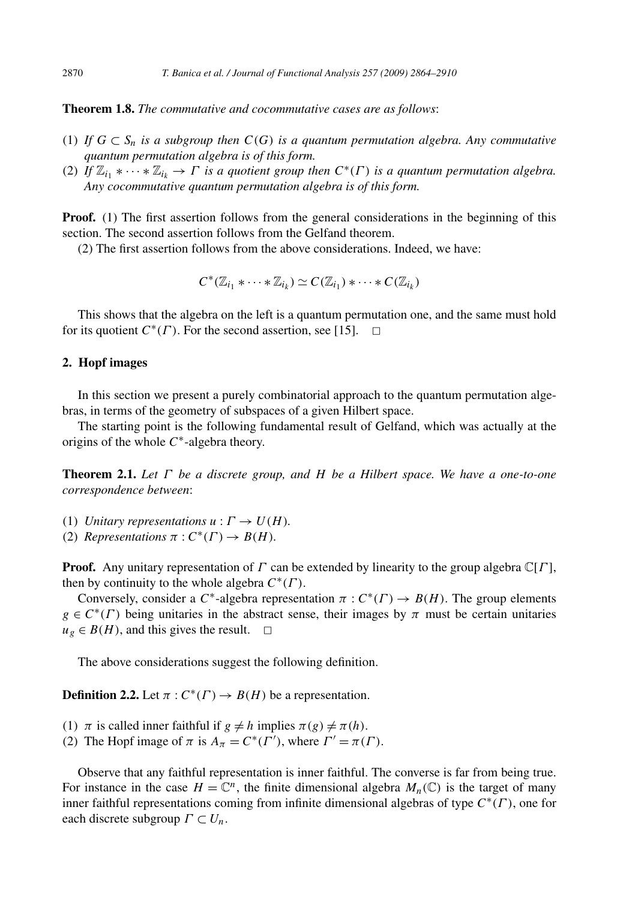**Theorem 1.8.** *The commutative and cocommutative cases are as follows*:

- (1) If  $G \subset S_n$  is a subgroup then  $C(G)$  is a quantum permutation algebra. Any commutative *quantum permutation algebra is of this form.*
- (2) *If*  $\mathbb{Z}_{i_1} * \cdots * \mathbb{Z}_{i_k} \to \Gamma$  *is a quotient group then*  $C^*(\Gamma)$  *is a quantum permutation algebra. Any cocommutative quantum permutation algebra is of this form.*

**Proof.** (1) The first assertion follows from the general considerations in the beginning of this section. The second assertion follows from the Gelfand theorem.

(2) The first assertion follows from the above considerations. Indeed, we have:

$$
C^*(\mathbb{Z}_{i_1} * \cdots * \mathbb{Z}_{i_k}) \simeq C(\mathbb{Z}_{i_1}) * \cdots * C(\mathbb{Z}_{i_k})
$$

This shows that the algebra on the left is a quantum permutation one, and the same must hold for its quotient  $C^*(\Gamma)$ . For the second assertion, see [15].  $\Box$ 

# **2. Hopf images**

In this section we present a purely combinatorial approach to the quantum permutation algebras, in terms of the geometry of subspaces of a given Hilbert space.

The starting point is the following fundamental result of Gelfand, which was actually at the origins of the whole *C*∗-algebra theory.

**Theorem 2.1.** *Let Γ be a discrete group, and H be a Hilbert space. We have a one-to-one correspondence between*:

- (1) *Unitary representations*  $u : \Gamma \to U(H)$ *.*
- (2) *Representations*  $\pi$  :  $C^*(\Gamma) \rightarrow B(H)$ *.*

**Proof.** Any unitary representation of *Γ* can be extended by linearity to the group algebra  $\mathbb{C}[{\Gamma}]$ , then by continuity to the whole algebra *C*∗*(Γ )*.

Conversely, consider a *C*<sup>\*</sup>-algebra representation  $\pi$  :  $C^*(\Gamma) \to B(H)$ . The group elements  $g \in C^*(\Gamma)$  being unitaries in the abstract sense, their images by  $\pi$  must be certain unitaries  $u_g \in B(H)$ , and this gives the result.  $\Box$ 

The above considerations suggest the following definition.

**Definition 2.2.** Let  $\pi$  :  $C^*(\Gamma) \to B(H)$  be a representation.

- (1)  $\pi$  is called inner faithful if  $g \neq h$  implies  $\pi(g) \neq \pi(h)$ .
- (2) The Hopf image of  $\pi$  is  $A_{\pi} = C^*(\Gamma')$ , where  $\Gamma' = \pi(\Gamma)$ .

Observe that any faithful representation is inner faithful. The converse is far from being true. For instance in the case  $H = \mathbb{C}^n$ , the finite dimensional algebra  $M_n(\mathbb{C})$  is the target of many inner faithful representations coming from infinite dimensional algebras of type *C*∗*(Γ )*, one for each discrete subgroup *Γ* ⊂ *Un*.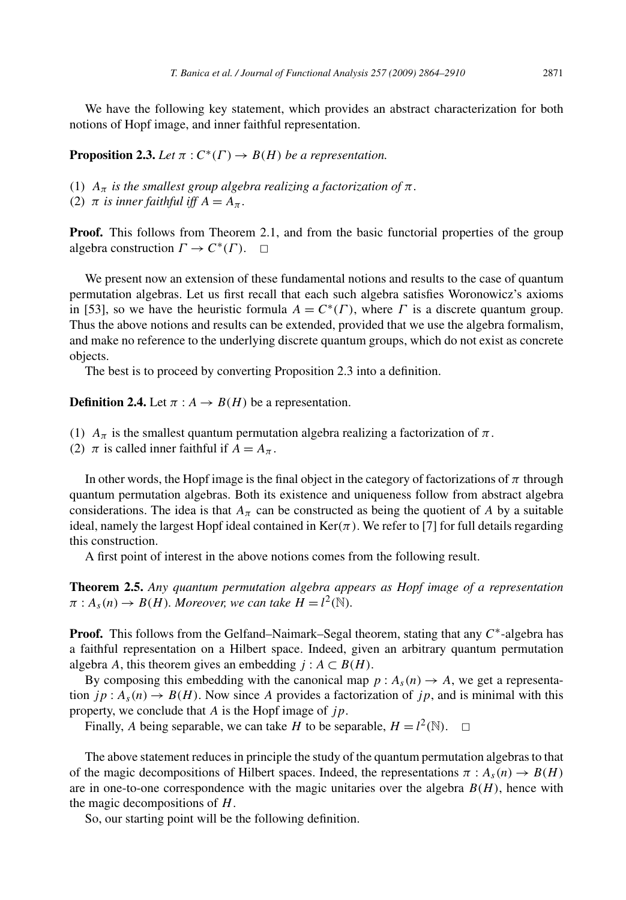We have the following key statement, which provides an abstract characterization for both notions of Hopf image, and inner faithful representation.

**Proposition 2.3.** *Let*  $\pi$  :  $C^*(\Gamma) \to B(H)$  *be a representation.* 

(1)  $A_{\pi}$  *is the smallest group algebra realizing a factorization of*  $\pi$ *.* 

(2)  $\pi$  *is inner faithful iff*  $A = A_{\pi}$ .

**Proof.** This follows from Theorem 2.1, and from the basic functorial properties of the group algebra construction  $\Gamma \to C^*(\Gamma)$ .  $\Box$ 

We present now an extension of these fundamental notions and results to the case of quantum permutation algebras. Let us first recall that each such algebra satisfies Woronowicz's axioms in [53], so we have the heuristic formula  $A = C^*(\Gamma)$ , where  $\Gamma$  is a discrete quantum group. Thus the above notions and results can be extended, provided that we use the algebra formalism, and make no reference to the underlying discrete quantum groups, which do not exist as concrete objects.

The best is to proceed by converting Proposition 2.3 into a definition.

**Definition 2.4.** Let  $\pi : A \rightarrow B(H)$  be a representation.

- (1)  $A_{\pi}$  is the smallest quantum permutation algebra realizing a factorization of  $\pi$ .
- (2)  $\pi$  is called inner faithful if  $A = A_{\pi}$ .

In other words, the Hopf image is the final object in the category of factorizations of  $\pi$  through quantum permutation algebras. Both its existence and uniqueness follow from abstract algebra considerations. The idea is that  $A_{\pi}$  can be constructed as being the quotient of *A* by a suitable ideal, namely the largest Hopf ideal contained in  $Ker(\pi)$ . We refer to [7] for full details regarding this construction.

A first point of interest in the above notions comes from the following result.

**Theorem 2.5.** *Any quantum permutation algebra appears as Hopf image of a representation*  $\pi: A_s(n) \to B(H)$ *. Moreover, we can take*  $H = l^2(\mathbb{N})$ *.* 

**Proof.** This follows from the Gelfand–Naimark–Segal theorem, stating that any *C*∗-algebra has a faithful representation on a Hilbert space. Indeed, given an arbitrary quantum permutation algebra *A*, this theorem gives an embedding  $j : A \subset B(H)$ .

By composing this embedding with the canonical map  $p : A_s(n) \to A$ , we get a representation  $jp: A_s(n) \to B(H)$ . Now since A provides a factorization of  $jp$ , and is minimal with this property, we conclude that *A* is the Hopf image of *jp*.

Finally, *A* being separable, we can take *H* to be separable,  $H = l^2(\mathbb{N})$ .  $\Box$ 

The above statement reduces in principle the study of the quantum permutation algebras to that of the magic decompositions of Hilbert spaces. Indeed, the representations  $\pi$ :  $A_s(n) \rightarrow B(H)$ are in one-to-one correspondence with the magic unitaries over the algebra  $B(H)$ , hence with the magic decompositions of *H*.

So, our starting point will be the following definition.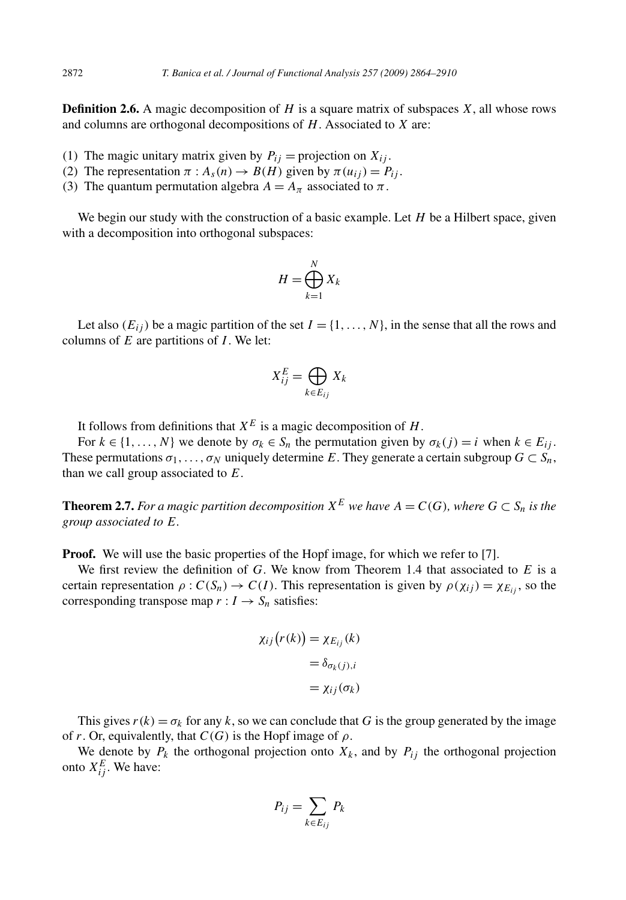**Definition 2.6.** A magic decomposition of *H* is a square matrix of subspaces *X*, all whose rows and columns are orthogonal decompositions of *H*. Associated to *X* are:

- (1) The magic unitary matrix given by  $P_{ij}$  = projection on  $X_{ij}$ .
- (2) The representation  $\pi : A_s(n) \to B(H)$  given by  $\pi(u_{ij}) = P_{ij}$ .
- (3) The quantum permutation algebra  $A = A_{\pi}$  associated to  $\pi$ .

We begin our study with the construction of a basic example. Let *H* be a Hilbert space, given with a decomposition into orthogonal subspaces:

$$
H = \bigoplus_{k=1}^{N} X_k
$$

Let also  $(E_{ij})$  be a magic partition of the set  $I = \{1, \ldots, N\}$ , in the sense that all the rows and columns of *E* are partitions of *I* . We let:

$$
X_{ij}^E = \bigoplus_{k \in E_{ij}} X_k
$$

It follows from definitions that  $X^E$  is a magic decomposition of *H*.

For  $k \in \{1, \ldots, N\}$  we denote by  $\sigma_k \in S_n$  the permutation given by  $\sigma_k(j) = i$  when  $k \in E_{ij}$ . These permutations  $\sigma_1, \ldots, \sigma_N$  uniquely determine *E*. They generate a certain subgroup  $G \subset S_n$ , than we call group associated to *E*.

**Theorem 2.7.** For a magic partition decomposition  $X^E$  we have  $A = C(G)$ , where  $G \subset S_n$  is the *group associated to E.*

**Proof.** We will use the basic properties of the Hopf image, for which we refer to [7].

We first review the definition of *G*. We know from Theorem 1.4 that associated to *E* is a certain representation  $\rho$  :  $C(S_n) \to C(I)$ . This representation is given by  $\rho(\chi_{ij}) = \chi_{E_{ij}}$ , so the corresponding transpose map  $r: I \to S_n$  satisfies:

$$
\chi_{ij}(r(k)) = \chi_{E_{ij}}(k)
$$

$$
= \delta_{\sigma_k(j),i}
$$

$$
= \chi_{ij}(\sigma_k)
$$

This gives  $r(k) = \sigma_k$  for any k, so we can conclude that G is the group generated by the image of *r*. Or, equivalently, that  $C(G)$  is the Hopf image of  $\rho$ .

We denote by  $P_k$  the orthogonal projection onto  $X_k$ , and by  $P_{ij}$  the orthogonal projection onto  $X_{ij}^E$ . We have:

$$
P_{ij} = \sum_{k \in E_{ij}} P_k
$$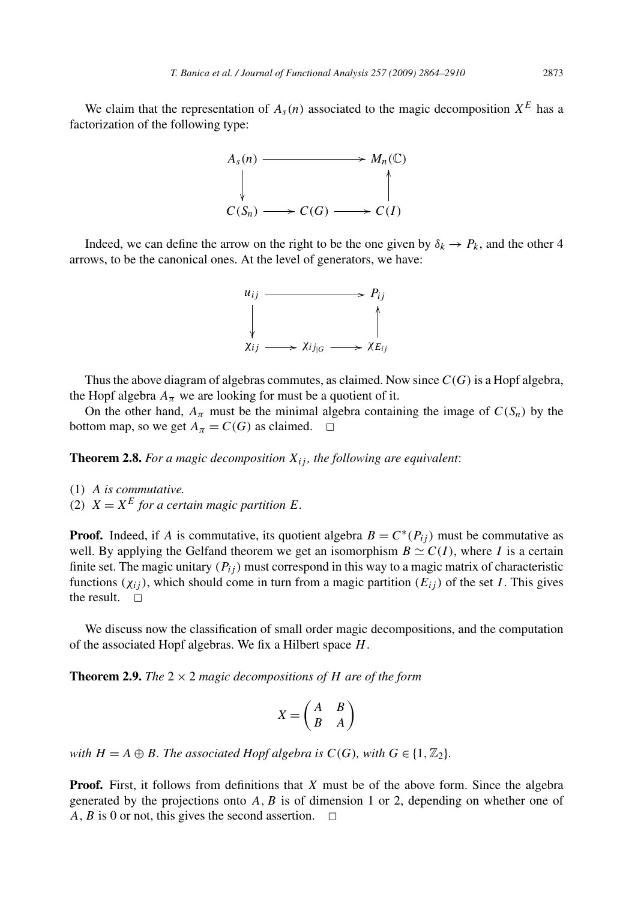We claim that the representation of  $A_s(n)$  associated to the magic decomposition  $X^E$  has a factorization of the following type:



Indeed, we can define the arrow on the right to be the one given by  $\delta_k \to P_k$ , and the other 4 arrows, to be the canonical ones. At the level of generators, we have:



Thus the above diagram of algebras commutes, as claimed. Now since *C(G)* is a Hopf algebra, the Hopf algebra  $A_{\pi}$  we are looking for must be a quotient of it.

On the other hand,  $A_{\pi}$  must be the minimal algebra containing the image of  $C(S_n)$  by the bottom map, so we get  $A_\pi = C(G)$  as claimed.  $\square$ 

**Theorem 2.8.** For a magic decomposition  $X_{ij}$ , the following are equivalent:

- (1) *A is commutative.*
- (2)  $X = X^E$  for a certain magic partition *E*.

**Proof.** Indeed, if *A* is commutative, its quotient algebra  $B = C^*(P_i)$  must be commutative as well. By applying the Gelfand theorem we get an isomorphism  $B \simeq C(I)$ , where *I* is a certain finite set. The magic unitary  $(P_{ij})$  must correspond in this way to a magic matrix of characteristic functions  $(\chi_{ii})$ , which should come in turn from a magic partition  $(E_{ii})$  of the set *I*. This gives the result.  $\square$ 

We discuss now the classification of small order magic decompositions, and the computation of the associated Hopf algebras. We fix a Hilbert space *H*.

**Theorem 2.9.** *The*  $2 \times 2$  *magic decompositions of H* are of the form

$$
X = \begin{pmatrix} A & B \\ B & A \end{pmatrix}
$$

*with*  $H = A \oplus B$ *. The associated Hopf algebra is*  $C(G)$ *, with*  $G \in \{1, \mathbb{Z}_2\}$ *.* 

**Proof.** First, it follows from definitions that *X* must be of the above form. Since the algebra generated by the projections onto *A,B* is of dimension 1 or 2, depending on whether one of *A, B* is 0 or not, this gives the second assertion.  $\Box$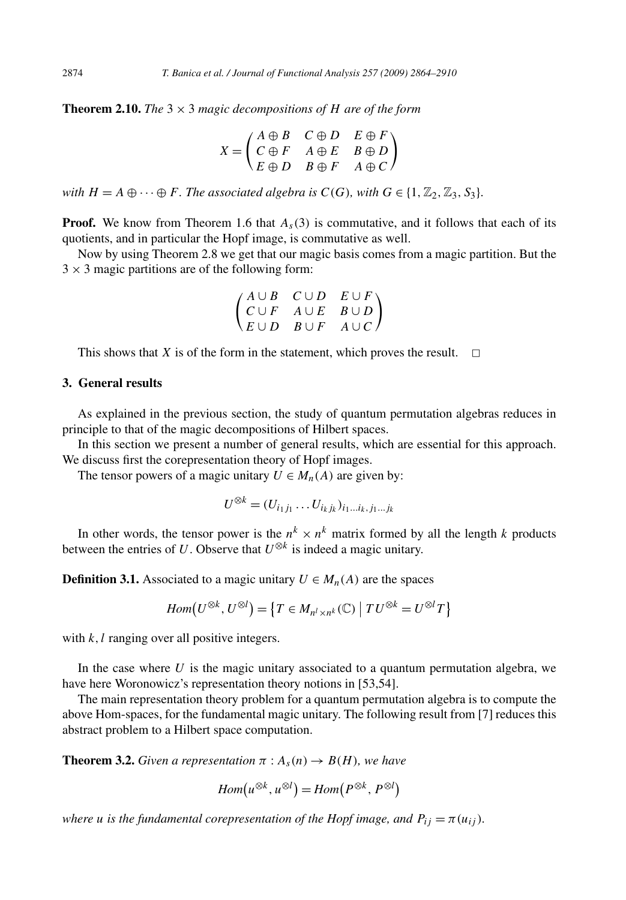**Theorem 2.10.** *The*  $3 \times 3$  *magic decompositions of H are of the form* 

$$
X = \begin{pmatrix} A \oplus B & C \oplus D & E \oplus F \\ C \oplus F & A \oplus E & B \oplus D \\ E \oplus D & B \oplus F & A \oplus C \end{pmatrix}
$$

*with*  $H = A \oplus \cdots \oplus F$ *. The associated algebra is*  $C(G)$ *, with*  $G \in \{1, \mathbb{Z}_2, \mathbb{Z}_3, S_3\}$ *.* 

**Proof.** We know from Theorem 1.6 that  $A_s(3)$  is commutative, and it follows that each of its quotients, and in particular the Hopf image, is commutative as well.

Now by using Theorem 2.8 we get that our magic basis comes from a magic partition. But the  $3 \times 3$  magic partitions are of the following form:

$$
\begin{pmatrix} A \cup B & C \cup D & E \cup F \\ C \cup F & A \cup E & B \cup D \\ E \cup D & B \cup F & A \cup C \end{pmatrix}
$$

This shows that *X* is of the form in the statement, which proves the result.  $\Box$ 

# **3. General results**

As explained in the previous section, the study of quantum permutation algebras reduces in principle to that of the magic decompositions of Hilbert spaces.

In this section we present a number of general results, which are essential for this approach. We discuss first the corepresentation theory of Hopf images.

The tensor powers of a magic unitary  $U \in M_n(A)$  are given by:

$$
U^{\otimes k} = (U_{i_1j_1} \dots U_{i_kj_k})_{i_1...i_k, j_1...j_k}
$$

In other words, the tensor power is the  $n^k \times n^k$  matrix formed by all the length *k* products between the entries of *U*. Observe that  $U^{\otimes k}$  is indeed a magic unitary.

**Definition 3.1.** Associated to a magic unitary  $U \in M_n(A)$  are the spaces

$$
Hom(U^{\otimes k}, U^{\otimes l}) = \{T \in M_{n^l \times n^k}(\mathbb{C}) \mid TU^{\otimes k} = U^{\otimes l}T\}
$$

with *k*, *l* ranging over all positive integers.

In the case where  $U$  is the magic unitary associated to a quantum permutation algebra, we have here Woronowicz's representation theory notions in [53,54].

The main representation theory problem for a quantum permutation algebra is to compute the above Hom-spaces, for the fundamental magic unitary. The following result from [7] reduces this abstract problem to a Hilbert space computation.

**Theorem 3.2.** *Given a representation*  $\pi$  :  $A_s(n) \rightarrow B(H)$ *, we have* 

$$
Hom(u^{\otimes k}, u^{\otimes l}) = Hom(P^{\otimes k}, P^{\otimes l})
$$

*where u is the fundamental corepresentation of the Hopf image, and*  $P_{ij} = \pi(u_{ij})$ *.*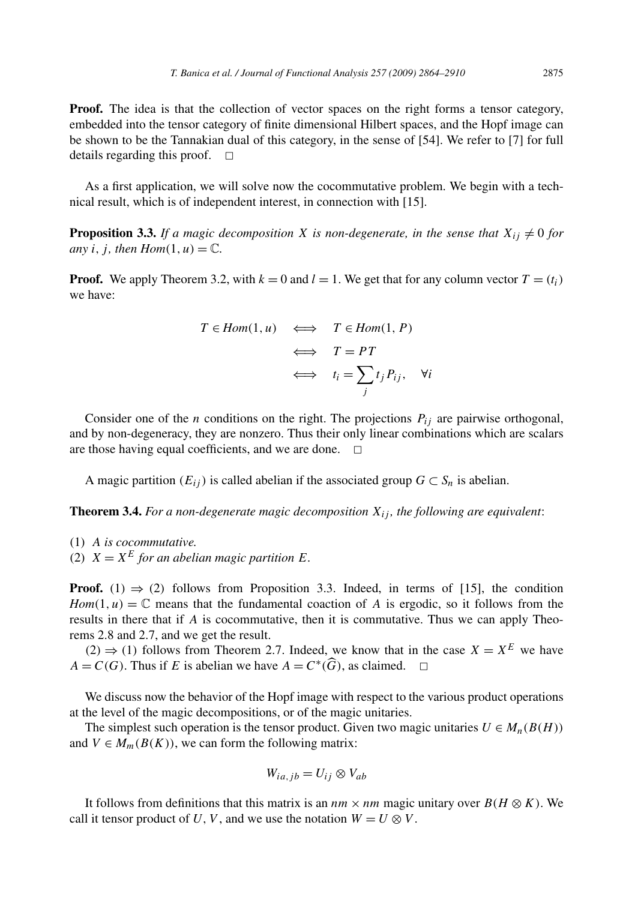**Proof.** The idea is that the collection of vector spaces on the right forms a tensor category, embedded into the tensor category of finite dimensional Hilbert spaces, and the Hopf image can be shown to be the Tannakian dual of this category, in the sense of [54]. We refer to [7] for full details regarding this proof.  $\square$ 

As a first application, we will solve now the cocommutative problem. We begin with a technical result, which is of independent interest, in connection with [15].

**Proposition 3.3.** If a magic decomposition X is non-degenerate, in the sense that  $X_{ij} \neq 0$  for *any i*, *j*, *then*  $Hom(1, u) = \mathbb{C}$ *.* 

**Proof.** We apply Theorem 3.2, with  $k = 0$  and  $l = 1$ . We get that for any column vector  $T = (t_i)$ we have:

$$
T \in Hom(1, u) \iff T \in Hom(1, P)
$$
  

$$
\iff T = PT
$$
  

$$
\iff t_i = \sum_j t_j P_{ij}, \forall i
$$

Consider one of the *n* conditions on the right. The projections  $P_{ij}$  are pairwise orthogonal, and by non-degeneracy, they are nonzero. Thus their only linear combinations which are scalars are those having equal coefficients, and we are done.  $\Box$ 

A magic partition  $(E_{ij})$  is called abelian if the associated group  $G \subset S_n$  is abelian.

**Theorem 3.4.** *For a non-degenerate magic decomposition Xij , the following are equivalent*:

- (1) *A is cocommutative.*
- (2)  $X = X^E$  for an abelian magic partition *E*.

**Proof.** (1)  $\Rightarrow$  (2) follows from Proposition 3.3. Indeed, in terms of [15], the condition *Hom* $(1, u) = \mathbb{C}$  means that the fundamental coaction of *A* is ergodic, so it follows from the results in there that if *A* is cocommutative, then it is commutative. Thus we can apply Theorems 2.8 and 2.7, and we get the result.

 $(2)$  ⇒ (1) follows from Theorem 2.7. Indeed, we know that in the case *X* = *X*<sup>*E*</sup> we have *A* = *C*(*G*). Thus if *E* is abelian we have  $A = C^*(\widehat{G})$ , as claimed.  $\Box$ 

We discuss now the behavior of the Hopf image with respect to the various product operations at the level of the magic decompositions, or of the magic unitaries.

The simplest such operation is the tensor product. Given two magic unitaries  $U \in M_n(B(H))$ and  $V \in M_m(B(K))$ , we can form the following matrix:

$$
W_{ia,jb}=U_{ij}\otimes V_{ab}
$$

It follows from definitions that this matrix is an  $nm \times nm$  magic unitary over  $B(H \otimes K)$ . We call it tensor product of *U*, *V*, and we use the notation  $W = U \otimes V$ .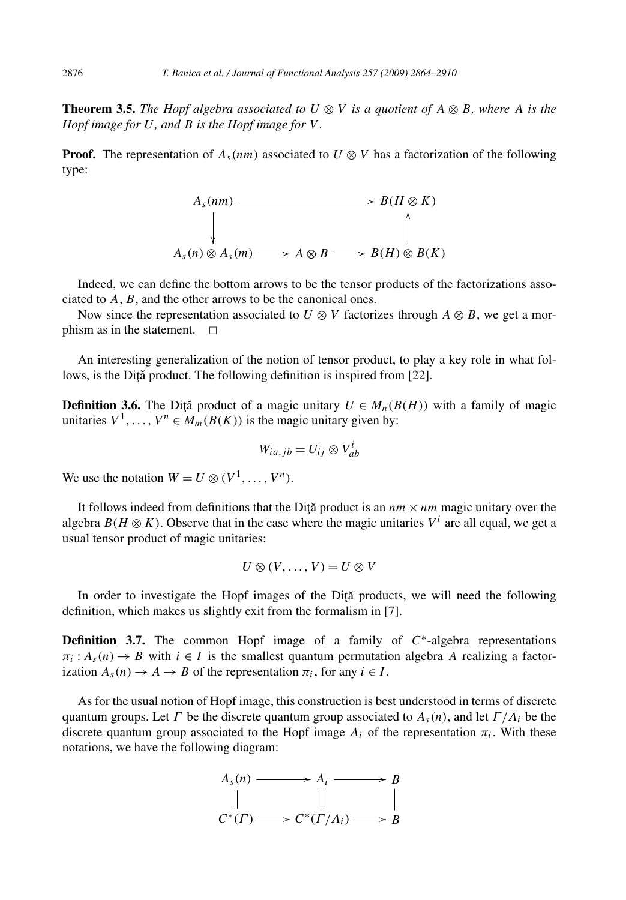**Theorem 3.5.** *The Hopf algebra associated to*  $U \otimes V$  *is a quotient of*  $A \otimes B$ *, where*  $A$  *is the Hopf image for U, and B is the Hopf image for V .*

**Proof.** The representation of  $A_s(nm)$  associated to  $U \otimes V$  has a factorization of the following type:



Indeed, we can define the bottom arrows to be the tensor products of the factorizations associated to *A*, *B*, and the other arrows to be the canonical ones.

Now since the representation associated to  $U \otimes V$  factorizes through  $A \otimes B$ , we get a morphism as in the statement.  $\square$ 

An interesting generalization of the notion of tensor product, to play a key role in what follows, is the Dită product. The following definition is inspired from [22].

**Definition 3.6.** The Diță product of a magic unitary  $U \in M_n(B(H))$  with a family of magic unitaries  $V^1, \ldots, V^n \in M_m(B(K))$  is the magic unitary given by:

$$
W_{ia,jb} = U_{ij} \otimes V_{ab}^i
$$

We use the notation  $W = U \otimes (V^1, \ldots, V^n)$ .

It follows indeed from definitions that the Dita product is an  $nm \times nm$  magic unitary over the algebra  $B(H \otimes K)$ . Observe that in the case where the magic unitaries  $V^i$  are all equal, we get a usual tensor product of magic unitaries:

$$
U\otimes (V,\ldots,V)=U\otimes V
$$

In order to investigate the Hopf images of the Dita products, we will need the following definition, which makes us slightly exit from the formalism in [7].

**Definition 3.7.** The common Hopf image of a family of *C*∗-algebra representations  $\pi_i$ :  $A_s(n) \to B$  with  $i \in I$  is the smallest quantum permutation algebra *A* realizing a factorization  $A_s(n) \to A \to B$  of the representation  $\pi_i$ , for any  $i \in I$ .

As for the usual notion of Hopf image, this construction is best understood in terms of discrete quantum groups. Let *Γ* be the discrete quantum group associated to  $A_s(n)$ , and let  $\Gamma/\Lambda_i$  be the discrete quantum group associated to the Hopf image  $A_i$  of the representation  $\pi_i$ . With these notations, we have the following diagram:

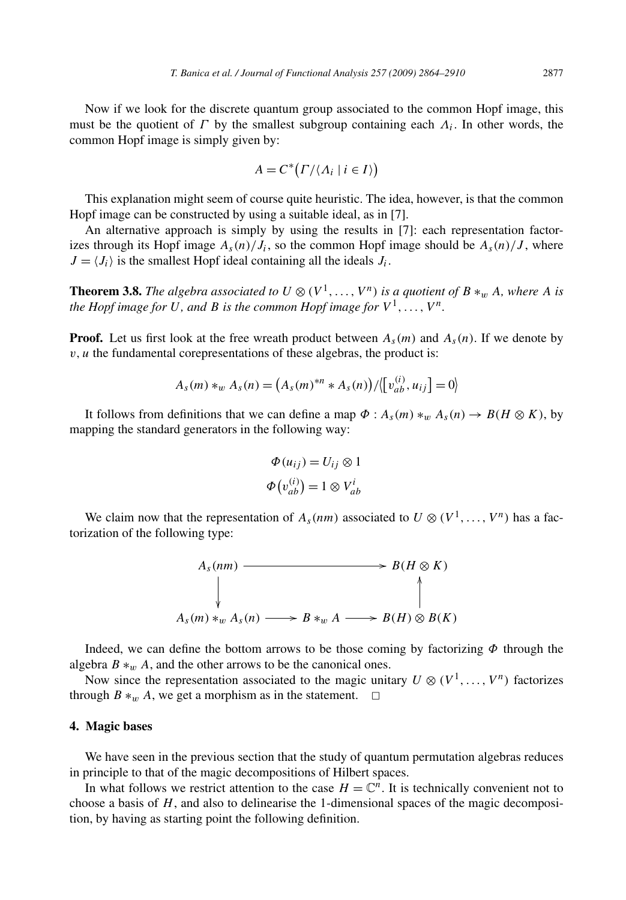Now if we look for the discrete quantum group associated to the common Hopf image, this must be the quotient of *Γ* by the smallest subgroup containing each  $\Lambda_i$ . In other words, the common Hopf image is simply given by:

$$
A = C^* \big( \Gamma / \langle \Lambda_i \mid i \in I \rangle \big)
$$

This explanation might seem of course quite heuristic. The idea, however, is that the common Hopf image can be constructed by using a suitable ideal, as in [7].

An alternative approach is simply by using the results in [7]: each representation factorizes through its Hopf image  $A_s(n)/J_i$ , so the common Hopf image should be  $A_s(n)/J$ , where  $J = \langle J_i \rangle$  is the smallest Hopf ideal containing all the ideals  $J_i$ .

**Theorem 3.8.** The algebra associated to  $U \otimes (V^1, \ldots, V^n)$  is a quotient of  $B *_{w} A$ , where  $A$  is *the Hopf image for U, and B is the common Hopf image for*  $V^1, \ldots, V^n$ .

**Proof.** Let us first look at the free wreath product between  $A_s(m)$  and  $A_s(n)$ . If we denote by  $v, u$  the fundamental corepresentations of these algebras, the product is:

$$
A_{s}(m) *_{w} A_{s}(n) = (A_{s}(m)^{*n} * A_{s}(n))/[(v_{ab}^{(i)}, u_{ij}] = 0)
$$

It follows from definitions that we can define a map  $\Phi : A_s(m) *_{w} A_s(n) \to B(H \otimes K)$ , by mapping the standard generators in the following way:

$$
\Phi(u_{ij}) = U_{ij} \otimes 1
$$
  

$$
\Phi(v_{ab}^{(i)}) = 1 \otimes V_{ab}^i
$$

We claim now that the representation of  $A_s(nm)$  associated to  $U \otimes (V^1, \ldots, V^n)$  has a factorization of the following type:



Indeed, we can define the bottom arrows to be those coming by factorizing *Φ* through the algebra  $B *_{w} A$ , and the other arrows to be the canonical ones.

Now since the representation associated to the magic unitary  $U \otimes (V^1, \ldots, V^n)$  factorizes through  $B \ast_w A$ , we get a morphism as in the statement.  $\Box$ 

# **4. Magic bases**

We have seen in the previous section that the study of quantum permutation algebras reduces in principle to that of the magic decompositions of Hilbert spaces.

In what follows we restrict attention to the case  $H = \mathbb{C}^n$ . It is technically convenient not to choose a basis of *H*, and also to delinearise the 1-dimensional spaces of the magic decomposition, by having as starting point the following definition.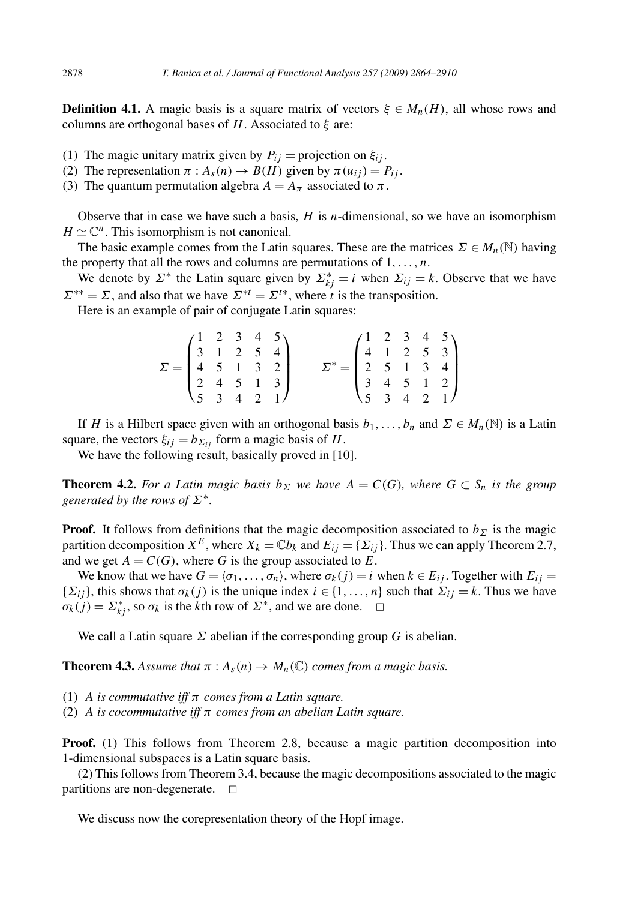**Definition 4.1.** A magic basis is a square matrix of vectors  $\xi \in M_n(H)$ , all whose rows and columns are orthogonal bases of *H*. Associated to *ξ* are:

- (1) The magic unitary matrix given by  $P_{ij}$  = projection on  $\xi_{ij}$ .
- (2) The representation  $\pi : A_s(n) \to B(H)$  given by  $\pi(u_{ij}) = P_{ij}$ .
- (3) The quantum permutation algebra  $A = A_{\pi}$  associated to  $\pi$ .

Observe that in case we have such a basis, *H* is *n*-dimensional, so we have an isomorphism  $H \simeq \mathbb{C}^n$ . This isomorphism is not canonical.

The basic example comes from the Latin squares. These are the matrices  $\Sigma \in M_n(\mathbb{N})$  having the property that all the rows and columns are permutations of 1*,...,n*.

We denote by  $\Sigma^*$  the Latin square given by  $\Sigma^*_{kj} = i$  when  $\Sigma_{ij} = k$ . Observe that we have  $\Sigma^{**} = \Sigma$ , and also that we have  $\Sigma^{*t} = \Sigma^{t*}$ , where *t* is the transposition.

Here is an example of pair of conjugate Latin squares:

|                                                            | $(1 \t2 \t3 \t4 \t5)$                             |  |  | $(1 \t2 \t3 \t4 \t5)$                                        |  |                                                   |
|------------------------------------------------------------|---------------------------------------------------|--|--|--------------------------------------------------------------|--|---------------------------------------------------|
|                                                            | $3 \t1 \t2 \t5 \t4$                               |  |  |                                                              |  | $\begin{bmatrix} 4 & 1 & 2 & 5 & 3 \end{bmatrix}$ |
| $\Sigma = \begin{bmatrix} 4 & 5 & 1 & 3 & 2 \end{bmatrix}$ |                                                   |  |  | $\Sigma^* = \begin{bmatrix} 2 & 5 & 1 & 3 & 4 \end{bmatrix}$ |  |                                                   |
|                                                            | $\begin{bmatrix} 2 & 4 & 5 & 1 & 3 \end{bmatrix}$ |  |  | $3 \t4 \t5 \t1 \t2$                                          |  |                                                   |
|                                                            | $\begin{bmatrix} 5 & 3 & 4 & 2 & 1 \end{bmatrix}$ |  |  |                                                              |  | $\begin{pmatrix} 5 & 3 & 4 & 2 & 1 \end{pmatrix}$ |

If *H* is a Hilbert space given with an orthogonal basis  $b_1, \ldots, b_n$  and  $\Sigma \in M_n(\mathbb{N})$  is a Latin square, the vectors  $\xi_{ij} = b_{\Sigma_{ij}}$  form a magic basis of *H*.

We have the following result, basically proved in [10].

**Theorem 4.2.** *For a Latin magic basis*  $b_{\Sigma}$  *we have*  $A = C(G)$ *, where*  $G \subset S_n$  *is the group generated by the rows of Σ*∗*.*

**Proof.** It follows from definitions that the magic decomposition associated to  $b<sub>Σ</sub>$  is the magic partition decomposition  $X^E$ , where  $X_k = \mathbb{C}b_k$  and  $E_{ij} = \{\Sigma_{ij}\}\$ . Thus we can apply Theorem 2.7, and we get  $A = C(G)$ , where G is the group associated to E.

We know that we have  $G = \langle \sigma_1, \ldots, \sigma_n \rangle$ , where  $\sigma_k(j) = i$  when  $k \in E_{ij}$ . Together with  $E_{ij} =$ { $\Sigma_{ij}$ }, this shows that  $\sigma_k(j)$  is the unique index  $i \in \{1, ..., n\}$  such that  $\Sigma_{ij} = k$ . Thus we have  $\sigma_k(j) = \sum_{kj}^*$ , so  $\sigma_k$  is the *k*th row of  $\sum^*$ , and we are done.  $\Box$ 

We call a Latin square *Σ* abelian if the corresponding group *G* is abelian.

**Theorem 4.3.** Assume that  $\pi$  :  $A_s(n) \to M_n(\mathbb{C})$  comes from a magic basis.

- (1) *A is commutative iff π comes from a Latin square.*
- (2) *A is cocommutative iff π comes from an abelian Latin square.*

**Proof.** (1) This follows from Theorem 2.8, because a magic partition decomposition into 1-dimensional subspaces is a Latin square basis.

(2) This follows from Theorem 3.4, because the magic decompositions associated to the magic partitions are non-degenerate.  $\square$ 

We discuss now the corepresentation theory of the Hopf image.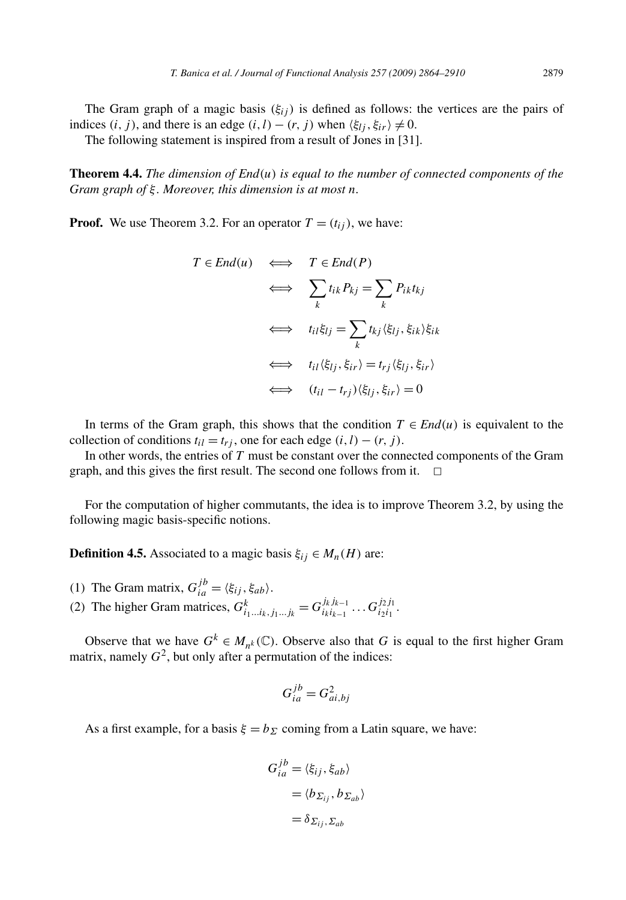The Gram graph of a magic basis  $(\xi_{ij})$  is defined as follows: the vertices are the pairs of indices  $(i, j)$ , and there is an edge  $(i, l) - (r, j)$  when  $\langle \xi_{lj}, \xi_{ir} \rangle \neq 0$ .

The following statement is inspired from a result of Jones in [31].

**Theorem 4.4.** *The dimension of End(u) is equal to the number of connected components of the Gram graph of ξ . Moreover, this dimension is at most n.*

**Proof.** We use Theorem 3.2. For an operator  $T = (t_{ij})$ , we have:

$$
T \in End(u) \iff T \in End(P)
$$
  
\n
$$
\iff \sum_{k} t_{ik} P_{kj} = \sum_{k} P_{ik} t_{kj}
$$
  
\n
$$
\iff t_{il} \xi_{lj} = \sum_{k} t_{kj} \langle \xi_{lj}, \xi_{ik} \rangle \xi_{ik}
$$
  
\n
$$
\iff t_{il} \langle \xi_{lj}, \xi_{ir} \rangle = t_{rj} \langle \xi_{lj}, \xi_{ir} \rangle
$$
  
\n
$$
\iff (t_{il} - t_{rj}) \langle \xi_{lj}, \xi_{ir} \rangle = 0
$$

In terms of the Gram graph, this shows that the condition  $T \in End(u)$  is equivalent to the collection of conditions  $t_{il} = t_{ri}$ , one for each edge  $(i, l) - (r, j)$ .

In other words, the entries of *T* must be constant over the connected components of the Gram graph, and this gives the first result. The second one follows from it.  $\Box$ 

For the computation of higher commutants, the idea is to improve Theorem 3.2, by using the following magic basis-specific notions.

**Definition 4.5.** Associated to a magic basis  $\xi_{ij} \in M_n(H)$  are:

(1) The Gram matrix,  $G_{ia}^{jb} = \langle \xi_{ij}, \xi_{ab} \rangle$ . (2) The higher Gram matrices,  $G_{i_1...i_k,j_1...j_k}^k = G_{i_ki_{k-1}}^{j_kj_{k-1}} \dots G_{i_2i_1}^{j_2j_1}$ .

Observe that we have  $G^k \in M_{n^k}(\mathbb{C})$ . Observe also that *G* is equal to the first higher Gram matrix, namely  $G^2$ , but only after a permutation of the indices:

$$
G_{ia}^{jb} = G_{ai,bj}^2
$$

As a first example, for a basis  $\xi = b_{\Sigma}$  coming from a Latin square, we have:

$$
G_{ia}^{j b} = \langle \xi_{ij}, \xi_{ab} \rangle
$$
  
=  $\langle b_{\Sigma_{ij}}, b_{\Sigma_{ab}} \rangle$   
=  $\delta_{\Sigma_{ij}, \Sigma_{ab}}$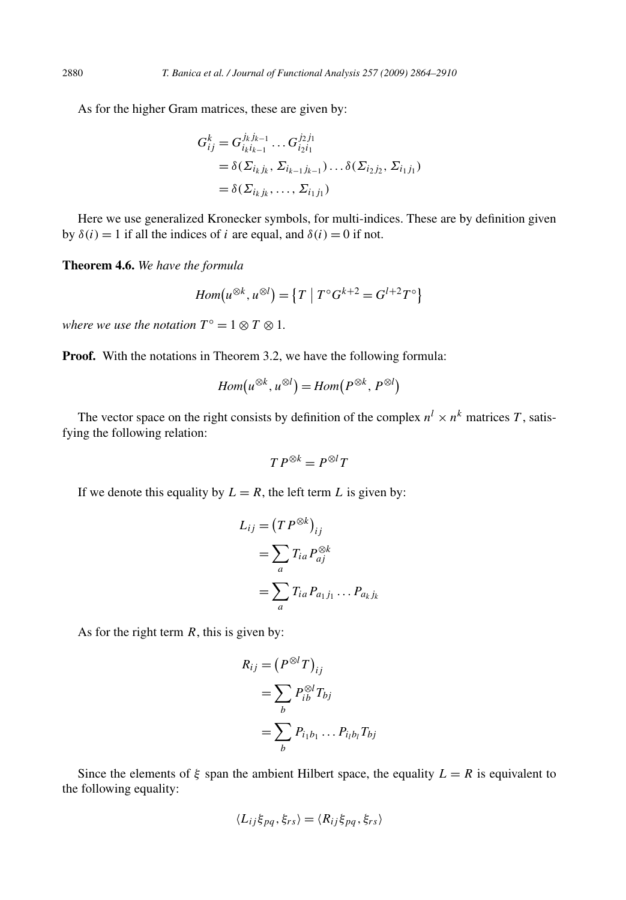As for the higher Gram matrices, these are given by:

$$
G_{ij}^k = G_{i_k i_{k-1}}^{j_k j_{k-1}} \dots G_{i_2 i_1}^{j_2 j_1}
$$
  
=  $\delta(\Sigma_{i_k j_k}, \Sigma_{i_{k-1} j_{k-1}}) \dots \delta(\Sigma_{i_2 j_2}, \Sigma_{i_1 j_1})$   
=  $\delta(\Sigma_{i_k j_k}, \dots, \Sigma_{i_1 j_1})$ 

Here we use generalized Kronecker symbols, for multi-indices. These are by definition given by  $\delta(i) = 1$  if all the indices of *i* are equal, and  $\delta(i) = 0$  if not.

**Theorem 4.6.** *We have the formula*

$$
Hom(u^{\otimes k}, u^{\otimes l}) = \{T \mid T^{\circ}G^{k+2} = G^{l+2}T^{\circ}\}
$$

*where we use the notation*  $T^{\circ} = 1 \otimes T \otimes 1$ *.* 

**Proof.** With the notations in Theorem 3.2, we have the following formula:

$$
Hom(u^{\otimes k}, u^{\otimes l}) = Hom(P^{\otimes k}, P^{\otimes l})
$$

The vector space on the right consists by definition of the complex  $n^l \times n^k$  matrices *T*, satisfying the following relation:

$$
TP^{\otimes k} = P^{\otimes l}T
$$

If we denote this equality by  $L = R$ , the left term  $L$  is given by:

$$
L_{ij} = (T P^{\otimes k})_{ij}
$$
  
= 
$$
\sum_{a} T_{ia} P_{aj}^{\otimes k}
$$
  
= 
$$
\sum_{a} T_{ia} P_{a_1 j_1} \dots P_{a_k j_k}
$$

As for the right term *R*, this is given by:

$$
R_{ij} = (P^{\otimes l}T)_{ij}
$$
  
= 
$$
\sum_{b} P_{ib}^{\otimes l} T_{bj}
$$
  
= 
$$
\sum_{b} P_{i_1b_1} \dots P_{i_lb_l} T_{bj}
$$

Since the elements of  $\xi$  span the ambient Hilbert space, the equality  $L = R$  is equivalent to the following equality:

$$
\langle L_{ij} \xi_{pq}, \xi_{rs} \rangle = \langle R_{ij} \xi_{pq}, \xi_{rs} \rangle
$$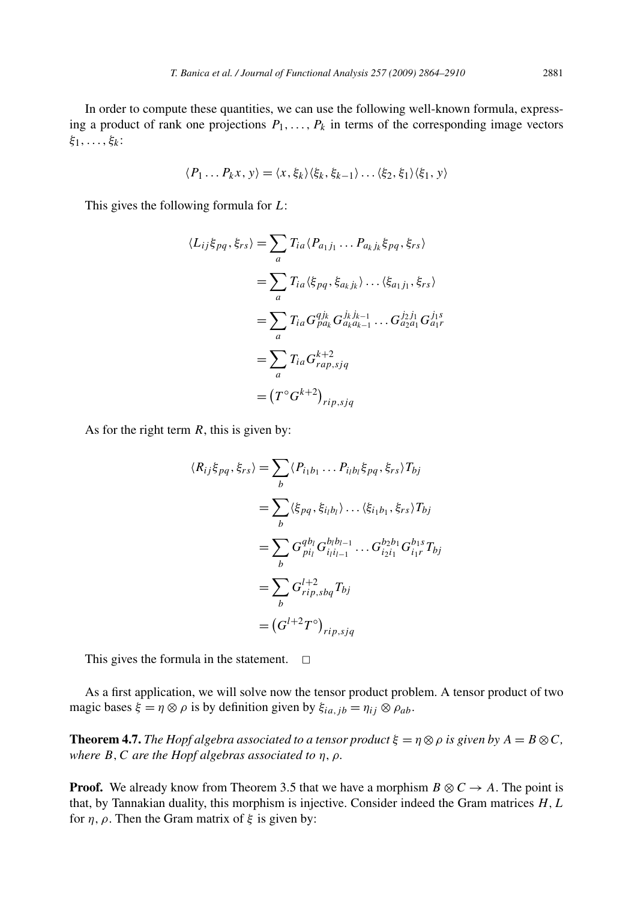In order to compute these quantities, we can use the following well-known formula, expressing a product of rank one projections  $P_1, \ldots, P_k$  in terms of the corresponding image vectors *ξ*1*,...,ξk* :

$$
\langle P_1 \dots P_k x, y \rangle = \langle x, \xi_k \rangle \langle \xi_k, \xi_{k-1} \rangle \dots \langle \xi_2, \xi_1 \rangle \langle \xi_1, y \rangle
$$

This gives the following formula for *L*:

$$
\langle L_{ij}\xi_{pq}, \xi_{rs}\rangle = \sum_{a} T_{ia} \langle P_{a_1j_1} \dots P_{a_kj_k}\xi_{pq}, \xi_{rs}\rangle
$$
  

$$
= \sum_{a} T_{ia} \langle \xi_{pq}, \xi_{a_kj_k}\rangle \dots \langle \xi_{a_1j_1}, \xi_{rs}\rangle
$$
  

$$
= \sum_{a} T_{ia} G_{pa_k}^{qj_k} G_{a_k a_{k-1}}^{j_k j_{k-1}} \dots G_{a_2a_1}^{j_2 j_1} G_{a_1r}^{j_1 s}
$$
  

$$
= \sum_{a} T_{ia} G_{rap,sjq}^{k+2}
$$
  

$$
= (T^{\circ} G^{k+2})_{rip,sjq}
$$

As for the right term *R*, this is given by:

$$
\langle R_{ij}\xi_{pq}, \xi_{rs} \rangle = \sum_{b} \langle P_{i_1b_1} \dots P_{i_lb_l} \xi_{pq}, \xi_{rs} \rangle T_{bj}
$$
  
\n
$$
= \sum_{b} \langle \xi_{pq}, \xi_{i_lb_l} \rangle \dots \langle \xi_{i_1b_1}, \xi_{rs} \rangle T_{bj}
$$
  
\n
$$
= \sum_{b} G_{pi}^{qb_l} G_{i_1i_{l-1}}^{b_1b_{l-1}} \dots G_{i_2i_1}^{b_2b_1} G_{i_1r}^{b_1s} T_{bj}
$$
  
\n
$$
= \sum_{b} G_{rip, sbq}^{l+2} T_{bj}
$$
  
\n
$$
= (G^{l+2} T^{\circ})_{rip, sjq}
$$

This gives the formula in the statement.  $\Box$ 

As a first application, we will solve now the tensor product problem. A tensor product of two magic bases  $\xi = \eta \otimes \rho$  is by definition given by  $\xi_{ia, ib} = \eta_{ij} \otimes \rho_{ab}$ .

**Theorem 4.7.** *The Hopf algebra associated to a tensor product*  $\xi = \eta \otimes \rho$  *is given by*  $A = B \otimes C$ *, where B,C are the Hopf algebras associated to η, ρ.*

**Proof.** We already know from Theorem 3.5 that we have a morphism  $B \otimes C \rightarrow A$ . The point is that, by Tannakian duality, this morphism is injective. Consider indeed the Gram matrices *H,L* for *η, ρ*. Then the Gram matrix of *ξ* is given by: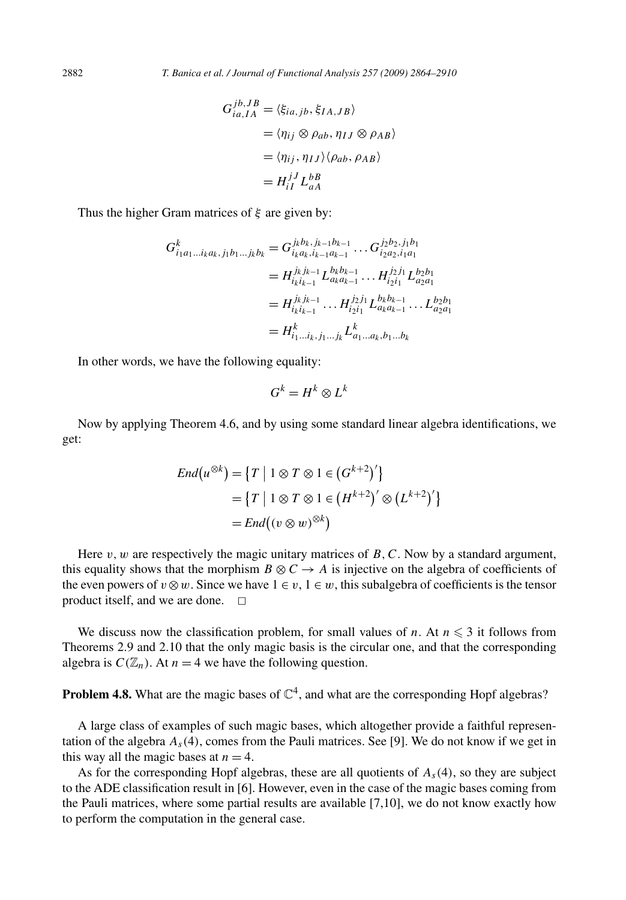$$
G_{ia,IA}^{jb,JB} = \langle \xi_{ia,jb}, \xi_{IA,JB} \rangle
$$
  
=  $\langle \eta_{ij} \otimes \rho_{ab}, \eta_{IJ} \otimes \rho_{AB} \rangle$   
=  $\langle \eta_{ij}, \eta_{IJ} \rangle \langle \rho_{ab}, \rho_{AB} \rangle$   
=  $H_{iI}^{jJ} L_{aA}^{bB}$ 

Thus the higher Gram matrices of *ξ* are given by:

$$
G_{i_1a_1...i_k a_k,j_1b_1...j_k b_k}^k = G_{i_k a_k, i_{k-1}a_{k-1}}^{j_k b_k, j_{k-1}b_{k-1}} \dots G_{i_2a_2, i_1a_1}^{j_2b_2, j_1b_1}
$$
  
\n
$$
= H_{i_k i_{k-1}}^{j_k j_{k-1}} L_{a_k a_{k-1}}^{b_k b_{k-1}} \dots H_{i_2 i_1}^{j_2 j_1} L_{a_2 a_1}^{b_2 b_1}
$$
  
\n
$$
= H_{i_k i_{k-1}}^{j_k j_{k-1}} \dots H_{i_2 i_1}^{j_2 j_1} L_{a_k a_{k-1}}^{b_k b_{k-1}} \dots L_{a_2 a_1}^{b_2 b_1}
$$
  
\n
$$
= H_{i_1...i_k, j_1...j_k}^k L_{a_1...a_k, b_1...b_k}^k
$$

In other words, we have the following equality:

$$
G^k = H^k \otimes L^k
$$

Now by applying Theorem 4.6, and by using some standard linear algebra identifications, we get:

$$
End(u^{\otimes k}) = \{T \mid 1 \otimes T \otimes 1 \in (G^{k+2})'\}
$$
  
= 
$$
\{T \mid 1 \otimes T \otimes 1 \in (H^{k+2})' \otimes (L^{k+2})'\}
$$
  
= 
$$
End((v \otimes w)^{\otimes k})
$$

Here  $v, w$  are respectively the magic unitary matrices of  $B, C$ . Now by a standard argument, this equality shows that the morphism  $B \otimes C \rightarrow A$  is injective on the algebra of coefficients of the even powers of  $v \otimes w$ . Since we have  $1 \in v$ ,  $1 \in w$ , this subalgebra of coefficients is the tensor product itself, and we are done.  $\Box$ 

We discuss now the classification problem, for small values of *n*. At  $n \leq 3$  it follows from Theorems 2.9 and 2.10 that the only magic basis is the circular one, and that the corresponding algebra is  $C(\mathbb{Z}_n)$ . At  $n = 4$  we have the following question.

**Problem 4.8.** What are the magic bases of  $\mathbb{C}^4$ , and what are the corresponding Hopf algebras?

A large class of examples of such magic bases, which altogether provide a faithful representation of the algebra  $A_s(4)$ , comes from the Pauli matrices. See [9]. We do not know if we get in this way all the magic bases at  $n = 4$ .

As for the corresponding Hopf algebras, these are all quotients of  $A<sub>s</sub>(4)$ , so they are subject to the ADE classification result in [6]. However, even in the case of the magic bases coming from the Pauli matrices, where some partial results are available [7,10], we do not know exactly how to perform the computation in the general case.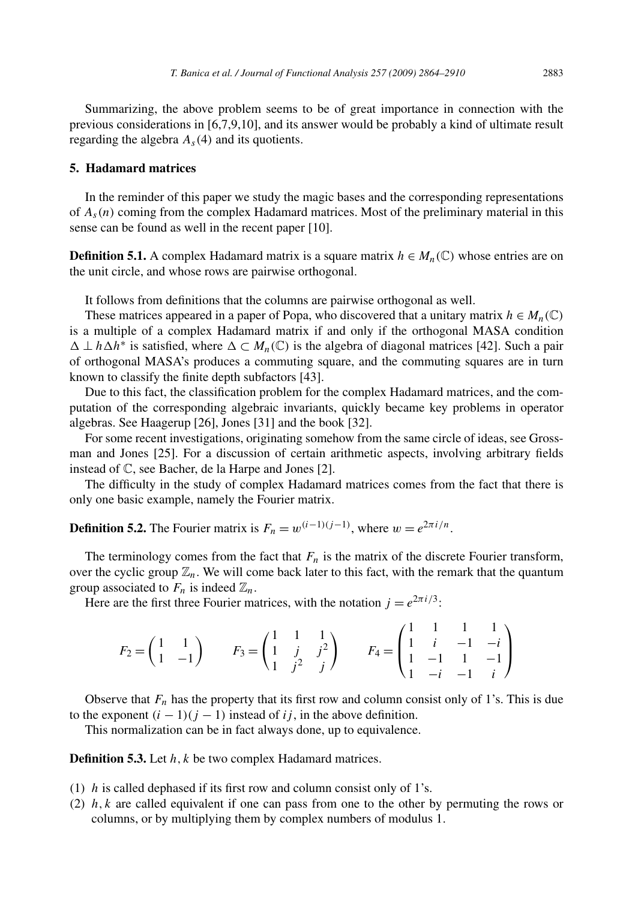Summarizing, the above problem seems to be of great importance in connection with the previous considerations in [6,7,9,10], and its answer would be probably a kind of ultimate result regarding the algebra  $A_s(4)$  and its quotients.

## **5. Hadamard matrices**

In the reminder of this paper we study the magic bases and the corresponding representations of *As(n)* coming from the complex Hadamard matrices. Most of the preliminary material in this sense can be found as well in the recent paper [10].

**Definition 5.1.** A complex Hadamard matrix is a square matrix  $h \in M_n(\mathbb{C})$  whose entries are on the unit circle, and whose rows are pairwise orthogonal.

It follows from definitions that the columns are pairwise orthogonal as well.

These matrices appeared in a paper of Popa, who discovered that a unitary matrix  $h \in M_n(\mathbb{C})$ is a multiple of a complex Hadamard matrix if and only if the orthogonal MASA condition  $\Delta \perp h \Delta h^*$  is satisfied, where  $\Delta \subset M_n(\mathbb{C})$  is the algebra of diagonal matrices [42]. Such a pair of orthogonal MASA's produces a commuting square, and the commuting squares are in turn known to classify the finite depth subfactors [43].

Due to this fact, the classification problem for the complex Hadamard matrices, and the computation of the corresponding algebraic invariants, quickly became key problems in operator algebras. See Haagerup [26], Jones [31] and the book [32].

For some recent investigations, originating somehow from the same circle of ideas, see Grossman and Jones [25]. For a discussion of certain arithmetic aspects, involving arbitrary fields instead of C, see Bacher, de la Harpe and Jones [2].

The difficulty in the study of complex Hadamard matrices comes from the fact that there is only one basic example, namely the Fourier matrix.

**Definition 5.2.** The Fourier matrix is  $F_n = w^{(i-1)(j-1)}$ , where  $w = e^{2\pi i/n}$ .

The terminology comes from the fact that  $F_n$  is the matrix of the discrete Fourier transform, over the cyclic group  $\mathbb{Z}_n$ . We will come back later to this fact, with the remark that the quantum group associated to  $F_n$  is indeed  $\mathbb{Z}_n$ .

Here are the first three Fourier matrices, with the notation  $j = e^{2\pi i/3}$ :

$$
F_2 = \begin{pmatrix} 1 & 1 \\ 1 & -1 \end{pmatrix} \qquad F_3 = \begin{pmatrix} 1 & 1 & 1 \\ 1 & j & j^2 \\ 1 & j^2 & j \end{pmatrix} \qquad F_4 = \begin{pmatrix} 1 & 1 & 1 & 1 \\ 1 & i & -1 & -i \\ 1 & -1 & 1 & -1 \\ 1 & -i & -1 & i \end{pmatrix}
$$

Observe that  $F_n$  has the property that its first row and column consist only of 1's. This is due to the exponent  $(i - 1)(j - 1)$  instead of *ij*, in the above definition.

This normalization can be in fact always done, up to equivalence.

**Definition 5.3.** Let *h, k* be two complex Hadamard matrices.

- (1) *h* is called dephased if its first row and column consist only of 1's.
- (2) *h, k* are called equivalent if one can pass from one to the other by permuting the rows or columns, or by multiplying them by complex numbers of modulus 1.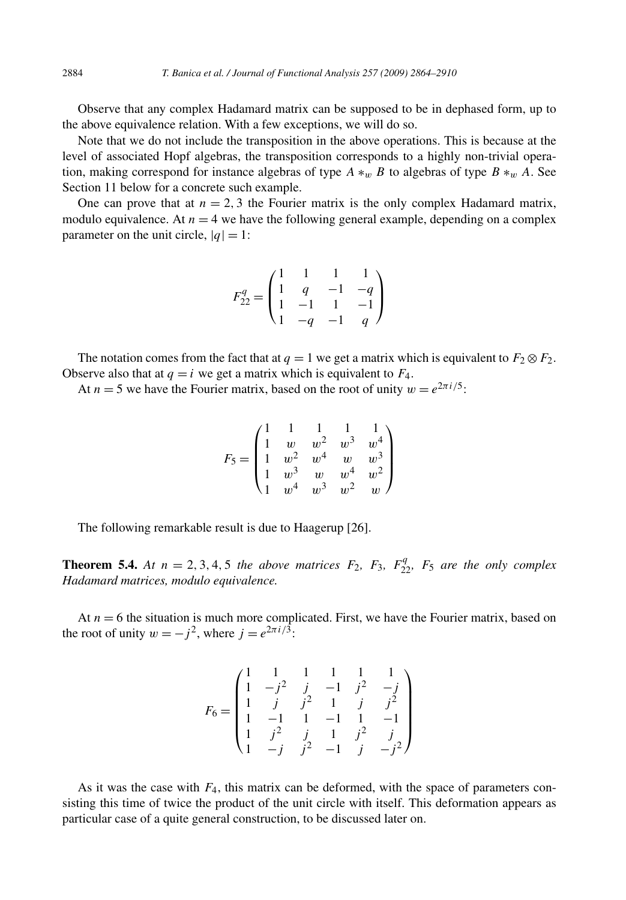Observe that any complex Hadamard matrix can be supposed to be in dephased form, up to the above equivalence relation. With a few exceptions, we will do so.

Note that we do not include the transposition in the above operations. This is because at the level of associated Hopf algebras, the transposition corresponds to a highly non-trivial operation, making correspond for instance algebras of type *A* ∗*<sup>w</sup> B* to algebras of type *B* ∗*<sup>w</sup> A*. See Section 11 below for a concrete such example.

One can prove that at  $n = 2, 3$  the Fourier matrix is the only complex Hadamard matrix, modulo equivalence. At  $n = 4$  we have the following general example, depending on a complex parameter on the unit circle,  $|q| = 1$ :

$$
F_{22}^q = \begin{pmatrix} 1 & 1 & 1 & 1 \\ 1 & q & -1 & -q \\ 1 & -1 & 1 & -1 \\ 1 & -q & -1 & q \end{pmatrix}
$$

The notation comes from the fact that at  $q = 1$  we get a matrix which is equivalent to  $F_2 \otimes F_2$ . Observe also that at  $q = i$  we get a matrix which is equivalent to  $F_4$ .

At  $n = 5$  we have the Fourier matrix, based on the root of unity  $w = e^{2\pi i/5}$ .

$$
F_5 = \begin{pmatrix} 1 & 1 & 1 & 1 & 1 \\ 1 & w & w^2 & w^3 & w^4 \\ 1 & w^2 & w^4 & w & w^3 \\ 1 & w^3 & w & w^4 & w^2 \\ 1 & w^4 & w^3 & w^2 & w \end{pmatrix}
$$

The following remarkable result is due to Haagerup [26].

**Theorem 5.4.** At  $n = 2, 3, 4, 5$  the above matrices  $F_2$ ,  $F_3$ ,  $F_{22}^q$ ,  $F_5$  are the only complex *Hadamard matrices, modulo equivalence.*

At  $n = 6$  the situation is much more complicated. First, we have the Fourier matrix, based on the root of unity  $w = -j^2$ , where  $j = e^{2\pi i/3}$ :

$$
F_6 = \begin{pmatrix} 1 & 1 & 1 & 1 & 1 & 1 \\ 1 & -j^2 & j & -1 & j^2 & -j \\ 1 & j & j^2 & 1 & j & j^2 \\ 1 & -1 & 1 & -1 & 1 & -1 \\ 1 & j^2 & j & 1 & j^2 & j \\ 1 & -j & j^2 & -1 & j & -j^2 \end{pmatrix}
$$

As it was the case with  $F_4$ , this matrix can be deformed, with the space of parameters consisting this time of twice the product of the unit circle with itself. This deformation appears as particular case of a quite general construction, to be discussed later on.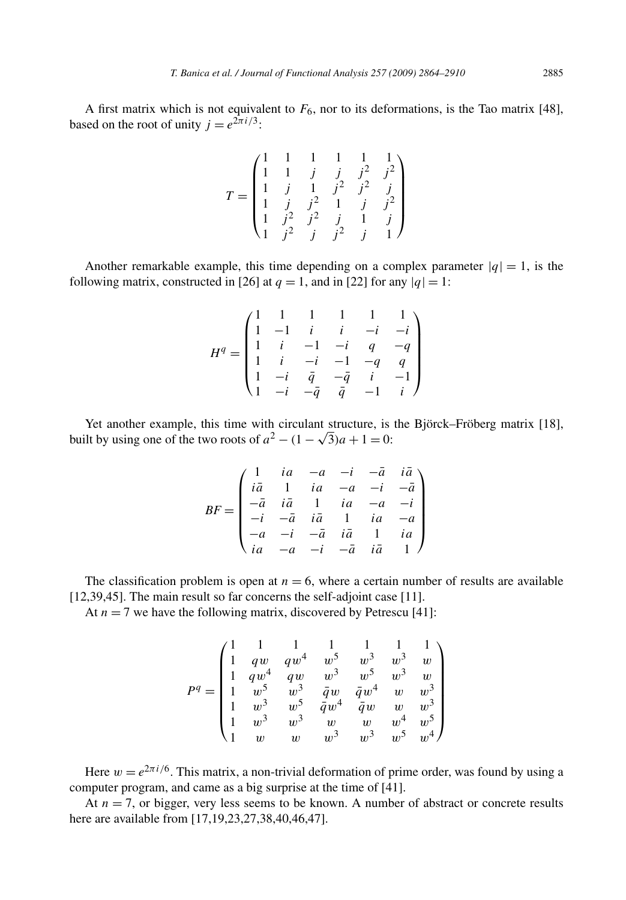A first matrix which is not equivalent to  $F_6$ , nor to its deformations, is the Tao matrix [48], based on the root of unity  $j = e^{2\pi i/3}$ :

$$
T = \begin{pmatrix} 1 & 1 & 1 & 1 & 1 & 1 \\ 1 & 1 & j & j & j^2 & j^2 \\ 1 & j & 1 & j^2 & j^2 & j \\ 1 & j & j^2 & 1 & j & j^2 \\ 1 & j^2 & j^2 & j & 1 & j \\ 1 & j^2 & j & j^2 & j & 1 \end{pmatrix}
$$

Another remarkable example, this time depending on a complex parameter  $|q| = 1$ , is the following matrix, constructed in [26] at  $q = 1$ , and in [22] for any  $|q| = 1$ :

$$
H^q=\begin{pmatrix} 1&1&1&1&1&1\\ 1&-1&i&i&-i&-i\\ 1&i&-1&-i&q&-q\\ 1&i&-i&-1&-q&q\\ 1&-i&\bar{q}&-\bar{q}&i&-1\\ 1&-i&-\bar{q}&\bar{q}&-1&i \end{pmatrix}
$$

Yet another example, this time with circulant structure, is the Björck–Fröberg matrix [18], built by using one of the two roots of  $a^2 - (1 - \sqrt{3})a + 1 = 0$ :

$$
BF = \begin{pmatrix} 1 & ia & -a & -i & -\bar{a} & i\bar{a} \\ i\bar{a} & 1 & ia & -a & -i & -\bar{a} \\ -\bar{a} & i\bar{a} & 1 & ia & -a & -i \\ -i & -\bar{a} & i\bar{a} & 1 & ia & -a \\ -a & -i & -\bar{a} & i\bar{a} & 1 & ia \\ ia & -a & -i & -\bar{a} & i\bar{a} & 1 \end{pmatrix}
$$

The classification problem is open at  $n = 6$ , where a certain number of results are available [12,39,45]. The main result so far concerns the self-adjoint case [11].

At  $n = 7$  we have the following matrix, discovered by Petrescu [41]:

$$
P^q = \begin{pmatrix} 1 & 1 & 1 & 1 & 1 & 1 & 1 \\ 1 & qw & qw^4 & w^5 & w^3 & w^3 & w \\ 1 & qw^4 & qw & w^3 & w^5 & w^3 & w \\ 1 & w^5 & w^3 & \bar{q}w & \bar{q}w^4 & w & w^3 \\ 1 & w^3 & w^5 & \bar{q}w^4 & \bar{q}w & w & w^3 \\ 1 & w^3 & w^3 & w & w & w^4 & w^5 \\ 1 & w & w & w^3 & w^3 & w^5 & w^4 \end{pmatrix}
$$

Here  $w = e^{2\pi i/6}$ . This matrix, a non-trivial deformation of prime order, was found by using a computer program, and came as a big surprise at the time of [41].

At  $n = 7$ , or bigger, very less seems to be known. A number of abstract or concrete results here are available from [17,19,23,27,38,40,46,47].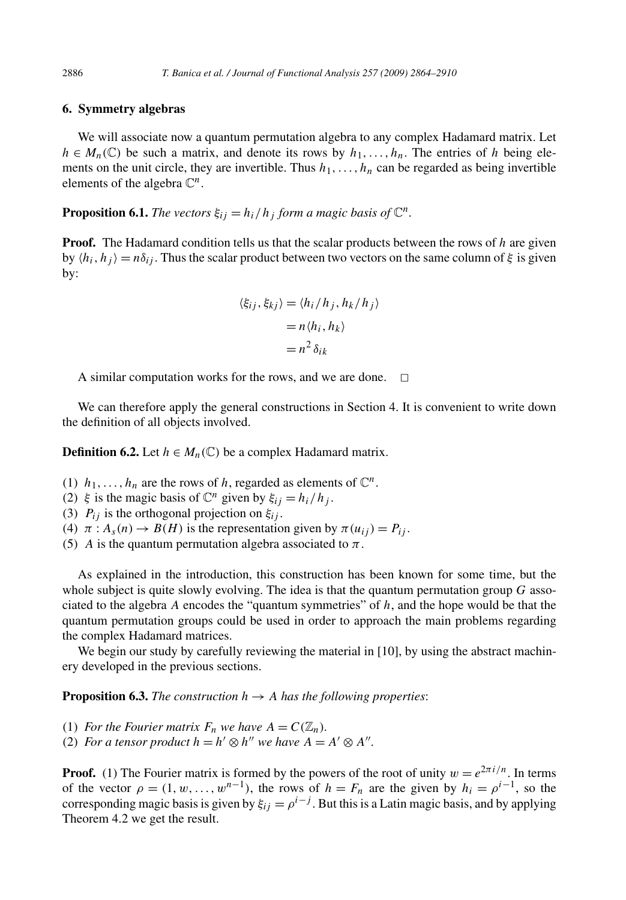## **6. Symmetry algebras**

We will associate now a quantum permutation algebra to any complex Hadamard matrix. Let  $h \in M_n(\mathbb{C})$  be such a matrix, and denote its rows by  $h_1, \ldots, h_n$ . The entries of h being elements on the unit circle, they are invertible. Thus  $h_1, \ldots, h_n$  can be regarded as being invertible elements of the algebra  $\mathbb{C}^n$ .

**Proposition 6.1.** *The vectors*  $\xi_{ij} = h_i/h_j$  *form a magic basis of*  $\mathbb{C}^n$ *.* 

**Proof.** The Hadamard condition tells us that the scalar products between the rows of *h* are given by  $\langle h_i, h_j \rangle = n\delta_{ij}$ . Thus the scalar product between two vectors on the same column of  $\xi$  is given by:

$$
\langle \xi_{ij}, \xi_{kj} \rangle = \langle h_i / h_j, h_k / h_j \rangle
$$

$$
= n \langle h_i, h_k \rangle
$$

$$
= n^2 \delta_{ik}
$$

A similar computation works for the rows, and we are done.  $\Box$ 

We can therefore apply the general constructions in Section 4. It is convenient to write down the definition of all objects involved.

**Definition 6.2.** Let  $h \in M_n(\mathbb{C})$  be a complex Hadamard matrix.

- (1)  $h_1, \ldots, h_n$  are the rows of *h*, regarded as elements of  $\mathbb{C}^n$ .
- (2) *ξ* is the magic basis of  $\mathbb{C}^n$  given by  $\xi_{ij} = h_i/h_j$ .
- (3)  $P_{ij}$  is the orthogonal projection on  $\xi_{ij}$ .
- (4)  $\pi$  :  $A_s(n) \rightarrow B(H)$  is the representation given by  $\pi(u_{ij}) = P_{ij}$ .
- (5) *A* is the quantum permutation algebra associated to  $\pi$ .

As explained in the introduction, this construction has been known for some time, but the whole subject is quite slowly evolving. The idea is that the quantum permutation group *G* associated to the algebra *A* encodes the "quantum symmetries" of *h*, and the hope would be that the quantum permutation groups could be used in order to approach the main problems regarding the complex Hadamard matrices.

We begin our study by carefully reviewing the material in [10], by using the abstract machinery developed in the previous sections.

**Proposition 6.3.** *The construction*  $h \to A$  *has the following properties:* 

- (1) *For the Fourier matrix*  $F_n$  *we have*  $A = C(\mathbb{Z}_n)$ *.*
- (2) *For a tensor product*  $h = h' \otimes h''$  *we have*  $A = A' \otimes A''$ .

**Proof.** (1) The Fourier matrix is formed by the powers of the root of unity  $w = e^{2\pi i/n}$ . In terms of the vector  $\rho = (1, w, \dots, w^{n-1})$ , the rows of  $h = F_n$  are the given by  $h_i = \rho^{i-1}$ , so the corresponding magic basis is given by  $\xi_{ij} = \rho^{i-j}$ . But this is a Latin magic basis, and by applying Theorem 4.2 we get the result.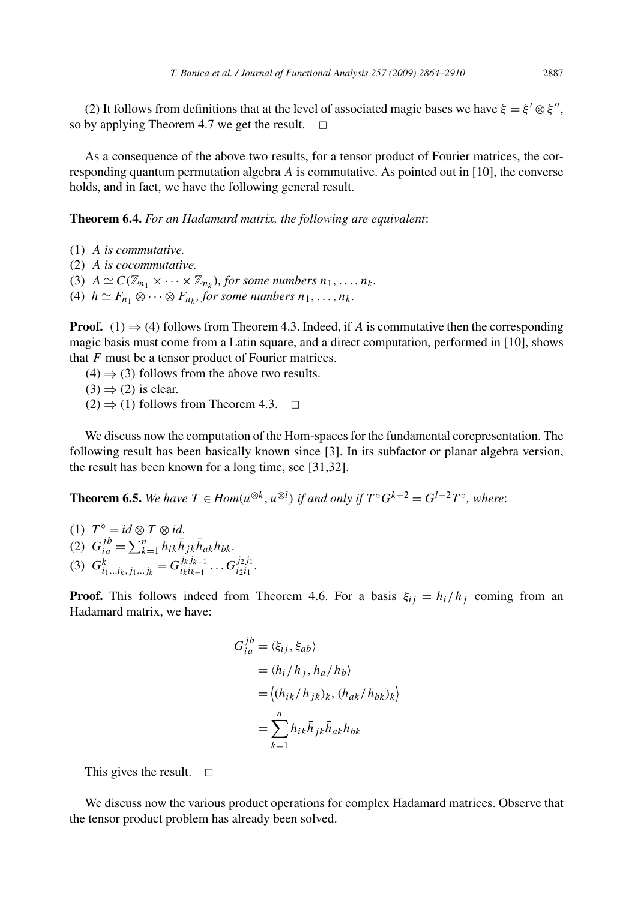(2) It follows from definitions that at the level of associated magic bases we have  $\xi = \xi' \otimes \xi''$ , so by applying Theorem 4.7 we get the result.  $\Box$ 

As a consequence of the above two results, for a tensor product of Fourier matrices, the corresponding quantum permutation algebra *A* is commutative. As pointed out in [10], the converse holds, and in fact, we have the following general result.

**Theorem 6.4.** *For an Hadamard matrix, the following are equivalent*:

(1) *A is commutative.* (2) *A is cocommutative.* (3)  $A \simeq C(\mathbb{Z}_{n_1} \times \cdots \times \mathbb{Z}_{n_k})$ , for some numbers  $n_1, \ldots, n_k$ . (4)  $h \simeq F_{n_1} \otimes \cdots \otimes F_{n_k}$ , for some numbers  $n_1, \ldots, n_k$ .

**Proof.** (1)  $\Rightarrow$  (4) follows from Theorem 4.3. Indeed, if *A* is commutative then the corresponding magic basis must come from a Latin square, and a direct computation, performed in [10], shows that *F* must be a tensor product of Fourier matrices.

 $(4) \Rightarrow (3)$  follows from the above two results.

 $(3) \Rightarrow (2)$  is clear.

 $(2) \Rightarrow (1)$  follows from Theorem 4.3.  $\Box$ 

We discuss now the computation of the Hom-spaces for the fundamental corepresentation. The following result has been basically known since [3]. In its subfactor or planar algebra version, the result has been known for a long time, see [31,32].

**Theorem 6.5.** We have  $T \in Hom(u^{\otimes k}, u^{\otimes l})$  if and only if  $T^{\circ}G^{k+2} = G^{l+2}T^{\circ}$ , where:

 $(T^{\circ} = id \otimes T \otimes id.$ (2)  $G_{ia}^{jb} = \sum_{k=1}^{n} h_{ik} \bar{h}_{jk} \bar{h}_{ak} h_{bk}$ . (3)  $G_{i_1...i_k,j_1...j_k}^k = G_{i_k i_{k-1}}^{j_k j_{k-1}} \dots G_{i_2 i_1}^{j_2 j_1}.$ 

**Proof.** This follows indeed from Theorem 4.6. For a basis  $\xi_{ii} = h_i/h_i$  coming from an Hadamard matrix, we have:

$$
G_{ia}^{jb} = \langle \xi_{ij}, \xi_{ab} \rangle
$$
  
=  $\langle h_i / h_j, h_a / h_b \rangle$   
=  $\langle (h_{ik} / h_{jk})_k, (h_{ak} / h_{bk})_k \rangle$   
=  $\sum_{k=1}^n h_{ik} \bar{h}_{jk} \bar{h}_{ak} h_{bk}$ 

This gives the result.  $\square$ 

We discuss now the various product operations for complex Hadamard matrices. Observe that the tensor product problem has already been solved.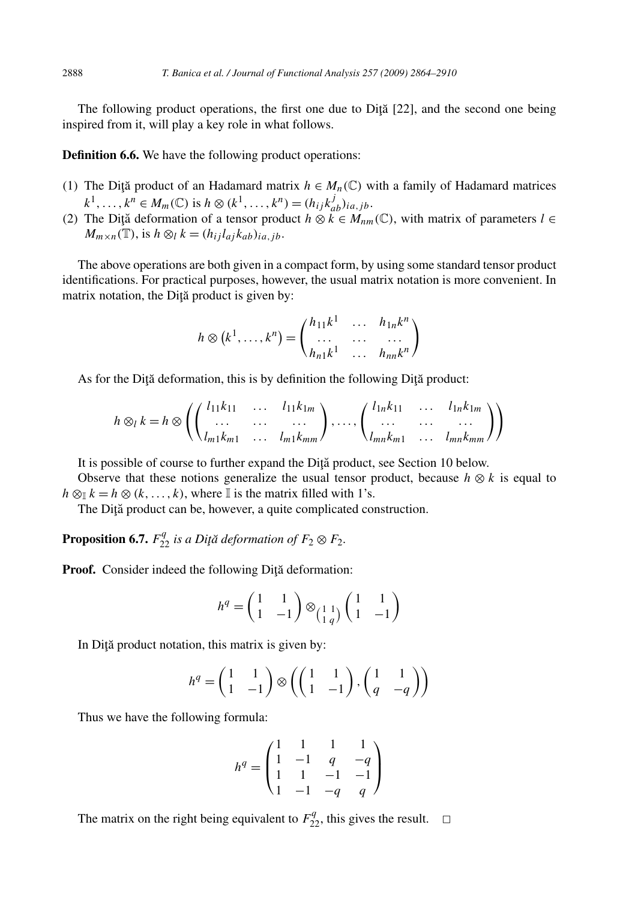The following product operations, the first one due to  $Di<sub>i</sub>$  [22], and the second one being inspired from it, will play a key role in what follows.

**Definition 6.6.** We have the following product operations:

- (1) The Dita product of an Hadamard matrix  $h \in M_n(\mathbb{C})$  with a family of Hadamard matrices  $k^{1}, \ldots, k^{n} \in M_{m}(\mathbb{C})$  is  $h \otimes (k^{1}, \ldots, k^{n}) = (h_{ij}k_{ab}^{j})_{ia,jb}$ .
- (2) The Diţă deformation of a tensor product  $h \otimes k \in M_{nm}(\mathbb{C})$ , with matrix of parameters  $l \in$  $M_{m \times n}(\mathbb{T})$ , is  $h \otimes_l k = (h_{ij}l_{aj}k_{ab})_{ia, ib}$ .

The above operations are both given in a compact form, by using some standard tensor product identifications. For practical purposes, however, the usual matrix notation is more convenient. In matrix notation, the Diță product is given by:

$$
h \otimes (k^1, \dots, k^n) = \begin{pmatrix} h_{11}k^1 & \dots & h_{1n}k^n \\ \dots & \dots & \dots \\ h_{n1}k^1 & \dots & h_{nn}k^n \end{pmatrix}
$$

As for the Diță deformation, this is by definition the following Diță product:

$$
h \otimes_l k = h \otimes \left( \begin{pmatrix} l_{11}k_{11} & \dots & l_{11}k_{1m} \\ \dots & \dots & \dots \\ l_{m1}k_{m1} & \dots & l_{m1}k_{mm} \end{pmatrix}, \dots, \begin{pmatrix} l_{1n}k_{11} & \dots & l_{1n}k_{1m} \\ \dots & \dots & \dots \\ l_{mn}k_{m1} & \dots & l_{mn}k_{mm} \end{pmatrix} \right)
$$

It is possible of course to further expand the Diță product, see Section 10 below.

Observe that these notions generalize the usual tensor product, because  $h \otimes k$  is equal to  $h \otimes_{\mathbb{I}} k = h \otimes (k, \ldots, k)$ , where  $\mathbb{I}$  is the matrix filled with 1's.

The Diță product can be, however, a quite complicated construction.

**Proposition 6.7.**  $F_{22}^q$  is a Diţă deformation of  $F_2 \otimes F_2$ .

Proof. Consider indeed the following Diță deformation:

$$
h^q = \begin{pmatrix} 1 & 1 \\ 1 & -1 \end{pmatrix} \otimes \begin{pmatrix} 1 & 1 \\ 1 & q \end{pmatrix} \begin{pmatrix} 1 & 1 \\ 1 & -1 \end{pmatrix}
$$

In Diță product notation, this matrix is given by:

$$
h^{q} = \begin{pmatrix} 1 & 1 \\ 1 & -1 \end{pmatrix} \otimes \left( \begin{pmatrix} 1 & 1 \\ 1 & -1 \end{pmatrix}, \begin{pmatrix} 1 & 1 \\ q & -q \end{pmatrix} \right)
$$

Thus we have the following formula:

$$
h^{q} = \begin{pmatrix} 1 & 1 & 1 & 1 \\ 1 & -1 & q & -q \\ 1 & 1 & -1 & -1 \\ 1 & -1 & -q & q \end{pmatrix}
$$

The matrix on the right being equivalent to  $F_{22}^q$ , this gives the result.  $\Box$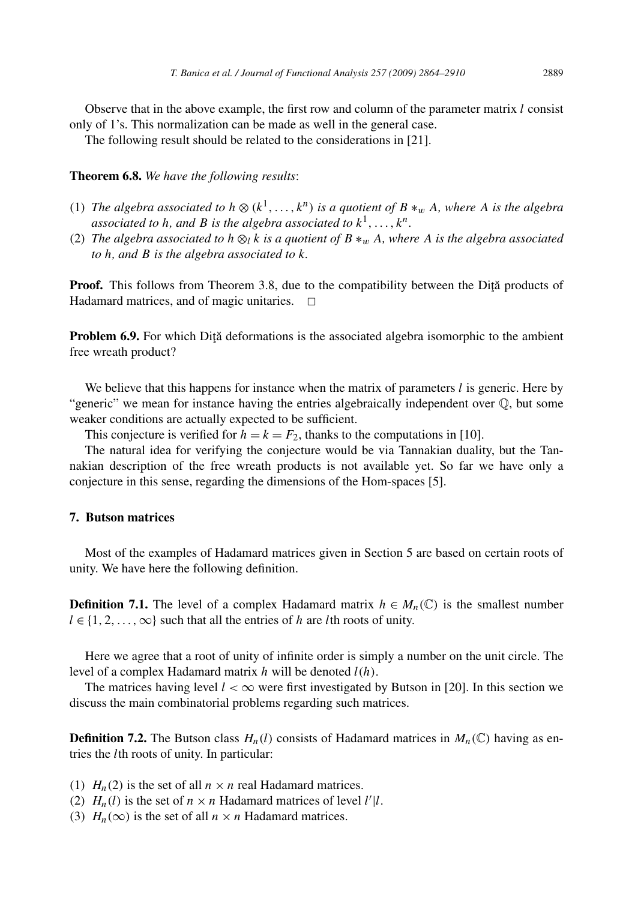Observe that in the above example, the first row and column of the parameter matrix *l* consist only of 1's. This normalization can be made as well in the general case.

The following result should be related to the considerations in [21].

**Theorem 6.8.** *We have the following results*:

- (1) *The algebra associated to*  $h \otimes (k^1, \ldots, k^n)$  *is a quotient of*  $B \ast_w A$ *, where A is the algebra associated to h*, and *B is the algebra associated to*  $k^1, \ldots, k^n$ .
- (2) *The algebra associated to h*  $\otimes_l k$  *is a quotient of*  $B \ast_w A$ *, where A is the algebra associated to h, and B is the algebra associated to k.*

**Proof.** This follows from Theorem 3.8, due to the compatibility between the Dita products of Hadamard matrices, and of magic unitaries.  $\Box$ 

**Problem 6.9.** For which Dita deformations is the associated algebra isomorphic to the ambient free wreath product?

We believe that this happens for instance when the matrix of parameters *l* is generic. Here by "generic" we mean for instance having the entries algebraically independent over Q, but some weaker conditions are actually expected to be sufficient.

This conjecture is verified for  $h = k = F_2$ , thanks to the computations in [10].

The natural idea for verifying the conjecture would be via Tannakian duality, but the Tannakian description of the free wreath products is not available yet. So far we have only a conjecture in this sense, regarding the dimensions of the Hom-spaces [5].

#### **7. Butson matrices**

Most of the examples of Hadamard matrices given in Section 5 are based on certain roots of unity. We have here the following definition.

**Definition 7.1.** The level of a complex Hadamard matrix  $h \in M_n(\mathbb{C})$  is the smallest number  $l \in \{1, 2, \ldots, \infty\}$  such that all the entries of *h* are *l*th roots of unity.

Here we agree that a root of unity of infinite order is simply a number on the unit circle. The level of a complex Hadamard matrix *h* will be denoted *l(h)*.

The matrices having level  $l < \infty$  were first investigated by Butson in [20]. In this section we discuss the main combinatorial problems regarding such matrices.

**Definition 7.2.** The Butson class  $H_n(l)$  consists of Hadamard matrices in  $M_n(\mathbb{C})$  having as entries the *l*th roots of unity. In particular:

(1)  $H_n(2)$  is the set of all  $n \times n$  real Hadamard matrices.

- (2)  $H_n(l)$  is the set of  $n \times n$  Hadamard matrices of level  $l'|l$ .
- (3)  $H_n(\infty)$  is the set of all  $n \times n$  Hadamard matrices.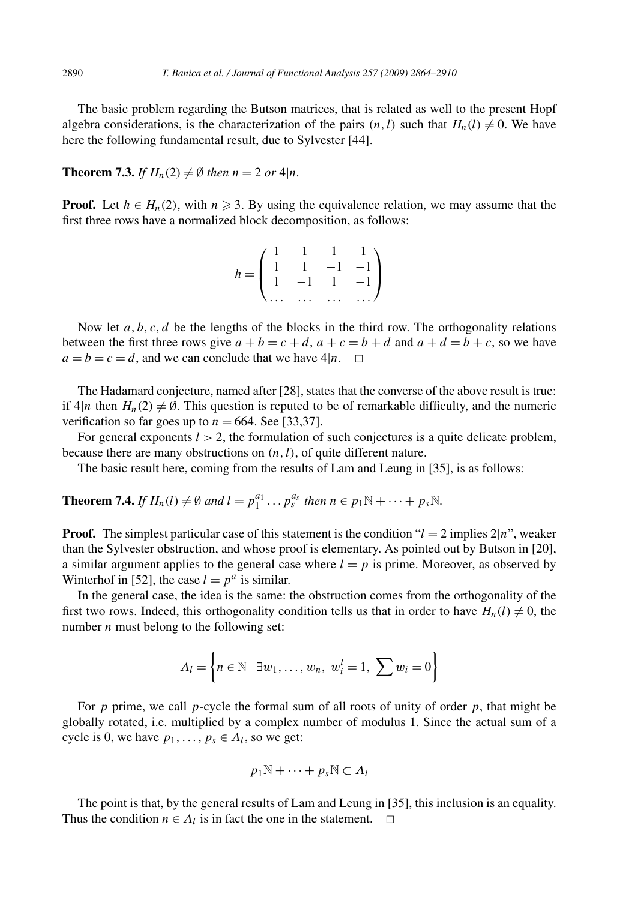The basic problem regarding the Butson matrices, that is related as well to the present Hopf algebra considerations, is the characterization of the pairs  $(n, l)$  such that  $H_n(l) \neq 0$ . We have here the following fundamental result, due to Sylvester [44].

**Theorem 7.3.** *If*  $H_n(2) \neq \emptyset$  *then*  $n = 2$  *or* 4|*n.* 

**Proof.** Let  $h \in H_n(2)$ , with  $n \geq 3$ . By using the equivalence relation, we may assume that the first three rows have a normalized block decomposition, as follows:

$$
h = \begin{pmatrix} 1 & 1 & 1 & 1 \\ 1 & 1 & -1 & -1 \\ 1 & -1 & 1 & -1 \\ \dots & \dots & \dots & \dots \end{pmatrix}
$$

Now let  $a, b, c, d$  be the lengths of the blocks in the third row. The orthogonality relations between the first three rows give  $a + b = c + d$ ,  $a + c = b + d$  and  $a + d = b + c$ , so we have  $a = b = c = d$ , and we can conclude that we have  $4|n$ .  $\Box$ 

The Hadamard conjecture, named after [28], states that the converse of the above result is true: if  $4|n$  then  $H_n(2) \neq \emptyset$ . This question is reputed to be of remarkable difficulty, and the numeric verification so far goes up to  $n = 664$ . See [33,37].

For general exponents  $l > 2$ , the formulation of such conjectures is a quite delicate problem, because there are many obstructions on  $(n, l)$ , of quite different nature.

The basic result here, coming from the results of Lam and Leung in [35], is as follows:

**Theorem 7.4.** *If*  $H_n(l) \neq \emptyset$  and  $l = p_1^{a_1} \dots p_s^{a_s}$  then  $n \in p_1 \mathbb{N} + \dots + p_s \mathbb{N}$ .

**Proof.** The simplest particular case of this statement is the condition " $l = 2$  implies  $2|n$ ", weaker than the Sylvester obstruction, and whose proof is elementary. As pointed out by Butson in [20], a similar argument applies to the general case where  $l = p$  is prime. Moreover, as observed by Winterhof in [52], the case  $l = p^a$  is similar.

In the general case, the idea is the same: the obstruction comes from the orthogonality of the first two rows. Indeed, this orthogonality condition tells us that in order to have  $H_n(l) \neq 0$ , the number *n* must belong to the following set:

$$
\Lambda_l = \left\{ n \in \mathbb{N} \mid \exists w_1, \dots, w_n, w_i^l = 1, \sum w_i = 0 \right\}
$$

For  $p$  prime, we call  $p$ -cycle the formal sum of all roots of unity of order  $p$ , that might be globally rotated, i.e. multiplied by a complex number of modulus 1. Since the actual sum of a cycle is 0, we have  $p_1, \ldots, p_s \in A_l$ , so we get:

$$
p_1\mathbb{N}+\cdots+p_s\mathbb{N}\subset\Lambda_l
$$

The point is that, by the general results of Lam and Leung in [35], this inclusion is an equality. Thus the condition  $n \in \Lambda_l$  is in fact the one in the statement.  $\Box$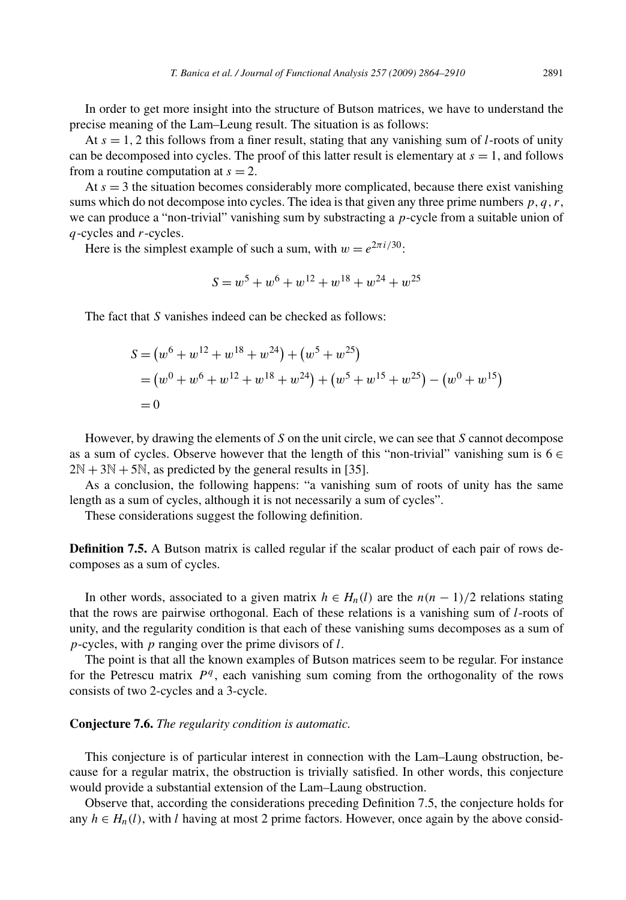In order to get more insight into the structure of Butson matrices, we have to understand the precise meaning of the Lam–Leung result. The situation is as follows:

At  $s = 1, 2$  this follows from a finer result, stating that any vanishing sum of *l*-roots of unity can be decomposed into cycles. The proof of this latter result is elementary at  $s = 1$ , and follows from a routine computation at  $s = 2$ .

At  $s = 3$  the situation becomes considerably more complicated, because there exist vanishing sums which do not decompose into cycles. The idea is that given any three prime numbers  $p, q, r$ , we can produce a "non-trivial" vanishing sum by substracting a *p*-cycle from a suitable union of *q*-cycles and *r*-cycles.

Here is the simplest example of such a sum, with  $w = e^{2\pi i/30}$ .

$$
S = w^5 + w^6 + w^{12} + w^{18} + w^{24} + w^{25}
$$

The fact that *S* vanishes indeed can be checked as follows:

$$
S = (w6 + w12 + w18 + w24) + (w5 + w25)
$$
  
= (w<sup>0</sup> + w<sup>6</sup> + w<sup>12</sup> + w<sup>18</sup> + w<sup>24</sup>) + (w<sup>5</sup> + w<sup>15</sup> + w<sup>25</sup>) - (w<sup>0</sup> + w<sup>15</sup>)  
= 0

However, by drawing the elements of *S* on the unit circle, we can see that *S* cannot decompose as a sum of cycles. Observe however that the length of this "non-trivial" vanishing sum is  $6 \in$  $2N + 3N + 5N$ , as predicted by the general results in [35].

As a conclusion, the following happens: "a vanishing sum of roots of unity has the same length as a sum of cycles, although it is not necessarily a sum of cycles".

These considerations suggest the following definition.

**Definition 7.5.** A Butson matrix is called regular if the scalar product of each pair of rows decomposes as a sum of cycles.

In other words, associated to a given matrix  $h ∈ H_n(l)$  are the  $n(n-1)/2$  relations stating that the rows are pairwise orthogonal. Each of these relations is a vanishing sum of *l*-roots of unity, and the regularity condition is that each of these vanishing sums decomposes as a sum of *p*-cycles, with *p* ranging over the prime divisors of *l*.

The point is that all the known examples of Butson matrices seem to be regular. For instance for the Petrescu matrix *P<sup>q</sup>* , each vanishing sum coming from the orthogonality of the rows consists of two 2-cycles and a 3-cycle.

## **Conjecture 7.6.** *The regularity condition is automatic.*

This conjecture is of particular interest in connection with the Lam–Laung obstruction, because for a regular matrix, the obstruction is trivially satisfied. In other words, this conjecture would provide a substantial extension of the Lam–Laung obstruction.

Observe that, according the considerations preceding Definition 7.5, the conjecture holds for any  $h \in H_n(l)$ , with *l* having at most 2 prime factors. However, once again by the above consid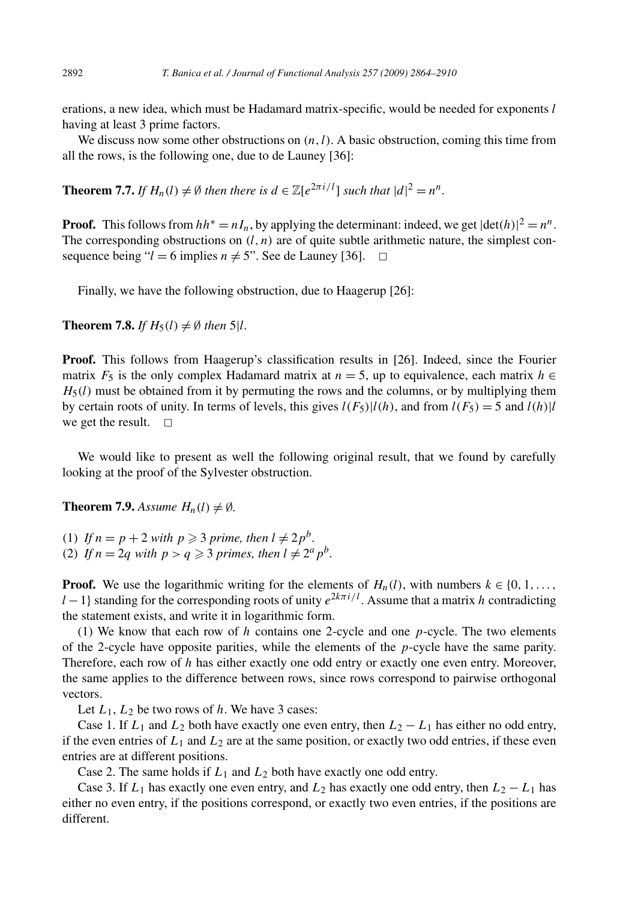erations, a new idea, which must be Hadamard matrix-specific, would be needed for exponents *l* having at least 3 prime factors.

We discuss now some other obstructions on  $(n, l)$ . A basic obstruction, coming this time from all the rows, is the following one, due to de Launey [36]:

**Theorem 7.7.** *If*  $H_n(l) \neq \emptyset$  *then there is*  $d \in \mathbb{Z}[e^{2\pi i/l}]$  *such that*  $|d|^2 = n^n$ .

**Proof.** This follows from  $hh^* = nI_n$ , by applying the determinant: indeed, we get  $|\text{det}(h)|^2 = n^n$ . The corresponding obstructions on  $(l, n)$  are of quite subtle arithmetic nature, the simplest consequence being " $l = 6$  implies  $n \neq 5$ ". See de Launey [36].  $\Box$ 

Finally, we have the following obstruction, due to Haagerup [26]:

**Theorem 7.8.** *If*  $H_5(l) \neq \emptyset$  *then*  $5|l$ *.* 

**Proof.** This follows from Haagerup's classification results in [26]. Indeed, since the Fourier matrix  $F_5$  is the only complex Hadamard matrix at  $n = 5$ , up to equivalence, each matrix  $h \in$  $H_5(l)$  must be obtained from it by permuting the rows and the columns, or by multiplying them by certain roots of unity. In terms of levels, this gives  $l(F_5)|l(h)$ , and from  $l(F_5) = 5$  and  $l(h)|l$ we get the result.  $\square$ 

We would like to present as well the following original result, that we found by carefully looking at the proof of the Sylvester obstruction.

**Theorem 7.9.** *Assume*  $H_n(l) \neq \emptyset$ *.* 

(1) If  $n = p + 2$  with  $p \ge 3$  prime, then  $l \ne 2p^b$ . (2) If  $n = 2q$  with  $p > q \ge 3$  primes, then  $l \ne 2^a p^b$ .

**Proof.** We use the logarithmic writing for the elements of  $H_n(l)$ , with numbers  $k \in \{0, 1, \ldots\}$  $l-1$ } standing for the corresponding roots of unity  $e^{2k\pi i/l}$ . Assume that a matrix *h* contradicting the statement exists, and write it in logarithmic form.

(1) We know that each row of *h* contains one 2-cycle and one *p*-cycle. The two elements of the 2-cycle have opposite parities, while the elements of the *p*-cycle have the same parity. Therefore, each row of *h* has either exactly one odd entry or exactly one even entry. Moreover, the same applies to the difference between rows, since rows correspond to pairwise orthogonal vectors.

Let  $L_1$ ,  $L_2$  be two rows of *h*. We have 3 cases:

Case 1. If  $L_1$  and  $L_2$  both have exactly one even entry, then  $L_2 - L_1$  has either no odd entry, if the even entries of  $L_1$  and  $L_2$  are at the same position, or exactly two odd entries, if these even entries are at different positions.

Case 2. The same holds if  $L_1$  and  $L_2$  both have exactly one odd entry.

Case 3. If  $L_1$  has exactly one even entry, and  $L_2$  has exactly one odd entry, then  $L_2 - L_1$  has either no even entry, if the positions correspond, or exactly two even entries, if the positions are different.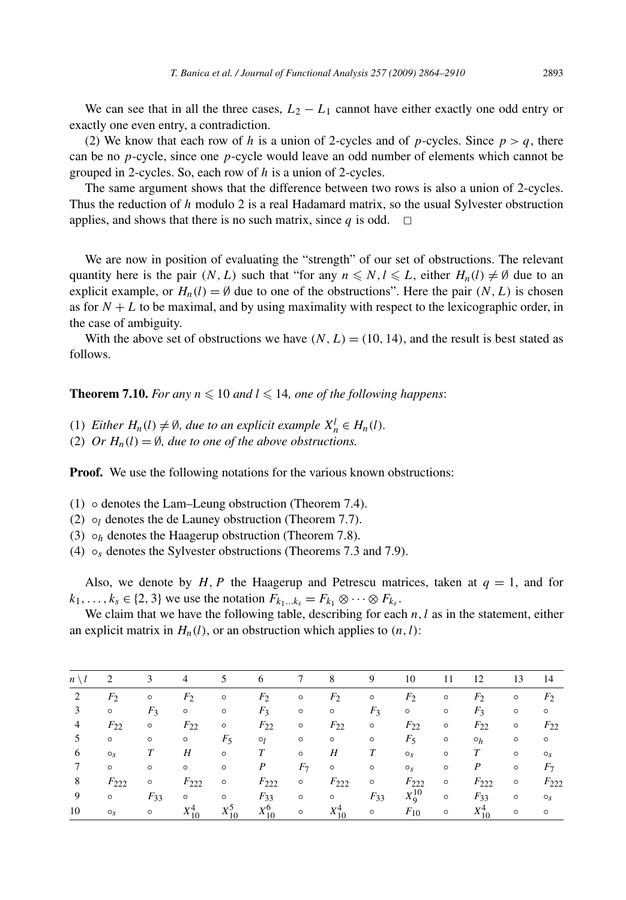We can see that in all the three cases,  $L_2 - L_1$  cannot have either exactly one odd entry or exactly one even entry, a contradiction.

(2) We know that each row of *h* is a union of 2-cycles and of *p*-cycles. Since  $p > q$ , there can be no *p*-cycle, since one *p*-cycle would leave an odd number of elements which cannot be grouped in 2-cycles. So, each row of *h* is a union of 2-cycles.

The same argument shows that the difference between two rows is also a union of 2-cycles. Thus the reduction of *h* modulo 2 is a real Hadamard matrix, so the usual Sylvester obstruction applies, and shows that there is no such matrix, since  $q$  is odd.  $\Box$ 

We are now in position of evaluating the "strength" of our set of obstructions. The relevant quantity here is the pair  $(N, L)$  such that "for any  $n \le N, l \le L$ , either  $H_n(l) \ne \emptyset$  due to an explicit example, or  $H_n(l) = \emptyset$  due to one of the obstructions". Here the pair *(N, L)* is chosen as for  $N + L$  to be maximal, and by using maximality with respect to the lexicographic order, in the case of ambiguity.

With the above set of obstructions we have  $(N, L) = (10, 14)$ , and the result is best stated as follows.

**Theorem 7.10.** *For any*  $n \leq 10$  *and*  $l \leq 14$ *, one of the following happens:* 

- (1) *Either*  $H_n(l) \neq \emptyset$ , due to an explicit example  $X_n^l \in H_n(l)$ .
- (2) *Or*  $H_n(l) = \emptyset$ *, due to one of the above obstructions.*

**Proof.** We use the following notations for the various known obstructions:

- (1) denotes the Lam–Leung obstruction (Theorem 7.4).
- (2)  $\circ$ <sub>*l*</sub> denotes the de Launey obstruction (Theorem 7.7).
- (3)  $\circ$ *h* denotes the Haagerup obstruction (Theorem 7.8).
- (4)  $\circ_s$  denotes the Sylvester obstructions (Theorems 7.3 and 7.9).

Also, we denote by *H*, *P* the Haagerup and Petrescu matrices, taken at  $q = 1$ , and for  $k_1, \ldots, k_s \in \{2, 3\}$  we use the notation  $F_{k_1 \ldots k_s} = F_{k_1} \otimes \cdots \otimes F_{k_s}$ .

We claim that we have the following table, describing for each *n*, *l* as in the statement, either an explicit matrix in  $H_n(l)$ , or an obstruction which applies to  $(n, l)$ :

| $n \setminus l$ | 2              | 3        | 4              | 5            | -6           | 7                        | 8            | 9        | 10             | 11      | 12               | 13      | 14             |
|-----------------|----------------|----------|----------------|--------------|--------------|--------------------------|--------------|----------|----------------|---------|------------------|---------|----------------|
| 2               | F <sub>2</sub> | $\circ$  | F <sub>2</sub> | $\circ$      | $F_2$        | $\circ$                  | $F_2$        | $\circ$  | F <sub>2</sub> | $\circ$ | $F_2$            | $\circ$ | F <sub>2</sub> |
| 3               | $\circ$        | $F_3$    | $\circ$        | $\circ$      | $F_3$        | $\circ$                  | $\circ$      | $F_3$    | $\circ$        | $\circ$ | $F_3$            | $\circ$ | $\circ$        |
| 4               | $F_{22}$       | $\circ$  | $F_{22}$       | $\circ$      | $F_{22}$     | $\circ$                  | $F_{22}$     | $\circ$  | $F_{22}$       | $\circ$ | $F_{22}$         | $\circ$ | $F_{22}$       |
| 5               | $\circ$        | $\circ$  | $\circ$        | $F_5$        | $\circ_l$    | $\circ$                  | $\circ$      | $\circ$  | $F_5$          | $\circ$ | $\circ_h$        | $\circ$ | $\circ$        |
| 6               | O <sub>x</sub> | T        | Н              | $\circ$      | T            | $\circ$                  | Н            | T        | $O_S$          | $\circ$ | T                | $\circ$ | $\circ_s$      |
| 7               | $\circ$        | $\circ$  | $\circ$        | $\circ$      | P            | F <sub>7</sub>           | $\circ$      | $\circ$  | $\circ_s$      | $\circ$ | $\boldsymbol{P}$ | $\circ$ | $F_7$          |
| 8               | $F_{222}$      | $\circ$  | $F_{222}$      | $\circ$      | $F_{222}$    | $\circ$                  | $F_{222}$    | $\circ$  | $F_{222}$      | $\circ$ | $F_{222}$        | $\circ$ | $F_{222}$      |
| 9               | $\circ$        | $F_{33}$ | $\circ$        | $\circ$      | $F_{33}$     | $\circ$                  | $\circ$      | $F_{33}$ | $X_9^{10}$     | $\circ$ | $F_{33}$         | $\circ$ | $\circ_s$      |
| 10              | $\circ_s$      | $\circ$  | $X_{10}^{4}$   | $X_{10}^{5}$ | $X_{10}^{6}$ | $\overline{\phantom{0}}$ | $X_{10}^{4}$ | $\circ$  | $F_{10}$       | $\circ$ | $X_{10}^4$ 0     |         | $\circ$        |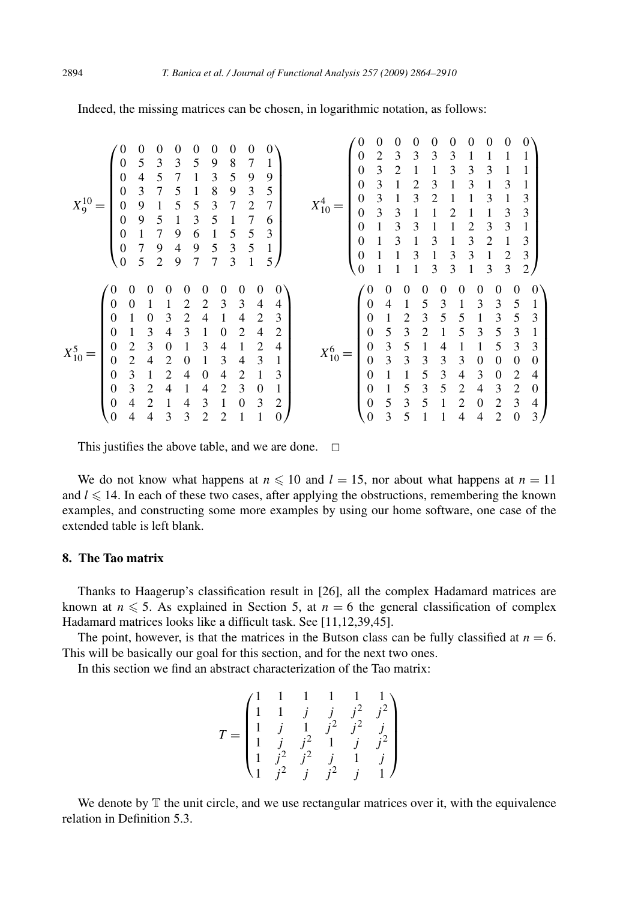| $\theta$<br>$\theta$<br>0<br>$\theta$<br>0<br>$\mathbf{0}$<br>0<br>5<br>3<br>3<br>$\theta$<br>5<br>8<br>9<br>7<br>$\overline{4}$<br>5<br>3<br>5<br>9<br>9<br>$\overline{0}$<br>3<br>5<br>8<br>9<br>3<br>7<br>5<br>$\theta$<br>1<br>$X_9^{10}$<br>5<br>5<br>7<br>0<br>9<br>3<br>2<br>5<br>5<br>3<br>9<br>0<br>6<br>5<br>3<br>7<br>9<br>5<br>6<br>0<br>5<br>7<br>5<br>3<br>9<br>1<br>$\boldsymbol{0}$<br>4<br>9<br>5<br>5<br>3<br>1<br>$\theta$<br>$\overline{2}$<br>9<br>7<br>7                                                                                                          | $\Omega$<br>0<br>$\Omega$<br>0<br>0<br>0<br>0<br>0<br>3<br>2<br>3<br>3<br>0<br>3<br>3<br>3<br>2<br>3<br>3<br>$\overline{0}$<br>3<br>3<br>3<br>$\overline{0}$<br>2<br>3<br>1<br>3<br>3<br>3<br>$\Omega$<br>1<br>3<br>1<br>$X_{10}^{4}$<br>3<br>3<br>3<br>3<br>0<br>3<br>3<br>3<br>3<br>2<br>0<br>3<br>3<br>2<br>3<br>1<br>3<br>$\Omega$<br>$\overline{2}$<br>3<br>3<br>$\theta$<br>3<br>3<br>3<br>$\overline{c}$<br>$\theta$<br>3<br>3<br>3<br>1                                                                                                                                                                                 |
|-----------------------------------------------------------------------------------------------------------------------------------------------------------------------------------------------------------------------------------------------------------------------------------------------------------------------------------------------------------------------------------------------------------------------------------------------------------------------------------------------------------------------------------------------------------------------------------------|---------------------------------------------------------------------------------------------------------------------------------------------------------------------------------------------------------------------------------------------------------------------------------------------------------------------------------------------------------------------------------------------------------------------------------------------------------------------------------------------------------------------------------------------------------------------------------------------------------------------------------|
| $\Omega$<br>0<br>$\Omega$<br>$\Omega$<br>0<br>0<br>0<br>$\theta$<br>0<br>$_{0}$<br>3<br>3<br>$\theta$<br>2<br>4<br>2<br>$\theta$<br>3<br>2<br>3<br>0<br>2<br>1<br>4<br>4<br>3<br>4<br>3<br>$\overline{c}$<br>2<br>$\Omega$<br>4<br>$\Omega$<br>3<br>2<br>$\Omega$<br>2<br>3<br>4<br>4<br>0<br>$X_{10}^{5}$<br>3<br>3<br>2<br>2<br>0<br>4<br>4<br>$\theta$<br>3<br>3<br>2<br>2<br>1<br>4<br>4<br>0<br>0<br>3<br>3<br>2<br>2<br>$\theta$<br>0<br>4<br>4<br>3<br>$\overline{2}$<br>2<br>3<br>$\Omega$<br>$\theta$<br>4<br>1<br>4<br>$\overline{0}$<br>3<br>3<br>1<br>0<br>4<br>4<br>2<br>2 | $\theta$<br>0<br>$\Omega$<br>$\mathbf{\Omega}$<br>0<br>0<br>0<br>0<br>$\theta$<br>0<br>$\mathbf{1}$<br>4<br>5<br>3<br>3<br>3<br>5<br>$\theta$<br>3<br>5<br>5<br>3<br>0<br>2<br>5<br>3<br>5<br>5<br>3<br>3<br>2<br>3<br>5<br>$\theta$<br>1<br>3<br>3<br>$\theta$<br>5<br>5<br>3<br>4<br>$X_{10}^{6}$<br>3<br>3<br>3<br>3<br>0<br>3<br>$\Omega$<br>$\overline{0}$<br>0<br>0<br>3<br>5<br>3<br>4<br>2<br>$\Omega$<br>4<br>0<br>5<br>5<br>3<br>2<br>3<br>0<br>4<br>2<br>$\Omega$<br>5<br>3<br>3<br>5<br>2<br>$\theta$<br>$\theta$<br>$\overline{c}$<br>4<br>3<br>3<br>$\theta$<br>5<br>$\overline{2}$<br>$\boldsymbol{0}$<br>4<br>4 |

Indeed, the missing matrices can be chosen, in logarithmic notation, as follows:

This justifies the above table, and we are done.  $\Box$ 

We do not know what happens at  $n \leq 10$  and  $l = 15$ , nor about what happens at  $n = 11$ and  $l \leq 14$ . In each of these two cases, after applying the obstructions, remembering the known examples, and constructing some more examples by using our home software, one case of the extended table is left blank.

# **8. The Tao matrix**

Thanks to Haagerup's classification result in [26], all the complex Hadamard matrices are known at  $n \leq 5$ . As explained in Section 5, at  $n = 6$  the general classification of complex Hadamard matrices looks like a difficult task. See [11,12,39,45].

The point, however, is that the matrices in the Butson class can be fully classified at  $n = 6$ . This will be basically our goal for this section, and for the next two ones.

In this section we find an abstract characterization of the Tao matrix:

$$
T = \begin{pmatrix} 1 & 1 & 1 & 1 & 1 & 1 \\ 1 & 1 & j & j & j^2 & j^2 \\ 1 & j & 1 & j^2 & j^2 & j \\ 1 & j & j^2 & 1 & j & j^2 \\ 1 & j^2 & j^2 & j & 1 & j \\ 1 & j^2 & j & j^2 & j & 1 \end{pmatrix}
$$

We denote by  $T$  the unit circle, and we use rectangular matrices over it, with the equivalence relation in Definition 5.3.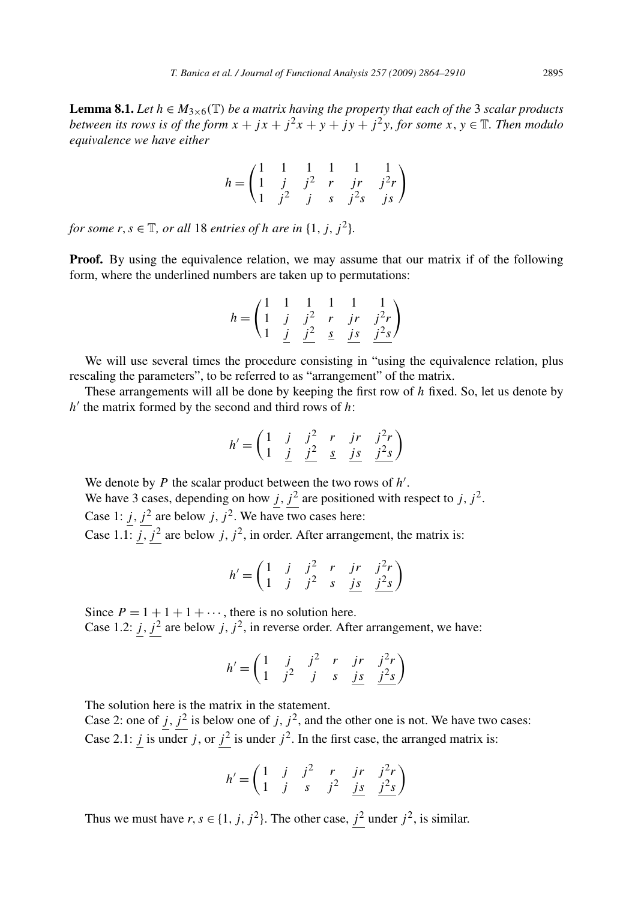**Lemma 8.1.** *Let*  $h \in M_{3\times 6}(\mathbb{T})$  *be a matrix having the property that each of the* 3 *scalar products between its rows is of the form*  $x + jx + j^2x + y + jy + j^2y$ *, for some*  $x, y \in \mathbb{T}$ *. Then modulo equivalence we have either*

$$
h = \begin{pmatrix} 1 & 1 & 1 & 1 & 1 & 1 \\ 1 & j & j^2 & r & jr & j^2r \\ 1 & j^2 & j & s & j^2s & js \end{pmatrix}
$$

*for some*  $r, s \in \mathbb{T}$ *, or all* 18 *entries of h are in*  $\{1, j, j^2\}$ *.* 

**Proof.** By using the equivalence relation, we may assume that our matrix if of the following form, where the underlined numbers are taken up to permutations:

$$
h = \begin{pmatrix} 1 & 1 & 1 & 1 & 1 & 1 \\ 1 & j & j^2 & r & jr & j^2r \\ 1 & j & j^2 & s & js & j^2s \end{pmatrix}
$$

We will use several times the procedure consisting in "using the equivalence relation, plus rescaling the parameters", to be referred to as "arrangement" of the matrix.

These arrangements will all be done by keeping the first row of *h* fixed. So, let us denote by  $h'$  the matrix formed by the second and third rows of  $h$ :

$$
h' = \begin{pmatrix} 1 & j & j^2 & r & jr & j^2r \\ 1 & \underline{j} & \underline{j^2} & \underline{s} & \underline{js} & \underline{j^2s} \end{pmatrix}
$$

We denote by *P* the scalar product between the two rows of *h* .

We have 3 cases, depending on how  $j$ ,  $j^2$  are positioned with respect to  $j$ ,  $j^2$ . Case 1:  $j$ ,  $j^2$  are below  $j$ ,  $j^2$ . We have two cases here:

Case 1.1:  $\overline{j}$ ,  $\overline{j}$ <sup>2</sup> are below  $\overline{j}$ ,  $\overline{j}$ <sup>2</sup>, in order. After arrangement, the matrix is:

$$
h' = \begin{pmatrix} 1 & j & j^2 & r & jr & j^2r \\ 1 & j & j^2 & s & \underline{js} & \underline{j^2s} \end{pmatrix}
$$

Since  $P = 1 + 1 + 1 + \cdots$ , there is no solution here.

Case 1.2: *j*,  $j^2$  are below *j*,  $j^2$ , in reverse order. After arrangement, we have:

$$
h' = \begin{pmatrix} 1 & j & j^2 & r & jr & j^2r \\ 1 & j^2 & j & s & \underline{js} & j^2s \end{pmatrix}
$$

The solution here is the matrix in the statement.

Case 2: one of  $j$ ,  $j^2$  is below one of  $j$ ,  $j^2$ , and the other one is not. We have two cases: Case 2.1: *j* is under *j*, or  $j^2$  is under  $j^2$ . In the first case, the arranged matrix is:

$$
h' = \begin{pmatrix} 1 & j & j^2 & r & jr & j^2r \\ 1 & j & s & j^2 & \underline{js} & \underline{j^2s} \end{pmatrix}
$$

Thus we must have  $r, s \in \{1, j, j^2\}$ . The other case,  $j^2$  under  $j^2$ , is similar.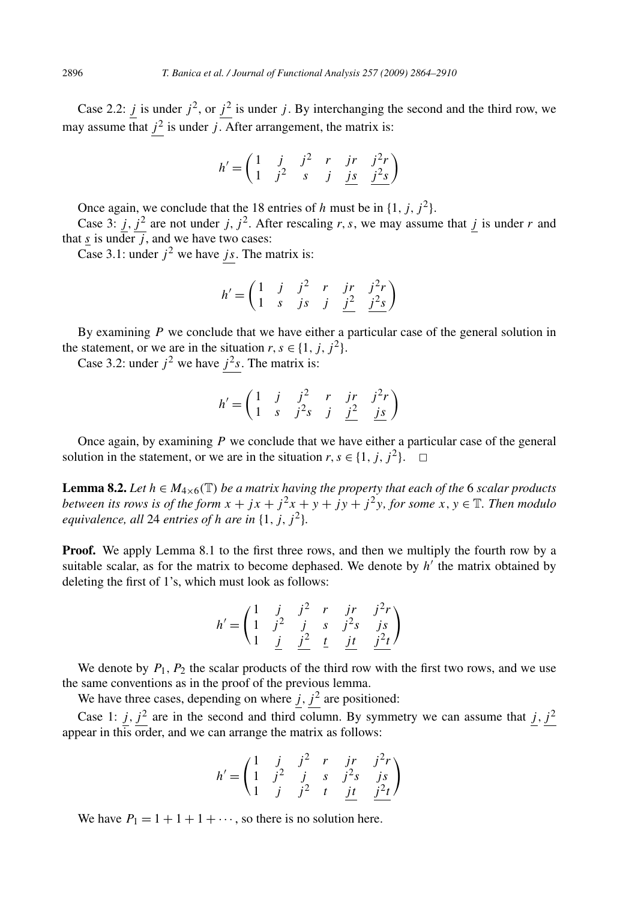Case 2.2: *j* is under  $j^2$ , or  $j^2$  is under *j*. By interchanging the second and the third row, we may assume that  $j^2$  is under  $j$ . After arrangement, the matrix is:

$$
h' = \begin{pmatrix} 1 & j & j^2 & r & jr & j^2r \\ 1 & j^2 & s & j & \underline{js} & j^2s \end{pmatrix}
$$

Once again, we conclude that the 18 entries of *h* must be in  $\{1, j, j^2\}$ .

Case 3:  $j$ ,  $j^2$  are not under *j*,  $j^2$ . After rescaling *r*, *s*, we may assume that *j* is under *r* and that *s* is under  $\overline{j}$ , and we have two cases:

Case 3.1: under  $j^2$  we have *js*. The matrix is:

$$
h' = \begin{pmatrix} 1 & j & j^2 & r & jr & j^2r \\ 1 & s & js & j & j^2 & j^2s \end{pmatrix}
$$

By examining *P* we conclude that we have either a particular case of the general solution in the statement, or we are in the situation  $r, s \in \{1, j, j^2\}.$ 

Case 3.2: under  $j^2$  we have  $j^2s$ . The matrix is:

$$
h' = \begin{pmatrix} 1 & j & j^2 & r & jr & j^2r \\ 1 & s & j^2s & j & j^2 & js \end{pmatrix}
$$

Once again, by examining *P* we conclude that we have either a particular case of the general solution in the statement, or we are in the situation  $r, s \in \{1, j, j^2\}$ .  $\Box$ 

**Lemma 8.2.** *Let*  $h \in M_{4 \times 6}(\mathbb{T})$  *be a matrix having the property that each of the* 6 *scalar products between its rows is of the form*  $x + jx + j^2x + y + jy + j^2y$ , for some  $x, y \in \mathbb{T}$ . Then modulo *equivalence, all* 24 *entries of h are in*  $\{1, j, j^2\}$ *.* 

**Proof.** We apply Lemma 8.1 to the first three rows, and then we multiply the fourth row by a suitable scalar, as for the matrix to become dephased. We denote by  $h'$  the matrix obtained by deleting the first of 1's, which must look as follows:

$$
h' = \begin{pmatrix} 1 & j & j^2 & r & jr & j^2r \\ 1 & j^2 & j & s & j^2s & js \\ 1 & j & j^2 & t & jt & j^2t \end{pmatrix}
$$

We denote by *P*1*, P*<sup>2</sup> the scalar products of the third row with the first two rows, and we use the same conventions as in the proof of the previous lemma.

We have three cases, depending on where  $j$ ,  $j^2$  are positioned:

Case 1: *j*,  $j^2$  are in the second and third column. By symmetry we can assume that *j*,  $j^2$ appear in this order, and we can arrange the matrix as follows:

$$
h' = \begin{pmatrix} 1 & j & j^2 & r & jr & j^2r \\ 1 & j^2 & j & s & j^2s & js \\ 1 & j & j^2 & t & \underline{jt} & \underline{j^2t} \end{pmatrix}
$$

We have  $P_1 = 1 + 1 + 1 + \cdots$ , so there is no solution here.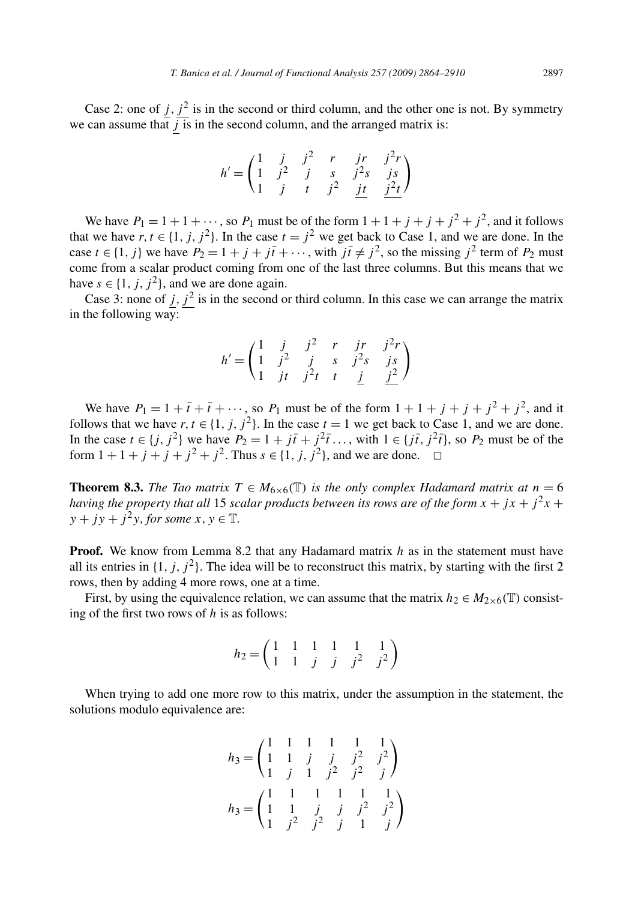Case 2: one of  $j$ ,  $j^2$  is in the second or third column, and the other one is not. By symmetry we can assume that  $\overline{j}$  is in the second column, and the arranged matrix is:

$$
h' = \begin{pmatrix} 1 & j & j^2 & r & jr & j^2r \\ 1 & j^2 & j & s & j^2s & js \\ 1 & j & t & j^2 & jt & j^2t \end{pmatrix}
$$

We have  $P_1 = 1 + 1 + \cdots$ , so  $P_1$  must be of the form  $1 + 1 + j + j^2 + j^2$ , and it follows that we have  $r, t \in \{1, j, j^2\}$ . In the case  $t = j^2$  we get back to Case 1, and we are done. In the case  $t \in \{1, j\}$  we have  $P_2 = 1 + j + j\bar{i} + \cdots$ , with  $j\bar{i} \neq j^2$ , so the missing  $j^2$  term of  $P_2$  must come from a scalar product coming from one of the last three columns. But this means that we have  $s \in \{1, j, j^2\}$ , and we are done again.

Case 3: none of  $j$ ,  $j^2$  is in the second or third column. In this case we can arrange the matrix in the following way:

$$
h' = \begin{pmatrix} 1 & j & j^2 & r & jr & j^2r \\ 1 & j^2 & j & s & j^2s & js \\ 1 & jt & j^2t & t & j & j^2 \end{pmatrix}
$$

We have  $P_1 = 1 + \bar{t} + \bar{t} + \cdots$ , so  $P_1$  must be of the form  $1 + 1 + j + j + j^2 + j^2$ , and it follows that we have  $r, t \in \{1, j, j^2\}$ . In the case  $t = 1$  we get back to Case 1, and we are done. In the case  $t \in \{j, j^2\}$  we have  $P_2 = 1 + j\bar{t} + j^2\bar{t} \dots$ , with  $1 \in \{j\bar{t}, j^2\bar{t}\}$ , so  $P_2$  must be of the form  $1 + 1 + j + j^2 + j^2$ . Thus  $s \in \{1, j, j^2\}$ , and we are done.  $\Box$ 

**Theorem 8.3.** *The Tao matrix*  $T \in M_{6 \times 6}(\mathbb{T})$  *is the only complex Hadamard matrix at*  $n = 6$ *having the property that all* 15 *scalar products between its rows are of the form*  $x + jx + j^2x + jx$  $y + jy + j^2y$ *, for some x, y*  $\in$  T.

**Proof.** We know from Lemma 8.2 that any Hadamard matrix *h* as in the statement must have all its entries in  $\{1, j, j^2\}$ . The idea will be to reconstruct this matrix, by starting with the first 2 rows, then by adding 4 more rows, one at a time.

First, by using the equivalence relation, we can assume that the matrix  $h_2 \in M_{2\times 6}(\mathbb{T})$  consisting of the first two rows of *h* is as follows:

$$
h_2 = \begin{pmatrix} 1 & 1 & 1 & 1 & 1 & 1 \\ 1 & 1 & j & j & j^2 & j^2 \end{pmatrix}
$$

When trying to add one more row to this matrix, under the assumption in the statement, the solutions modulo equivalence are:

$$
h_3 = \begin{pmatrix} 1 & 1 & 1 & 1 & 1 & 1 \\ 1 & 1 & j & j & j^2 & j^2 \\ 1 & j & 1 & j^2 & j^2 & j \end{pmatrix}
$$

$$
h_3 = \begin{pmatrix} 1 & 1 & 1 & 1 & 1 & 1 \\ 1 & 1 & j & j & j^2 & j^2 \\ 1 & j^2 & j^2 & j & 1 & j \end{pmatrix}
$$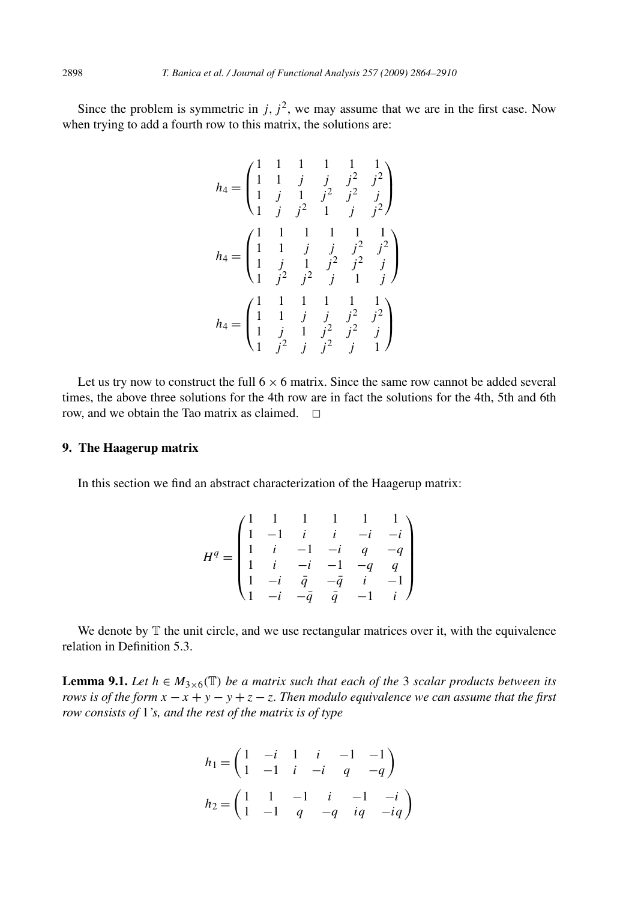Since the problem is symmetric in  $j$ ,  $j^2$ , we may assume that we are in the first case. Now when trying to add a fourth row to this matrix, the solutions are:

$$
h_4 = \begin{pmatrix} 1 & 1 & 1 & 1 & 1 & 1 \\ 1 & 1 & j & j & j^2 & j^2 \\ 1 & j & 1 & j^2 & j^2 & j \\ 1 & j & j^2 & 1 & j & j^2 \end{pmatrix}
$$
  
\n
$$
h_4 = \begin{pmatrix} 1 & 1 & 1 & 1 & 1 & 1 \\ 1 & 1 & j & j & j^2 & j^2 \\ 1 & j & 1 & j^2 & j^2 & j \\ 1 & j^2 & j^2 & j & 1 & j \end{pmatrix}
$$
  
\n
$$
h_4 = \begin{pmatrix} 1 & 1 & 1 & 1 & 1 & 1 \\ 1 & 1 & 1 & 1 & 1 & 1 \\ 1 & 1 & j & j^2 & j^2 & j^2 \\ 1 & j & 1 & j^2 & j^2 & j & 1 \end{pmatrix}
$$

Let us try now to construct the full  $6 \times 6$  matrix. Since the same row cannot be added several times, the above three solutions for the 4th row are in fact the solutions for the 4th, 5th and 6th row, and we obtain the Tao matrix as claimed.  $\Box$ 

# **9. The Haagerup matrix**

In this section we find an abstract characterization of the Haagerup matrix:

$$
H^q = \begin{pmatrix} 1 & 1 & 1 & 1 & 1 & 1 \\ 1 & -1 & i & i & -i & -i \\ 1 & i & -1 & -i & q & -q \\ 1 & i & -i & -1 & -q & q \\ 1 & -i & \bar{q} & -\bar{q} & i & -1 \\ 1 & -i & -\bar{q} & \bar{q} & -1 & i \end{pmatrix}
$$

We denote by  $T$  the unit circle, and we use rectangular matrices over it, with the equivalence relation in Definition 5.3.

**Lemma 9.1.** *Let*  $h \in M_{3\times 6}(\mathbb{T})$  *be a matrix such that each of the* 3 *scalar products between its rows is of the form*  $x - x + y - y + z - z$ . Then modulo equivalence we can assume that the first *row consists of* 1*'s, and the rest of the matrix is of type*

$$
h_1 = \begin{pmatrix} 1 & -i & 1 & i & -1 & -1 \\ 1 & -1 & i & -i & q & -q \end{pmatrix}
$$
  

$$
h_2 = \begin{pmatrix} 1 & 1 & -1 & i & -1 & -i \\ 1 & -1 & q & -q & iq & -iq \end{pmatrix}
$$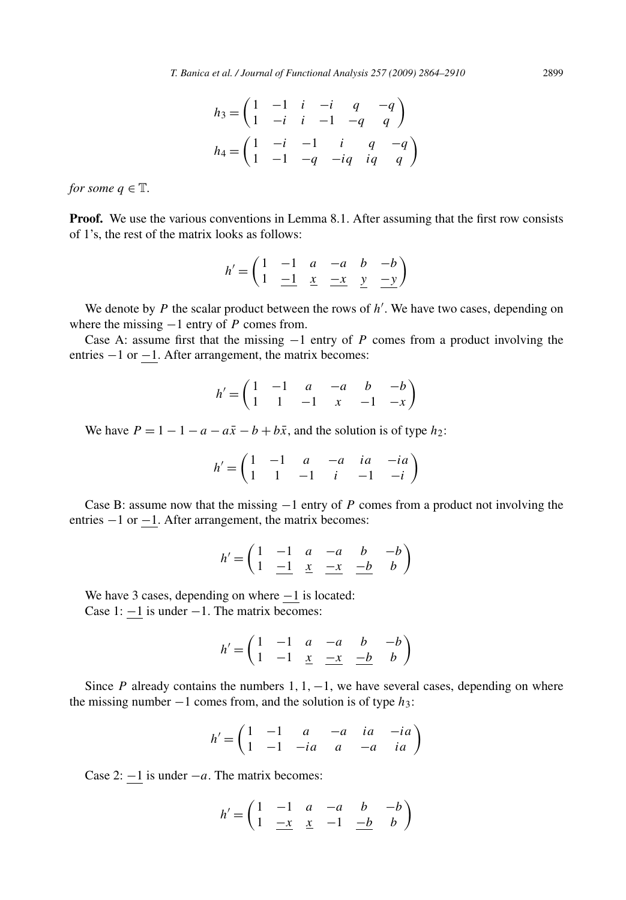$$
h_3 = \begin{pmatrix} 1 & -1 & i & -i & q & -q \\ 1 & -i & i & -1 & -q & q \end{pmatrix}
$$
  

$$
h_4 = \begin{pmatrix} 1 & -i & -1 & i & q & -q \\ 1 & -1 & -q & -iq & iq & q \end{pmatrix}
$$

*for some*  $q \in \mathbb{T}$ *.* 

**Proof.** We use the various conventions in Lemma 8.1. After assuming that the first row consists of 1's, the rest of the matrix looks as follows:

$$
h' = \begin{pmatrix} 1 & -1 & a & -a & b & -b \\ 1 & \underline{-1} & \underline{x} & \underline{-x} & \underline{y} & \underline{-y} \end{pmatrix}
$$

We denote by *P* the scalar product between the rows of  $h'$ . We have two cases, depending on where the missing −1 entry of *P* comes from.

Case A: assume first that the missing −1 entry of *P* comes from a product involving the entries −1 or −1. After arrangement, the matrix becomes:

$$
h' = \begin{pmatrix} 1 & -1 & a & -a & b & -b \\ 1 & 1 & -1 & x & -1 & -x \end{pmatrix}
$$

We have  $P = 1 - 1 - a - a\overline{x} - b + b\overline{x}$ , and the solution is of type  $h_2$ :

$$
h' = \begin{pmatrix} 1 & -1 & a & -a & ia & -ia \\ 1 & 1 & -1 & i & -1 & -i \end{pmatrix}
$$

Case B: assume now that the missing −1 entry of *P* comes from a product not involving the entries −1 or −1. After arrangement, the matrix becomes:

$$
h' = \begin{pmatrix} 1 & -1 & a & -a & b & -b \\ 1 & \underline{-1} & \underline{x} & \underline{-x} & \underline{-b} & b \end{pmatrix}
$$

We have 3 cases, depending on where  $-1$  is located: Case 1: −1 is under −1. The matrix becomes:

$$
h' = \begin{pmatrix} 1 & -1 & a & -a & b & -b \\ 1 & -1 & \underline{x} & \underline{-x} & \underline{-b} & b \end{pmatrix}
$$

Since *P* already contains the numbers 1*,* 1*,*−1, we have several cases, depending on where the missing number −1 comes from, and the solution is of type *h*3:

$$
h' = \begin{pmatrix} 1 & -1 & a & -a & ia & -ia \\ 1 & -1 & -ia & a & -a & ia \end{pmatrix}
$$

Case 2: −1 is under −*a*. The matrix becomes:

$$
h' = \begin{pmatrix} 1 & -1 & a & -a & b & -b \\ 1 & -x & x & -1 & -b & b \end{pmatrix}
$$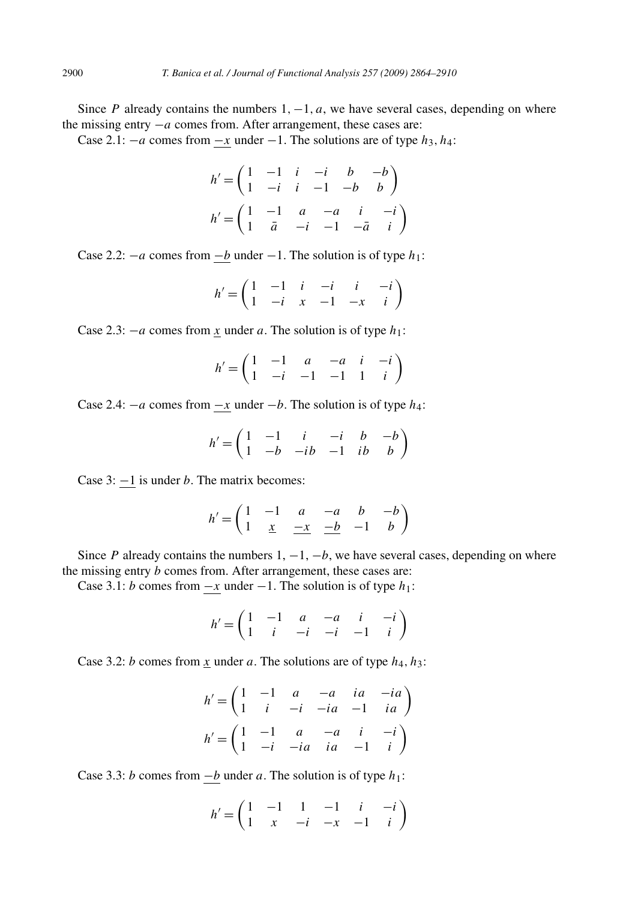Since *P* already contains the numbers 1*,*−1*, a*, we have several cases, depending on where the missing entry −*a* comes from. After arrangement, these cases are:

Case 2.1:  $-a$  comes from  $-x$  under  $-1$ . The solutions are of type  $h_3, h_4$ :

$$
h' = \begin{pmatrix} 1 & -1 & i & -i & b & -b \\ 1 & -i & i & -1 & -b & b \end{pmatrix}
$$

$$
h' = \begin{pmatrix} 1 & -1 & a & -a & i & -i \\ 1 & \bar{a} & -i & -1 & -\bar{a} & i \end{pmatrix}
$$

Case 2.2:  $-a$  comes from  $\underline{-b}$  under  $-1$ . The solution is of type  $h_1$ :

$$
h' = \begin{pmatrix} 1 & -1 & i & -i & i & -i \\ 1 & -i & x & -1 & -x & i \end{pmatrix}
$$

Case 2.3:  $-a$  comes from *x* under *a*. The solution is of type  $h_1$ :

$$
h' = \begin{pmatrix} 1 & -1 & a & -a & i & -i \\ 1 & -i & -1 & -1 & 1 & i \end{pmatrix}
$$

Case 2.4:  $-a$  comes from  $-x$  under  $-b$ . The solution is of type  $h_4$ :

$$
h' = \begin{pmatrix} 1 & -1 & i & -i & b & -b \\ 1 & -b & -ib & -1 & ib & b \end{pmatrix}
$$

Case 3: −1 is under *b*. The matrix becomes:

$$
h' = \begin{pmatrix} 1 & -1 & a & -a & b & -b \\ 1 & \underline{x} & \underline{-x} & \underline{-b} & -1 & b \end{pmatrix}
$$

Since *P* already contains the numbers  $1, -1, -b$ , we have several cases, depending on where the missing entry *b* comes from. After arrangement, these cases are:

Case 3.1: *b* comes from  $-x$  under  $-1$ . The solution is of type  $h_1$ :

$$
h' = \begin{pmatrix} 1 & -1 & a & -a & i & -i \\ 1 & i & -i & -i & -1 & i \end{pmatrix}
$$

Case 3.2: *b* comes from *x* under *a*. The solutions are of type *h*4*, h*3:

$$
h' = \begin{pmatrix} 1 & -1 & a & -a & ia & -ia \\ 1 & i & -i & -ia & -1 & ia \end{pmatrix}
$$

$$
h' = \begin{pmatrix} 1 & -1 & a & -a & i & -i \\ 1 & -i & -ia & ia & -1 & i \end{pmatrix}
$$

Case 3.3: *b* comes from  $-\underline{b}$  under *a*. The solution is of type  $h_1$ :

$$
h' = \begin{pmatrix} 1 & -1 & 1 & -1 & i & -i \\ 1 & x & -i & -x & -1 & i \end{pmatrix}
$$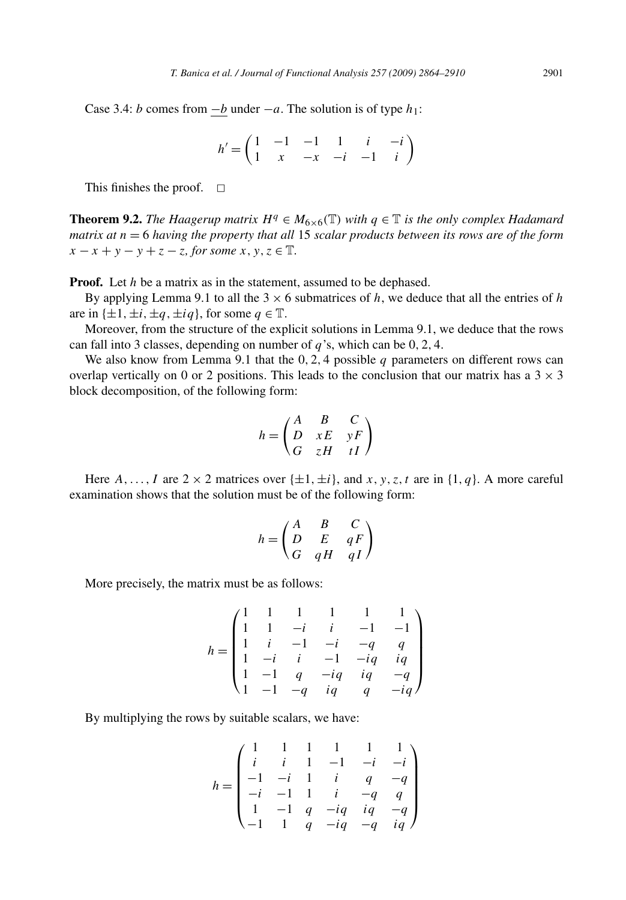Case 3.4: *b* comes from  $-b$  under  $-a$ . The solution is of type  $h_1$ :

 $h' = \begin{pmatrix} 1 & -1 & -1 & 1 & i & -i \\ 1 & x & x & i & 1 & i \end{pmatrix}$ 1 *x* −*x* −*i* −1 *i*  $\setminus$ 

This finishes the proof.  $\square$ 

**Theorem 9.2.** *The Haagerup matrix*  $H^q \in M_{6 \times 6}(\mathbb{T})$  *with*  $q \in \mathbb{T}$  *is the only complex Hadamard matrix at n* = 6 *having the property that all* 15 *scalar products between its rows are of the form*  $x - x + y - y + z - z$ *, for some*  $x, y, z \in \mathbb{T}$ *.* 

**Proof.** Let *h* be a matrix as in the statement, assumed to be dephased.

By applying Lemma 9.1 to all the  $3 \times 6$  submatrices of *h*, we deduce that all the entries of *h* are in  $\{\pm 1, \pm i, \pm q, \pm iq\}$ , for some  $q \in \mathbb{T}$ .

Moreover, from the structure of the explicit solutions in Lemma 9.1, we deduce that the rows can fall into 3 classes, depending on number of *q*'s, which can be 0*,* 2*,* 4.

We also know from Lemma 9.1 that the 0, 2, 4 possible *q* parameters on different rows can overlap vertically on 0 or 2 positions. This leads to the conclusion that our matrix has a  $3 \times 3$ block decomposition, of the following form:

$$
h = \begin{pmatrix} A & B & C \\ D & xE & yF \\ G & zH & tI \end{pmatrix}
$$

Here  $A, \ldots, I$  are  $2 \times 2$  matrices over  $\{\pm 1, \pm i\}$ , and  $x, y, z, t$  are in  $\{1, q\}$ . A more careful examination shows that the solution must be of the following form:

$$
h = \begin{pmatrix} A & B & C \\ D & E & qF \\ G & qH & qI \end{pmatrix}
$$

More precisely, the matrix must be as follows:

$$
h = \begin{pmatrix} 1 & 1 & 1 & 1 & 1 & 1 \\ 1 & 1 & -i & i & -1 & -1 \\ 1 & i & -1 & -i & -q & q \\ 1 & -i & i & -1 & -iq & iq \\ 1 & -1 & q & -iq & iq & -q \\ 1 & -1 & -q & iq & q & -iq \end{pmatrix}
$$

By multiplying the rows by suitable scalars, we have:

$$
h = \begin{pmatrix} 1 & 1 & 1 & 1 & 1 & 1 \\ i & i & 1 & -1 & -i & -i \\ -1 & -i & 1 & i & q & -q \\ -i & -1 & 1 & i & -q & q \\ 1 & -1 & q & -iq & iq & -q \\ -1 & 1 & q & -iq & -q & iq \end{pmatrix}
$$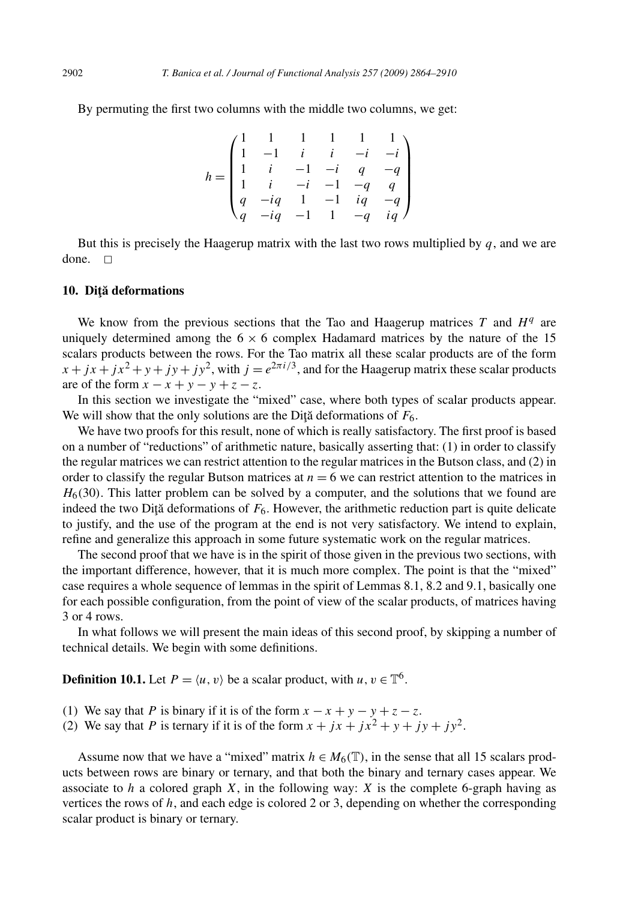By permuting the first two columns with the middle two columns, we get:

$$
h = \begin{pmatrix} 1 & 1 & 1 & 1 & 1 & 1 \\ 1 & -1 & i & i & -i & -i \\ 1 & i & -1 & -i & q & -q \\ 1 & i & -i & -1 & -q & q \\ q & -iq & 1 & -1 & iq & -q \\ q & -iq & -1 & 1 & -q & iq \end{pmatrix}
$$

But this is precisely the Haagerup matrix with the last two rows multiplied by *q*, and we are done.  $\square$ 

#### 10. Diță deformations

We know from the previous sections that the Tao and Haagerup matrices  $T$  and  $H<sup>q</sup>$  are uniquely determined among the  $6 \times 6$  complex Hadamard matrices by the nature of the 15 scalars products between the rows. For the Tao matrix all these scalar products are of the form  $x + jx + jx<sup>2</sup> + y + jy + jy<sup>2</sup>$ , with  $j = e^{2\pi i/3}$ , and for the Haagerup matrix these scalar products are of the form  $x - x + y - y + z - z$ .

In this section we investigate the "mixed" case, where both types of scalar products appear. We will show that the only solutions are the Dita deformations of  $F_6$ .

We have two proofs for this result, none of which is really satisfactory. The first proof is based on a number of "reductions" of arithmetic nature, basically asserting that: (1) in order to classify the regular matrices we can restrict attention to the regular matrices in the Butson class, and (2) in order to classify the regular Butson matrices at  $n = 6$  we can restrict attention to the matrices in  $H<sub>6</sub>(30)$ . This latter problem can be solved by a computer, and the solutions that we found are indeed the two Diță deformations of  $F_6$ . However, the arithmetic reduction part is quite delicate to justify, and the use of the program at the end is not very satisfactory. We intend to explain, refine and generalize this approach in some future systematic work on the regular matrices.

The second proof that we have is in the spirit of those given in the previous two sections, with the important difference, however, that it is much more complex. The point is that the "mixed" case requires a whole sequence of lemmas in the spirit of Lemmas 8.1, 8.2 and 9.1, basically one for each possible configuration, from the point of view of the scalar products, of matrices having 3 or 4 rows.

In what follows we will present the main ideas of this second proof, by skipping a number of technical details. We begin with some definitions.

**Definition 10.1.** Let  $P = \langle u, v \rangle$  be a scalar product, with  $u, v \in \mathbb{T}^6$ .

- (1) We say that *P* is binary if it is of the form  $x x + y y + z z$ .
- (2) We say that *P* is ternary if it is of the form  $x + jx + jx^2 + y + jy + jy^2$ .

Assume now that we have a "mixed" matrix  $h \in M_6(\mathbb{T})$ , in the sense that all 15 scalars products between rows are binary or ternary, and that both the binary and ternary cases appear. We associate to  $h$  a colored graph  $X$ , in the following way:  $X$  is the complete 6-graph having as vertices the rows of  $h$ , and each edge is colored 2 or 3, depending on whether the corresponding scalar product is binary or ternary.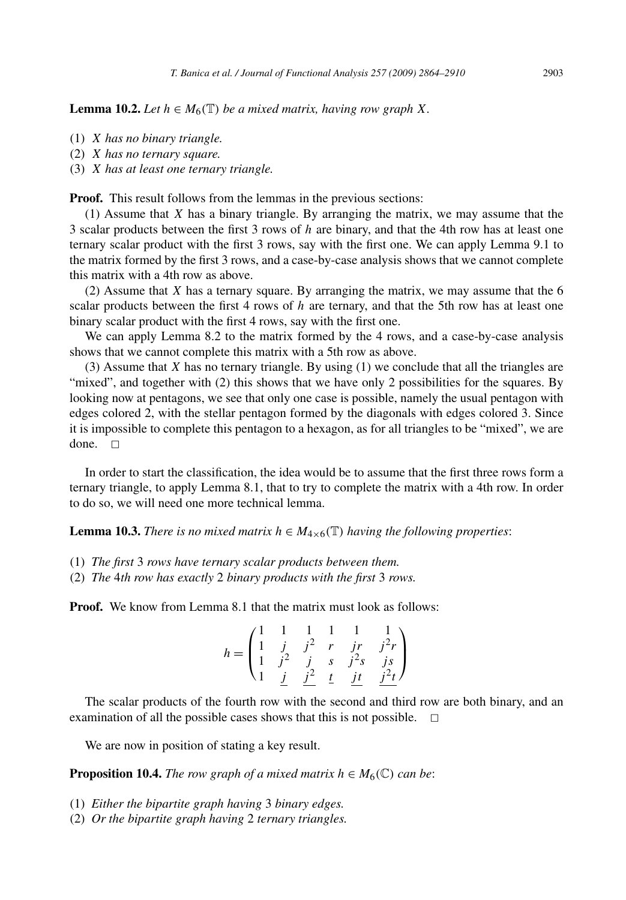**Lemma 10.2.** *Let*  $h \in M_6(\mathbb{T})$  *be a mixed matrix, having row graph X.* 

- (1) *X has no binary triangle.*
- (2) *X has no ternary square.*
- (3) *X has at least one ternary triangle.*

**Proof.** This result follows from the lemmas in the previous sections:

(1) Assume that *X* has a binary triangle. By arranging the matrix, we may assume that the 3 scalar products between the first 3 rows of *h* are binary, and that the 4th row has at least one ternary scalar product with the first 3 rows, say with the first one. We can apply Lemma 9.1 to the matrix formed by the first 3 rows, and a case-by-case analysis shows that we cannot complete this matrix with a 4th row as above.

(2) Assume that *X* has a ternary square. By arranging the matrix, we may assume that the 6 scalar products between the first 4 rows of *h* are ternary, and that the 5th row has at least one binary scalar product with the first 4 rows, say with the first one.

We can apply Lemma 8.2 to the matrix formed by the 4 rows, and a case-by-case analysis shows that we cannot complete this matrix with a 5th row as above.

(3) Assume that *X* has no ternary triangle. By using (1) we conclude that all the triangles are "mixed", and together with (2) this shows that we have only 2 possibilities for the squares. By looking now at pentagons, we see that only one case is possible, namely the usual pentagon with edges colored 2, with the stellar pentagon formed by the diagonals with edges colored 3. Since it is impossible to complete this pentagon to a hexagon, as for all triangles to be "mixed", we are done.  $\Box$ 

In order to start the classification, the idea would be to assume that the first three rows form a ternary triangle, to apply Lemma 8.1, that to try to complete the matrix with a 4th row. In order to do so, we will need one more technical lemma.

**Lemma 10.3.** *There is no mixed matrix*  $h \in M_{4 \times 6}(\mathbb{T})$  *having the following properties:* 

- (1) *The first* 3 *rows have ternary scalar products between them.*
- (2) *The* 4*th row has exactly* 2 *binary products with the first* 3 *rows.*

**Proof.** We know from Lemma 8.1 that the matrix must look as follows:

$$
h = \begin{pmatrix} 1 & 1 & 1 & 1 & 1 & 1 \\ 1 & j & j^2 & r & jr & j^2r \\ 1 & j^2 & j & s & j^2s & js \\ 1 & j & j^2 & t & jt & j^2t \end{pmatrix}
$$

The scalar products of the fourth row with the second and third row are both binary, and an examination of all the possible cases shows that this is not possible.  $\Box$ 

We are now in position of stating a key result.

**Proposition 10.4.** *The row graph of a mixed matrix*  $h \in M_6(\mathbb{C})$  *can be:* 

- (1) *Either the bipartite graph having* 3 *binary edges.*
- (2) *Or the bipartite graph having* 2 *ternary triangles.*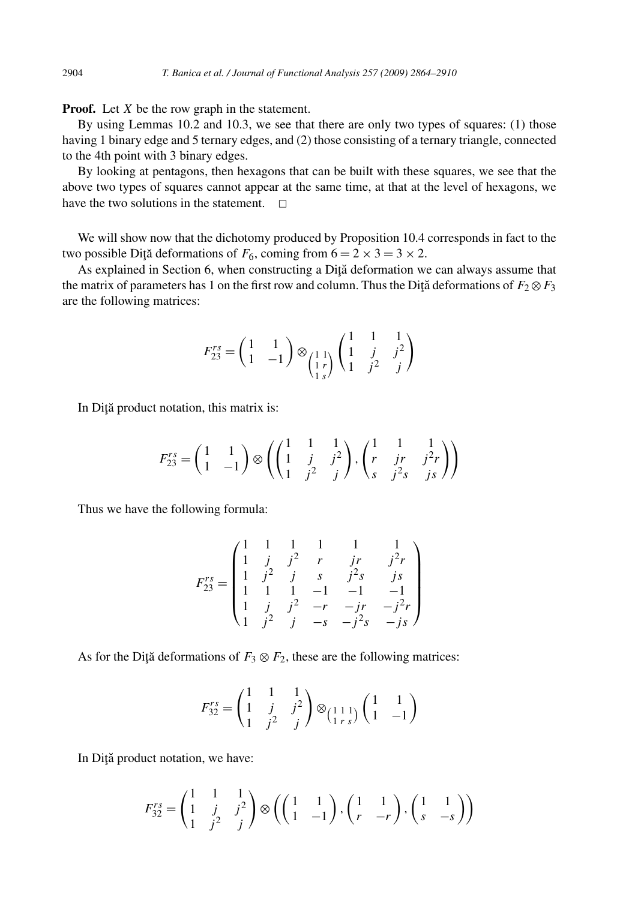**Proof.** Let *X* be the row graph in the statement.

By using Lemmas 10.2 and 10.3, we see that there are only two types of squares: (1) those having 1 binary edge and 5 ternary edges, and (2) those consisting of a ternary triangle, connected to the 4th point with 3 binary edges.

By looking at pentagons, then hexagons that can be built with these squares, we see that the above two types of squares cannot appear at the same time, at that at the level of hexagons, we have the two solutions in the statement.  $\Box$ 

We will show now that the dichotomy produced by Proposition 10.4 corresponds in fact to the two possible Diță deformations of  $F_6$ , coming from  $6 = 2 \times 3 = 3 \times 2$ .

As explained in Section 6, when constructing a Diță deformation we can always assume that the matrix of parameters has 1 on the first row and column. Thus the Dita deformations of  $F_2 \otimes F_3$ are the following matrices:

$$
F_{23}^{rs} = \begin{pmatrix} 1 & 1 \\ 1 & -1 \end{pmatrix} \otimes \begin{pmatrix} 1 & 1 & 1 \\ 1 & j & j^2 \\ 1 & j^2 & j \end{pmatrix}
$$

In Diță product notation, this matrix is:

$$
F_{23}^{rs} = \begin{pmatrix} 1 & 1 \\ 1 & -1 \end{pmatrix} \otimes \left( \begin{pmatrix} 1 & 1 & 1 \\ 1 & j & j^2 \\ 1 & j^2 & j \end{pmatrix}, \begin{pmatrix} 1 & 1 & 1 \\ r & jr & j^2r \\ s & j^2s & js \end{pmatrix} \right)
$$

Thus we have the following formula:

$$
F_{23}^{rs} = \begin{pmatrix} 1 & 1 & 1 & 1 & 1 & 1 \\ 1 & j & j^2 & r & jr & j^2r \\ 1 & j^2 & j & s & j^2s & js \\ 1 & 1 & 1 & -1 & -1 & -1 \\ 1 & j & j^2 & -r & -jr & -j^2r \\ 1 & j^2 & j & -s & -j^2s & -js \end{pmatrix}
$$

As for the Diță deformations of  $F_3 \otimes F_2$ , these are the following matrices:

$$
F_{32}^{rs} = \begin{pmatrix} 1 & 1 & 1 \\ 1 & j & j^2 \\ 1 & j^2 & j \end{pmatrix} \otimes \begin{pmatrix} 1 & 1 \\ 1 & 1 \end{pmatrix} \begin{pmatrix} 1 & 1 \\ 1 & -1 \end{pmatrix}
$$

In Diță product notation, we have:

$$
F_{32}^{rs} = \begin{pmatrix} 1 & 1 & 1 \\ 1 & j & j^2 \\ 1 & j^2 & j \end{pmatrix} \otimes \left( \begin{pmatrix} 1 & 1 \\ 1 & -1 \end{pmatrix}, \begin{pmatrix} 1 & 1 \\ r & -r \end{pmatrix}, \begin{pmatrix} 1 & 1 \\ s & -s \end{pmatrix} \right)
$$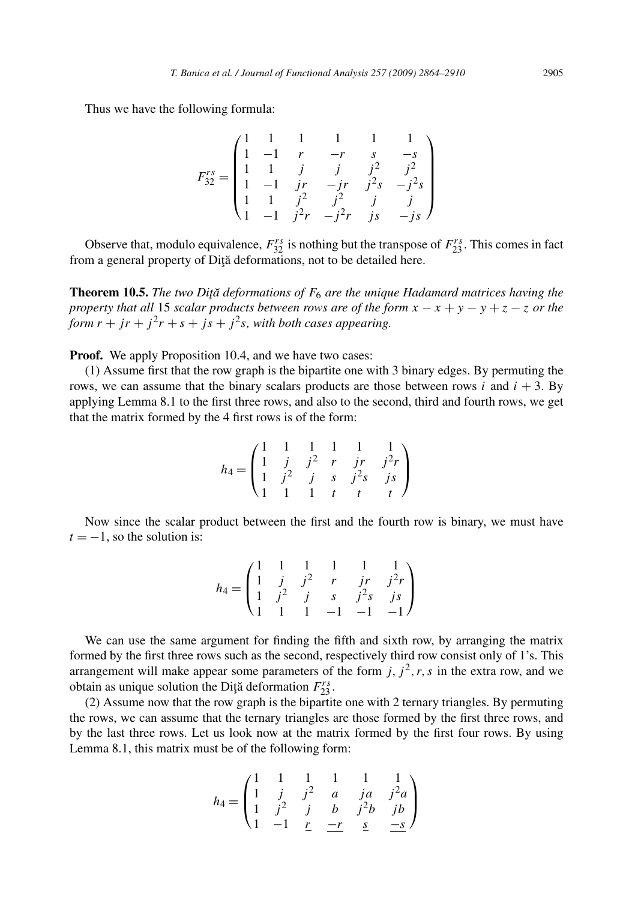Thus we have the following formula:

$$
F_{32}^{rs} = \begin{pmatrix} 1 & 1 & 1 & 1 & 1 & 1 \\ 1 & -1 & r & -r & s & -s \\ 1 & 1 & j & j & j^2 & j^2 \\ 1 & -1 & jr & -jr & j^2s & -j^2s \\ 1 & 1 & j^2 & j^2 & j & j \\ 1 & -1 & j^2r & -j^2r & js & -js \end{pmatrix}
$$

Observe that, modulo equivalence,  $F_{32}^{rs}$  is nothing but the transpose of  $F_{23}^{rs}$ . This comes in fact from a general property of Diță deformations, not to be detailed here.

**Theorem 10.5.** *The two Diţă deformations of F<sub>6</sub> are the unique Hadamard matrices having the property that all* 15 *scalar products between rows are of the form*  $x - x + y - y + z - z$  *or the form*  $r + jr + j^2r + s + js + j^2s$ *, with both cases appearing.* 

**Proof.** We apply Proposition 10.4, and we have two cases:

(1) Assume first that the row graph is the bipartite one with 3 binary edges. By permuting the rows, we can assume that the binary scalars products are those between rows  $i$  and  $i + 3$ . By applying Lemma 8.1 to the first three rows, and also to the second, third and fourth rows, we get that the matrix formed by the 4 first rows is of the form:

$$
h_4 = \begin{pmatrix} 1 & 1 & 1 & 1 & 1 & 1 \\ 1 & j & j^2 & r & jr & j^2r \\ 1 & j^2 & j & s & j^2s & js \\ 1 & 1 & 1 & t & t & t \end{pmatrix}
$$

Now since the scalar product between the first and the fourth row is binary, we must have  $t = -1$ , so the solution is:

$$
h_4 = \begin{pmatrix} 1 & 1 & 1 & 1 & 1 & 1 \\ 1 & j & j^2 & r & j^r & j^2r \\ 1 & j^2 & j & s & j^2s & j^s \\ 1 & 1 & 1 & -1 & -1 & -1 \end{pmatrix}
$$

We can use the same argument for finding the fifth and sixth row, by arranging the matrix formed by the first three rows such as the second, respectively third row consist only of 1's. This arrangement will make appear some parameters of the form  $j$ ,  $j<sup>2</sup>$ ,  $r$ ,  $s$  in the extra row, and we obtain as unique solution the Diţă deformation  $F_{23}^{rs}$ .

(2) Assume now that the row graph is the bipartite one with 2 ternary triangles. By permuting the rows, we can assume that the ternary triangles are those formed by the first three rows, and by the last three rows. Let us look now at the matrix formed by the first four rows. By using Lemma 8.1, this matrix must be of the following form:

$$
h_4 = \begin{pmatrix} 1 & 1 & 1 & 1 & 1 & 1 \\ 1 & j & j^2 & a & ja & j^2a \\ 1 & j^2 & j & b & j^2b & jb \\ 1 & -1 & r & -r & s & -s \end{pmatrix}
$$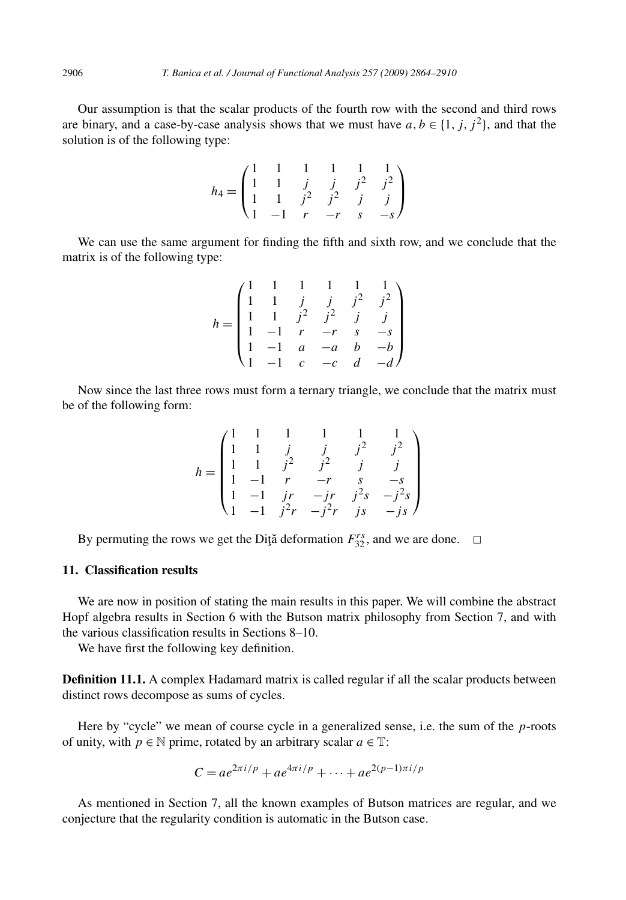Our assumption is that the scalar products of the fourth row with the second and third rows are binary, and a case-by-case analysis shows that we must have  $a, b \in \{1, j, j^2\}$ , and that the solution is of the following type:

$$
h_4 = \begin{pmatrix} 1 & 1 & 1 & 1 & 1 & 1 \\ 1 & 1 & j & j & j^2 & j^2 \\ 1 & 1 & j^2 & j^2 & j & j \\ 1 & -1 & r & -r & s & -s \end{pmatrix}
$$

We can use the same argument for finding the fifth and sixth row, and we conclude that the matrix is of the following type:

$$
h = \begin{pmatrix} 1 & 1 & 1 & 1 & 1 & 1 \\ 1 & 1 & j & j & j^2 & j^2 \\ 1 & 1 & j^2 & j^2 & j & j \\ 1 & -1 & r & -r & s & -s \\ 1 & -1 & a & -a & b & -b \\ 1 & -1 & c & -c & d & -d \end{pmatrix}
$$

Now since the last three rows must form a ternary triangle, we conclude that the matrix must be of the following form:

$$
h = \begin{pmatrix} 1 & 1 & 1 & 1 & 1 & 1 \\ 1 & 1 & j & j & j^2 & j^2 \\ 1 & 1 & j^2 & j^2 & j & j \\ 1 & -1 & r & -r & s & -s \\ 1 & -1 & jr & -jr & j^2s & -j^2s \\ 1 & -1 & j^2r & -j^2r & js & -js \end{pmatrix}
$$

By permuting the rows we get the Diţă deformation  $F_{32}^{rs}$ , and we are done.  $\Box$ 

# **11. Classification results**

We are now in position of stating the main results in this paper. We will combine the abstract Hopf algebra results in Section 6 with the Butson matrix philosophy from Section 7, and with the various classification results in Sections 8–10.

We have first the following key definition.

**Definition 11.1.** A complex Hadamard matrix is called regular if all the scalar products between distinct rows decompose as sums of cycles.

Here by "cycle" we mean of course cycle in a generalized sense, i.e. the sum of the *p*-roots of unity, with  $p \in \mathbb{N}$  prime, rotated by an arbitrary scalar  $a \in \mathbb{T}$ :

$$
C = ae^{2\pi i/p} + ae^{4\pi i/p} + \dots + ae^{2(p-1)\pi i/p}
$$

As mentioned in Section 7, all the known examples of Butson matrices are regular, and we conjecture that the regularity condition is automatic in the Butson case.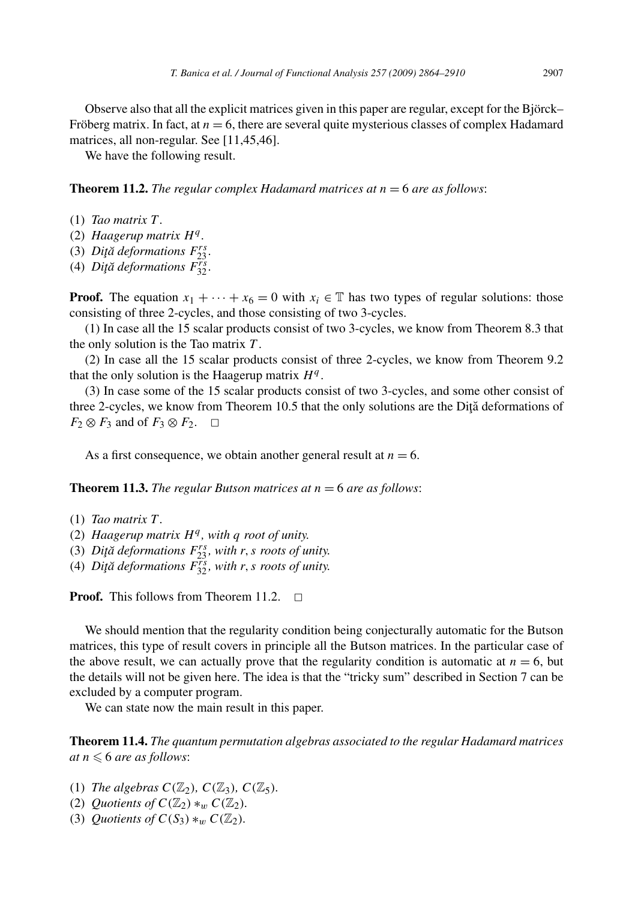Observe also that all the explicit matrices given in this paper are regular, except for the Björck– Fröberg matrix. In fact, at  $n = 6$ , there are several quite mysterious classes of complex Hadamard matrices, all non-regular. See [11,45,46].

We have the following result.

**Theorem 11.2.** *The regular complex Hadamard matrices at n* = 6 *are as follows*:

- (1) *Tao matrix T .*
- (2) *Haagerup matrix H<sup>q</sup> .*
- (3) *Diţă deformations*  $F_{23}^{rs}$ *.*
- (4) *Diță deformations*  $F_{32}^{rs}$ .

**Proof.** The equation  $x_1 + \cdots + x_6 = 0$  with  $x_i \in \mathbb{T}$  has two types of regular solutions: those consisting of three 2-cycles, and those consisting of two 3-cycles.

(1) In case all the 15 scalar products consist of two 3-cycles, we know from Theorem 8.3 that the only solution is the Tao matrix *T* .

(2) In case all the 15 scalar products consist of three 2-cycles, we know from Theorem 9.2 that the only solution is the Haagerup matrix  $H<sup>q</sup>$ .

(3) In case some of the 15 scalar products consist of two 3-cycles, and some other consist of three 2-cycles, we know from Theorem 10.5 that the only solutions are the Dita deformations of *F*<sub>2</sub> ⊗ *F*<sub>3</sub> and of *F*<sub>3</sub> ⊗ *F*<sub>2</sub>.  $□$ 

As a first consequence, we obtain another general result at  $n = 6$ .

**Theorem 11.3.** *The regular Butson matrices at*  $n = 6$  *are as follows:* 

- (1) *Tao matrix T .*
- (2) *Haagerup matrix H<sup>q</sup> , with q root of unity.*
- (3) *Diţă deformations*  $F_{23}^{rs}$ *, with r*, *s roots of unity.*
- (4) *Diţă deformations*  $F_{32}^{rs}$ *, with r*, *s roots of unity.*

**Proof.** This follows from Theorem 11.2.  $\Box$ 

We should mention that the regularity condition being conjecturally automatic for the Butson matrices, this type of result covers in principle all the Butson matrices. In the particular case of the above result, we can actually prove that the regularity condition is automatic at  $n = 6$ , but the details will not be given here. The idea is that the "tricky sum" described in Section 7 can be excluded by a computer program.

We can state now the main result in this paper.

**Theorem 11.4.** *The quantum permutation algebras associated to the regular Hadamard matrices*  $at\, n \leqslant 6$  are as follows:

- (1) *The algebras*  $C(\mathbb{Z}_2)$ *,*  $C(\mathbb{Z}_3)$ *,*  $C(\mathbb{Z}_5)$ *.*
- (2) *Quotients of*  $C(\mathbb{Z}_2) *_{w} C(\mathbb{Z}_2)$ *.*
- (3) *Quotients of*  $C(S_3) *_{w} C(\mathbb{Z}_2)$ *.*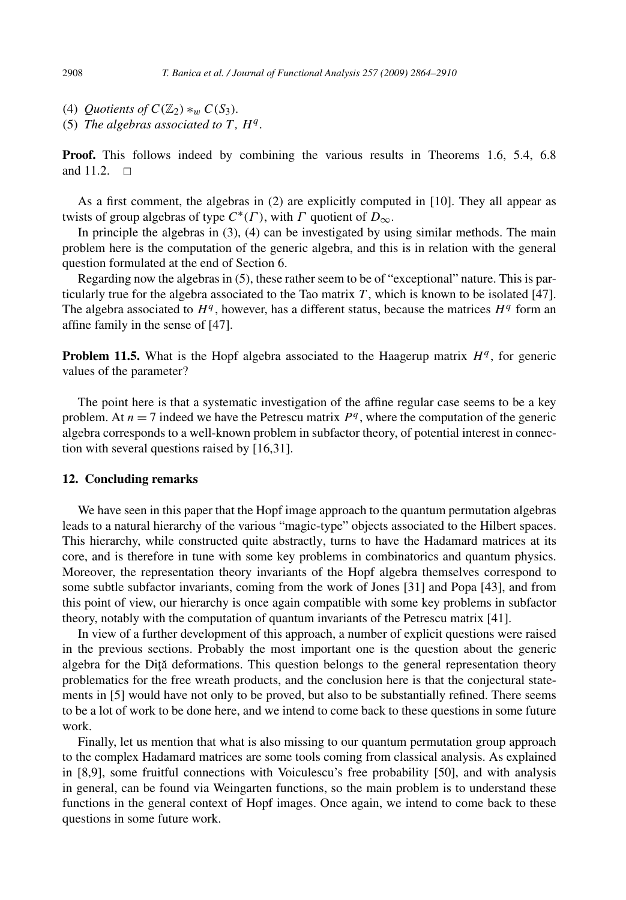(4) *Quotients of*  $C(\mathbb{Z}_2) *_{w} C(S_3)$ *.* 

(5) *The algebras associated to T,*  $H<sup>q</sup>$ *.* 

**Proof.** This follows indeed by combining the various results in Theorems 1.6, 5.4, 6.8 and 11.2.  $\Box$ 

As a first comment, the algebras in (2) are explicitly computed in [10]. They all appear as twists of group algebras of type  $C^*(\Gamma)$ , with  $\Gamma$  quotient of  $D_{\infty}$ .

In principle the algebras in  $(3)$ ,  $(4)$  can be investigated by using similar methods. The main problem here is the computation of the generic algebra, and this is in relation with the general question formulated at the end of Section 6.

Regarding now the algebras in (5), these rather seem to be of "exceptional" nature. This is particularly true for the algebra associated to the Tao matrix  $T$ , which is known to be isolated [47]. The algebra associated to  $H<sup>q</sup>$ , however, has a different status, because the matrices  $H<sup>q</sup>$  form an affine family in the sense of [47].

**Problem 11.5.** What is the Hopf algebra associated to the Haagerup matrix  $H<sup>q</sup>$ , for generic values of the parameter?

The point here is that a systematic investigation of the affine regular case seems to be a key problem. At  $n = 7$  indeed we have the Petrescu matrix  $P<sup>q</sup>$ , where the computation of the generic algebra corresponds to a well-known problem in subfactor theory, of potential interest in connection with several questions raised by [16,31].

## **12. Concluding remarks**

We have seen in this paper that the Hopf image approach to the quantum permutation algebras leads to a natural hierarchy of the various "magic-type" objects associated to the Hilbert spaces. This hierarchy, while constructed quite abstractly, turns to have the Hadamard matrices at its core, and is therefore in tune with some key problems in combinatorics and quantum physics. Moreover, the representation theory invariants of the Hopf algebra themselves correspond to some subtle subfactor invariants, coming from the work of Jones [31] and Popa [43], and from this point of view, our hierarchy is once again compatible with some key problems in subfactor theory, notably with the computation of quantum invariants of the Petrescu matrix [41].

In view of a further development of this approach, a number of explicit questions were raised in the previous sections. Probably the most important one is the question about the generic algebra for the Diță deformations. This question belongs to the general representation theory problematics for the free wreath products, and the conclusion here is that the conjectural statements in [5] would have not only to be proved, but also to be substantially refined. There seems to be a lot of work to be done here, and we intend to come back to these questions in some future work.

Finally, let us mention that what is also missing to our quantum permutation group approach to the complex Hadamard matrices are some tools coming from classical analysis. As explained in [8,9], some fruitful connections with Voiculescu's free probability [50], and with analysis in general, can be found via Weingarten functions, so the main problem is to understand these functions in the general context of Hopf images. Once again, we intend to come back to these questions in some future work.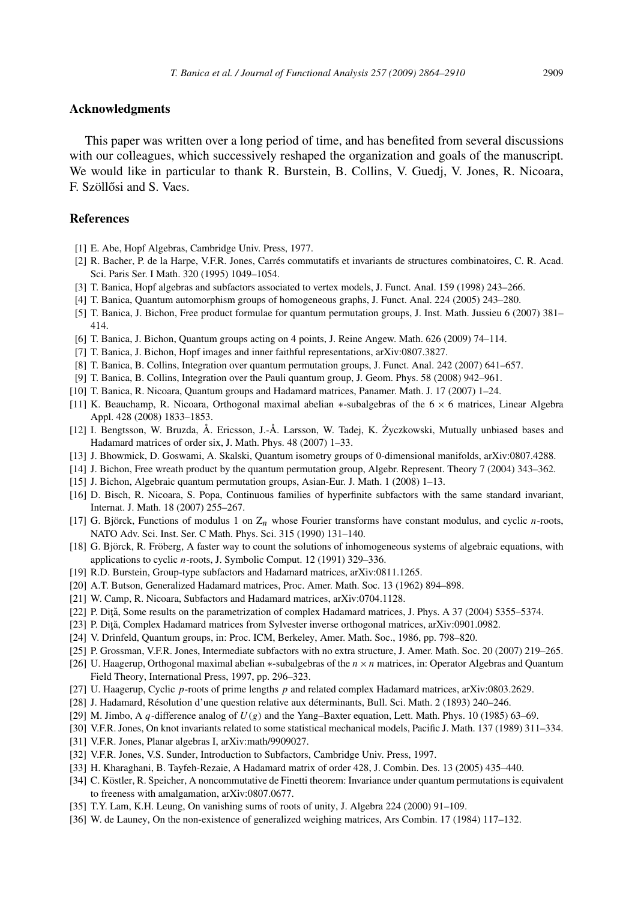## **Acknowledgments**

This paper was written over a long period of time, and has benefited from several discussions with our colleagues, which successively reshaped the organization and goals of the manuscript. We would like in particular to thank R. Burstein, B. Collins, V. Guedj, V. Jones, R. Nicoara, F. Szöllősi and S. Vaes.

## **References**

- [1] E. Abe, Hopf Algebras, Cambridge Univ. Press, 1977.
- [2] R. Bacher, P. de la Harpe, V.F.R. Jones, Carrés commutatifs et invariants de structures combinatoires, C. R. Acad. Sci. Paris Ser. I Math. 320 (1995) 1049–1054.
- [3] T. Banica, Hopf algebras and subfactors associated to vertex models, J. Funct. Anal. 159 (1998) 243–266.
- [4] T. Banica, Quantum automorphism groups of homogeneous graphs, J. Funct. Anal. 224 (2005) 243–280.
- [5] T. Banica, J. Bichon, Free product formulae for quantum permutation groups, J. Inst. Math. Jussieu 6 (2007) 381– 414.
- [6] T. Banica, J. Bichon, Quantum groups acting on 4 points, J. Reine Angew. Math. 626 (2009) 74–114.
- [7] T. Banica, J. Bichon, Hopf images and inner faithful representations, arXiv:0807.3827.
- [8] T. Banica, B. Collins, Integration over quantum permutation groups, J. Funct. Anal. 242 (2007) 641–657.
- [9] T. Banica, B. Collins, Integration over the Pauli quantum group, J. Geom. Phys. 58 (2008) 942–961.
- [10] T. Banica, R. Nicoara, Quantum groups and Hadamard matrices, Panamer. Math. J. 17 (2007) 1–24.
- [11] K. Beauchamp, R. Nicoara, Orthogonal maximal abelian ∗-subalgebras of the 6 × 6 matrices, Linear Algebra Appl. 428 (2008) 1833–1853.
- [12] I. Bengtsson, W. Bruzda, Å. Ericsson, J.-Å. Larsson, W. Tadej, K. Zyczkowski, Mutually unbiased bases and ˙ Hadamard matrices of order six, J. Math. Phys. 48 (2007) 1–33.
- [13] J. Bhowmick, D. Goswami, A. Skalski, Quantum isometry groups of 0-dimensional manifolds, arXiv:0807.4288.
- [14] J. Bichon, Free wreath product by the quantum permutation group, Algebr. Represent. Theory 7 (2004) 343–362.
- [15] J. Bichon, Algebraic quantum permutation groups, Asian-Eur. J. Math. 1 (2008) 1–13.
- [16] D. Bisch, R. Nicoara, S. Popa, Continuous families of hyperfinite subfactors with the same standard invariant, Internat. J. Math. 18 (2007) 255–267.
- [17] G. Björck, Functions of modulus 1 on Z*n* whose Fourier transforms have constant modulus, and cyclic *n*-roots, NATO Adv. Sci. Inst. Ser. C Math. Phys. Sci. 315 (1990) 131–140.
- [18] G. Björck, R. Fröberg, A faster way to count the solutions of inhomogeneous systems of algebraic equations, with applications to cyclic *n*-roots, J. Symbolic Comput. 12 (1991) 329–336.
- [19] R.D. Burstein, Group-type subfactors and Hadamard matrices, arXiv:0811.1265.
- [20] A.T. Butson, Generalized Hadamard matrices, Proc. Amer. Math. Soc. 13 (1962) 894–898.
- [21] W. Camp, R. Nicoara, Subfactors and Hadamard matrices, arXiv:0704.1128.
- [22] P. Diţă, Some results on the parametrization of complex Hadamard matrices, J. Phys. A 37 (2004) 5355–5374.
- [23] P. Diță, Complex Hadamard matrices from Sylvester inverse orthogonal matrices, arXiv:0901.0982.
- [24] V. Drinfeld, Quantum groups, in: Proc. ICM, Berkeley, Amer. Math. Soc., 1986, pp. 798–820.
- [25] P. Grossman, V.F.R. Jones, Intermediate subfactors with no extra structure, J. Amer. Math. Soc. 20 (2007) 219–265.
- [26] U. Haagerup, Orthogonal maximal abelian ∗-subalgebras of the *n*×*n* matrices, in: Operator Algebras and Quantum Field Theory, International Press, 1997, pp. 296–323.
- [27] U. Haagerup, Cyclic *p*-roots of prime lengths *p* and related complex Hadamard matrices, arXiv:0803.2629.
- [28] J. Hadamard, Résolution d'une question relative aux déterminants, Bull. Sci. Math. 2 (1893) 240–246.
- [29] M. Jimbo, A *q*-difference analog of  $U(g)$  and the Yang–Baxter equation, Lett. Math. Phys. 10 (1985) 63–69.
- [30] V.F.R. Jones, On knot invariants related to some statistical mechanical models, Pacific J. Math. 137 (1989) 311–334.
- [31] V.F.R. Jones, Planar algebras I, arXiv:math/9909027.
- [32] V.F.R. Jones, V.S. Sunder, Introduction to Subfactors, Cambridge Univ. Press, 1997.
- [33] H. Kharaghani, B. Tayfeh-Rezaie, A Hadamard matrix of order 428, J. Combin. Des. 13 (2005) 435–440.
- [34] C. Köstler, R. Speicher, A noncommutative de Finetti theorem: Invariance under quantum permutations is equivalent to freeness with amalgamation, arXiv:0807.0677.
- [35] T.Y. Lam, K.H. Leung, On vanishing sums of roots of unity, J. Algebra 224 (2000) 91–109.
- [36] W. de Launey, On the non-existence of generalized weighing matrices, Ars Combin. 17 (1984) 117–132.